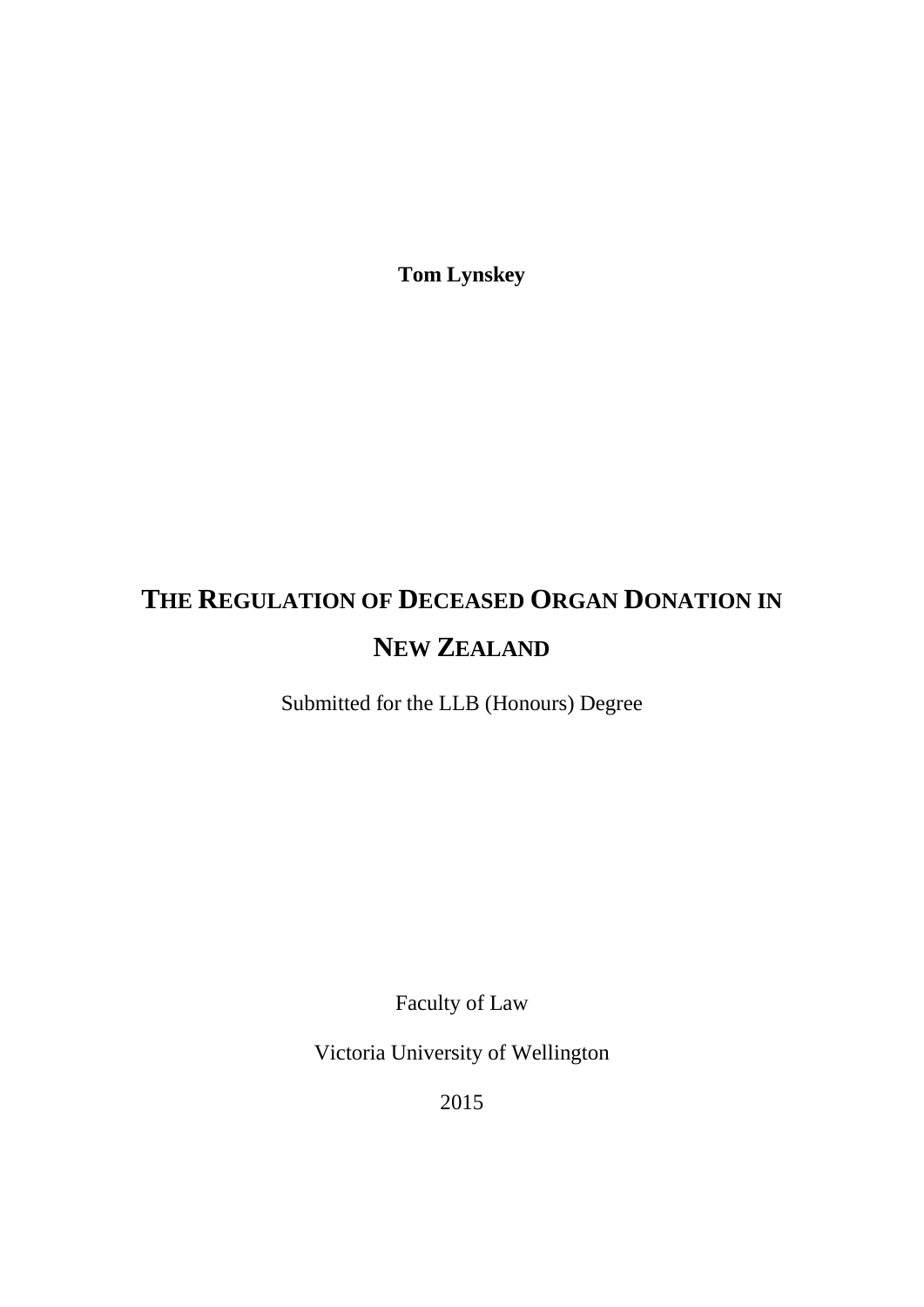**Tom Lynskey**

# **THE REGULATION OF DECEASED ORGAN DONATION IN NEW ZEALAND**

Submitted for the LLB (Honours) Degree

Faculty of Law

Victoria University of Wellington

2015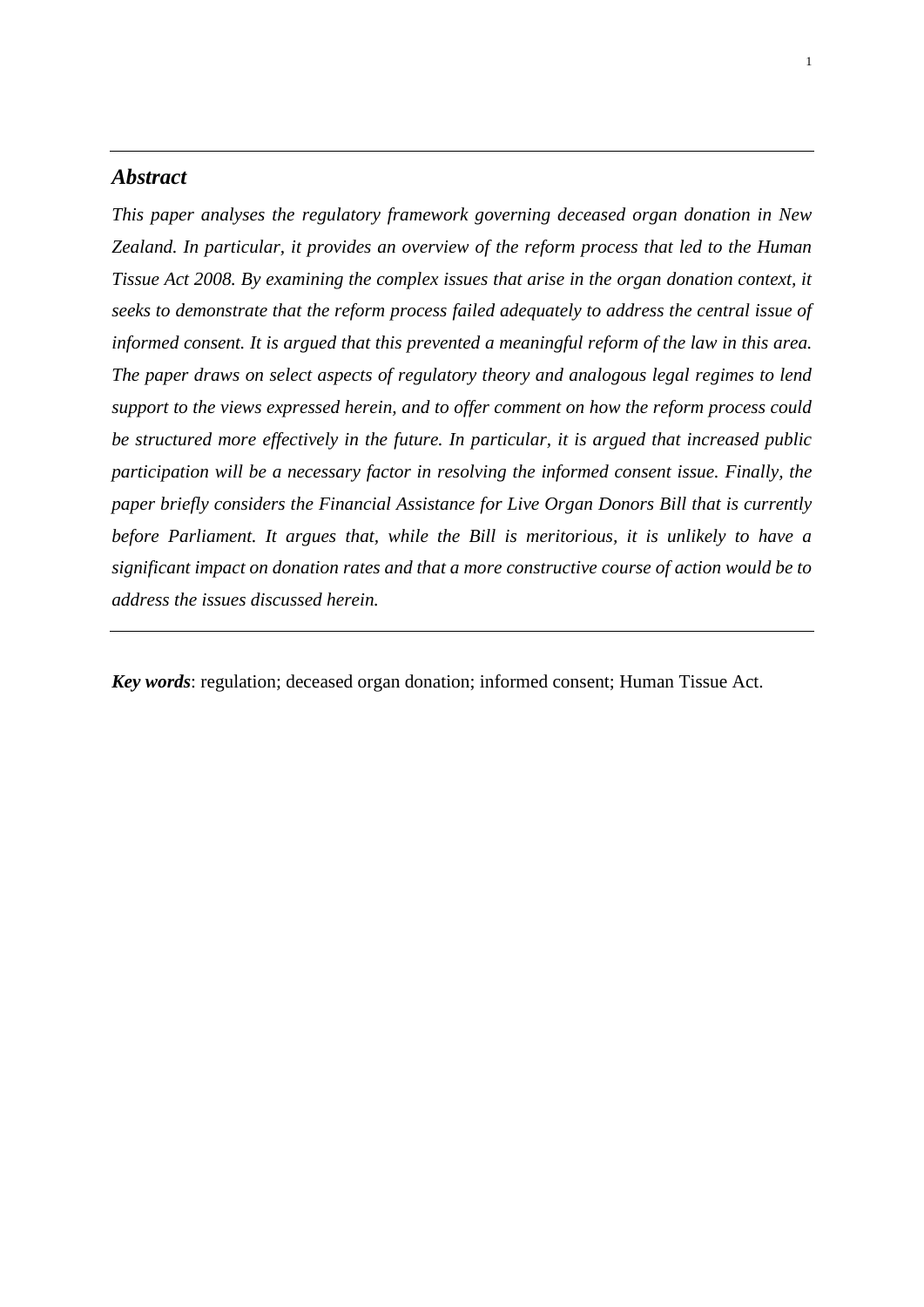# *Abstract*

*This paper analyses the regulatory framework governing deceased organ donation in New Zealand. In particular, it provides an overview of the reform process that led to the Human Tissue Act 2008. By examining the complex issues that arise in the organ donation context, it seeks to demonstrate that the reform process failed adequately to address the central issue of informed consent. It is argued that this prevented a meaningful reform of the law in this area. The paper draws on select aspects of regulatory theory and analogous legal regimes to lend support to the views expressed herein, and to offer comment on how the reform process could be structured more effectively in the future. In particular, it is argued that increased public participation will be a necessary factor in resolving the informed consent issue. Finally, the paper briefly considers the Financial Assistance for Live Organ Donors Bill that is currently before Parliament. It argues that, while the Bill is meritorious, it is unlikely to have a significant impact on donation rates and that a more constructive course of action would be to address the issues discussed herein.*

*Key words*: regulation; deceased organ donation; informed consent; Human Tissue Act.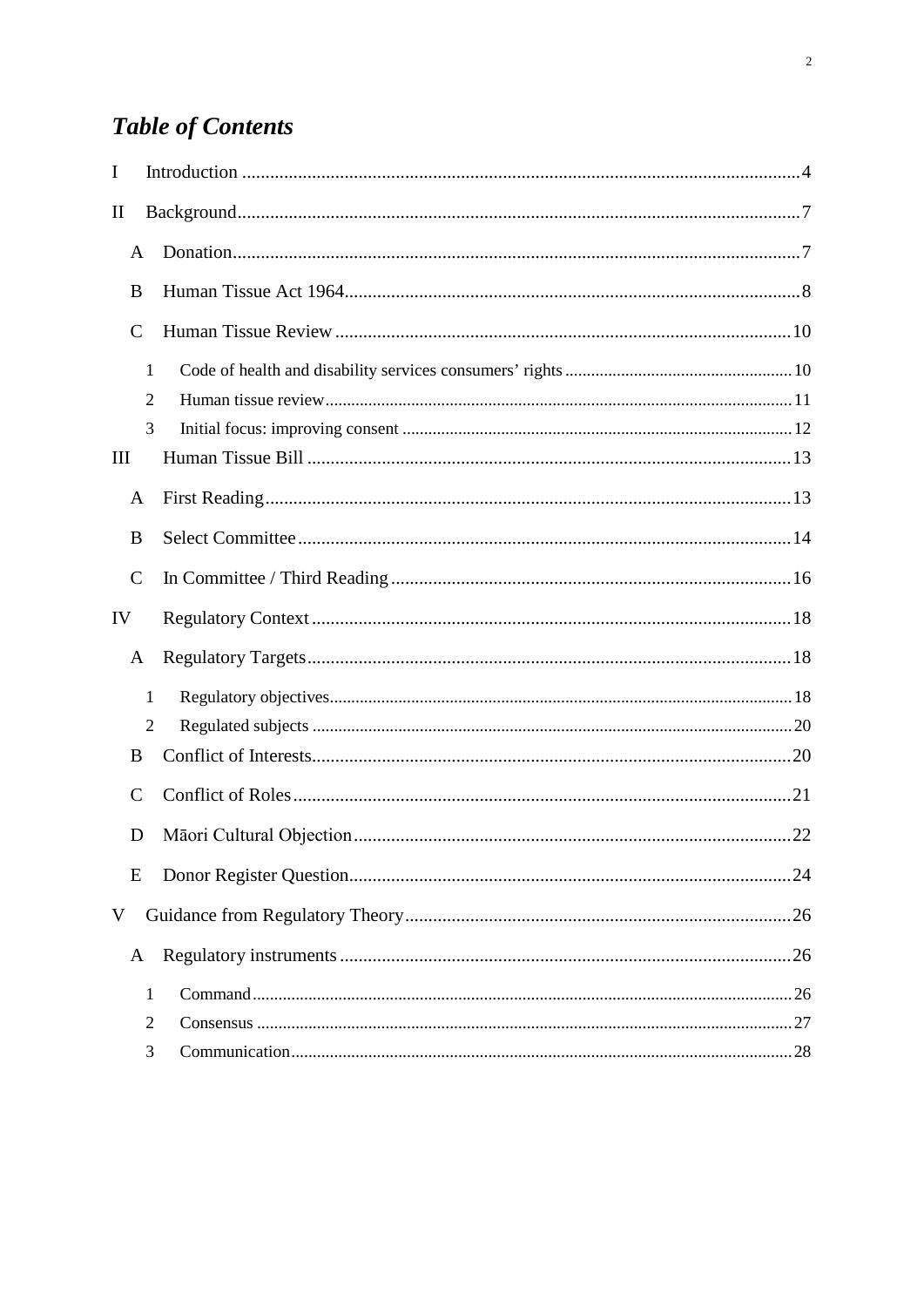# **Table of Contents**

| I                               |                |  |
|---------------------------------|----------------|--|
| $\mathop{\mathrm{II}}\nolimits$ |                |  |
| A                               |                |  |
| B                               |                |  |
| $\mathsf{C}$                    |                |  |
|                                 | $\mathbf{1}$   |  |
|                                 | $\overline{2}$ |  |
|                                 | 3              |  |
| Ш                               |                |  |
| A                               |                |  |
| B                               |                |  |
| $\mathsf{C}$                    |                |  |
| IV                              |                |  |
| A                               |                |  |
|                                 | $\mathbf{1}$   |  |
|                                 | $\overline{2}$ |  |
| B                               |                |  |
| C                               |                |  |
| D                               |                |  |
| E                               |                |  |
| V                               |                |  |
| A                               |                |  |
|                                 | $\mathbf{1}$   |  |
|                                 | $\overline{2}$ |  |
|                                 | 3              |  |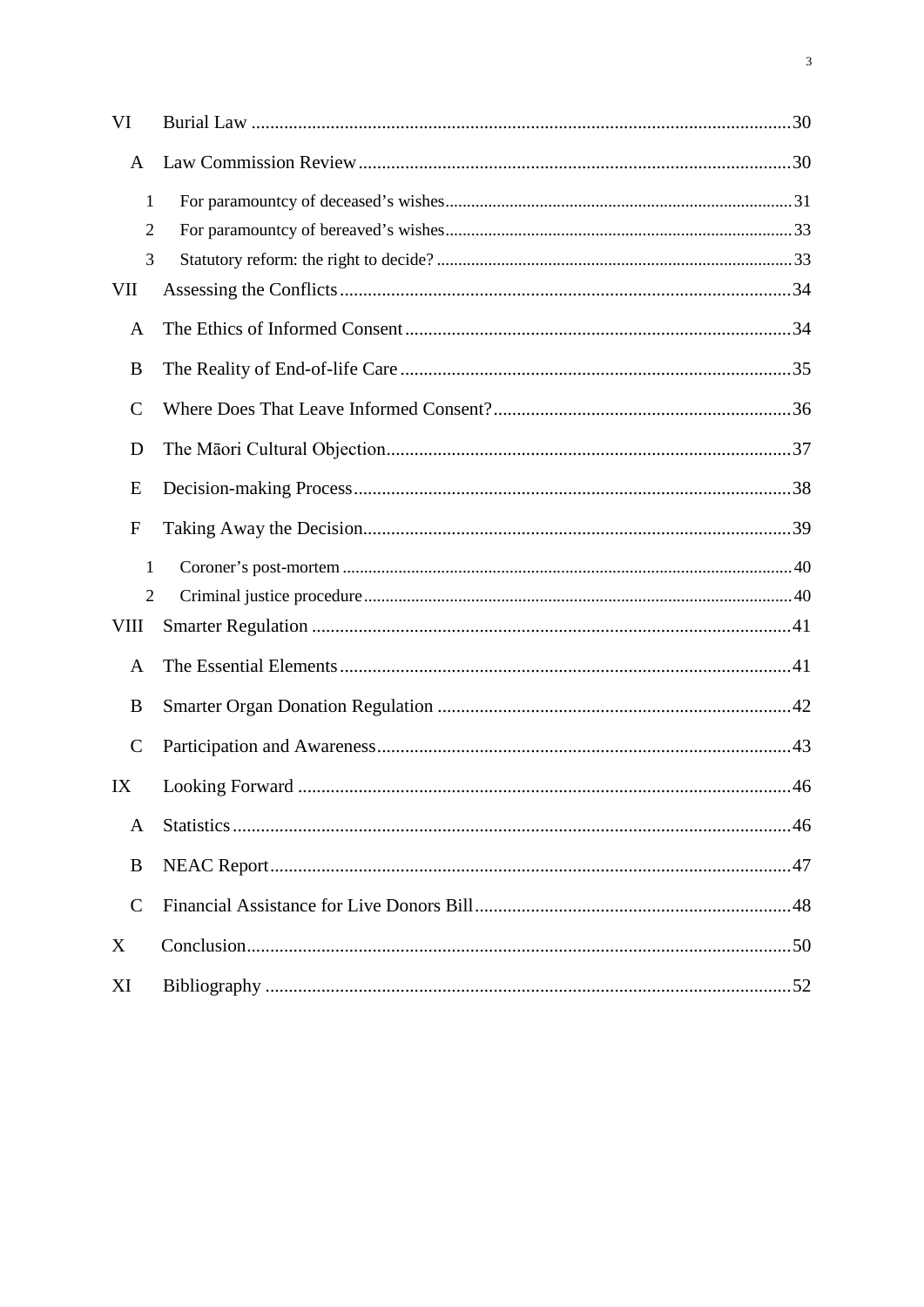| VI                                  |  |
|-------------------------------------|--|
| A                                   |  |
| $\mathbf{1}$<br>$\overline{2}$<br>3 |  |
| <b>VII</b>                          |  |
| A                                   |  |
| B                                   |  |
| $\mathsf{C}$                        |  |
| D                                   |  |
| E                                   |  |
| $\boldsymbol{F}$                    |  |
| 1                                   |  |
| $\overline{2}$                      |  |
| <b>VIII</b>                         |  |
| A                                   |  |
| B                                   |  |
| $\mathsf{C}$                        |  |
| IX                                  |  |
| A                                   |  |
| B                                   |  |
| $\mathcal{C}$                       |  |
| X                                   |  |
| XI                                  |  |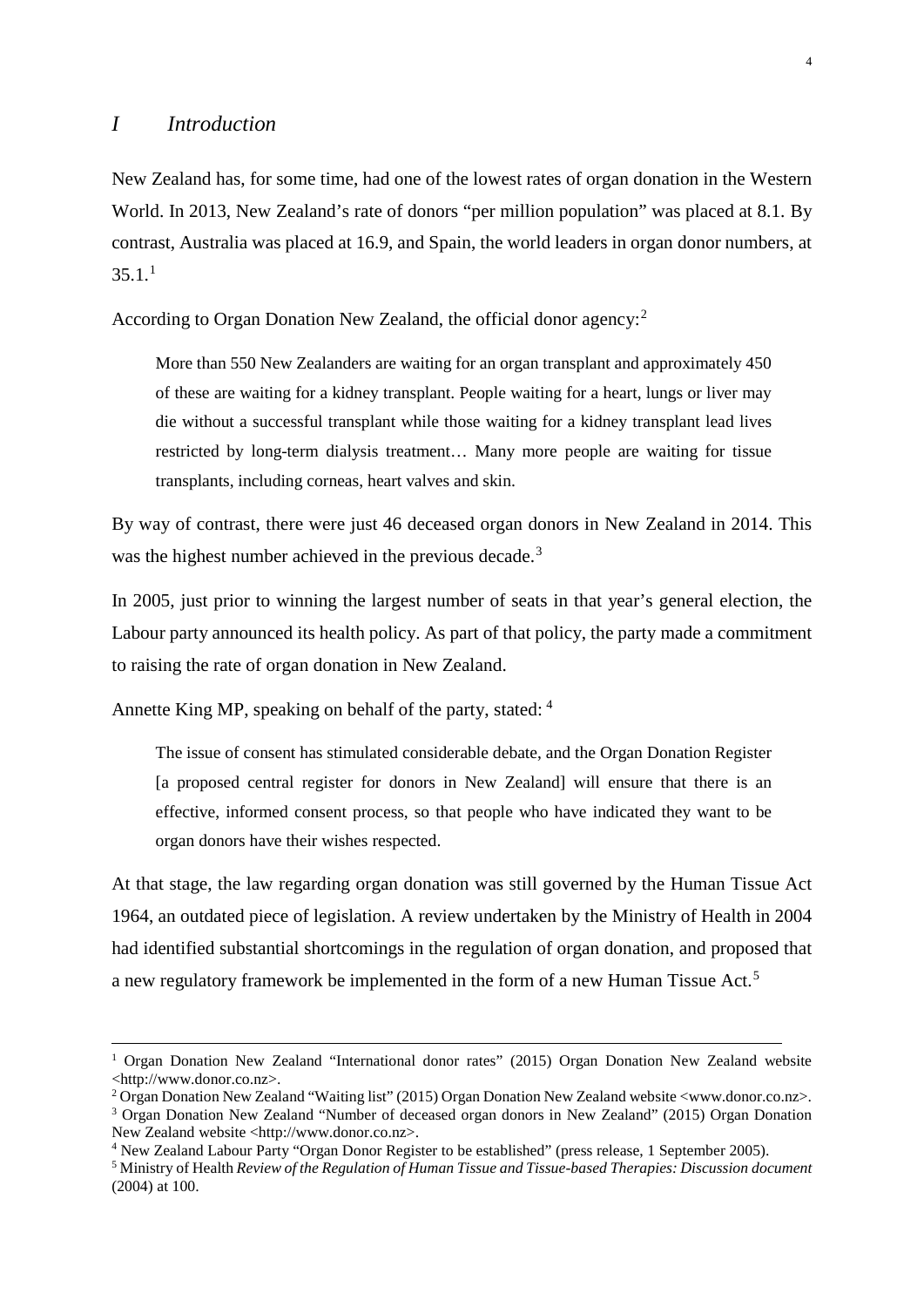<span id="page-4-0"></span>New Zealand has, for some time, had one of the lowest rates of organ donation in the Western World. In 2013, New Zealand's rate of donors "per million population" was placed at 8.1. By contrast, Australia was placed at 16.9, and Spain, the world leaders in organ donor numbers, at  $35.1<sup>1</sup>$  $35.1<sup>1</sup>$  $35.1<sup>1</sup>$ 

According to Organ Donation New Zealand, the official donor agency:<sup>[2](#page-4-2)</sup>

More than 550 New Zealanders are waiting for an organ transplant and approximately 450 of these are waiting for a kidney transplant. People waiting for a heart, lungs or liver may die without a successful transplant while those waiting for a kidney transplant lead lives restricted by long-term dialysis treatment… Many more people are waiting for tissue transplants, including corneas, heart valves and skin.

By way of contrast, there were just 46 deceased organ donors in New Zealand in 2014. This was the highest number achieved in the previous decade.<sup>[3](#page-4-3)</sup>

In 2005, just prior to winning the largest number of seats in that year's general election, the Labour party announced its health policy. As part of that policy, the party made a commitment to raising the rate of organ donation in New Zealand.

Annette King MP, speaking on behalf of the party, stated: [4](#page-4-4)

The issue of consent has stimulated considerable debate, and the Organ Donation Register [a proposed central register for donors in New Zealand] will ensure that there is an effective, informed consent process, so that people who have indicated they want to be organ donors have their wishes respected.

At that stage, the law regarding organ donation was still governed by the Human Tissue Act 1964, an outdated piece of legislation. A review undertaken by the Ministry of Health in 2004 had identified substantial shortcomings in the regulation of organ donation, and proposed that a new regulatory framework be implemented in the form of a new Human Tissue Act.[5](#page-4-5)

<span id="page-4-1"></span><sup>&</sup>lt;sup>1</sup> Organ Donation New Zealand "International donor rates" (2015) Organ Donation New Zealand website <http://www.donor.co.nz>.

<span id="page-4-2"></span><sup>2</sup> Organ Donation New Zealand "Waiting list" (2015) Organ Donation New Zealand website <www.donor.co.nz>.

<span id="page-4-3"></span><sup>3</sup> Organ Donation New Zealand "Number of deceased organ donors in New Zealand" (2015) Organ Donation New Zealand website <http://www.donor.co.nz>.

<span id="page-4-4"></span><sup>4</sup> New Zealand Labour Party "Organ Donor Register to be established" (press release, 1 September 2005).

<span id="page-4-5"></span><sup>5</sup> Ministry of Health *Review of the Regulation of Human Tissue and Tissue-based Therapies: Discussion document*  (2004) at 100.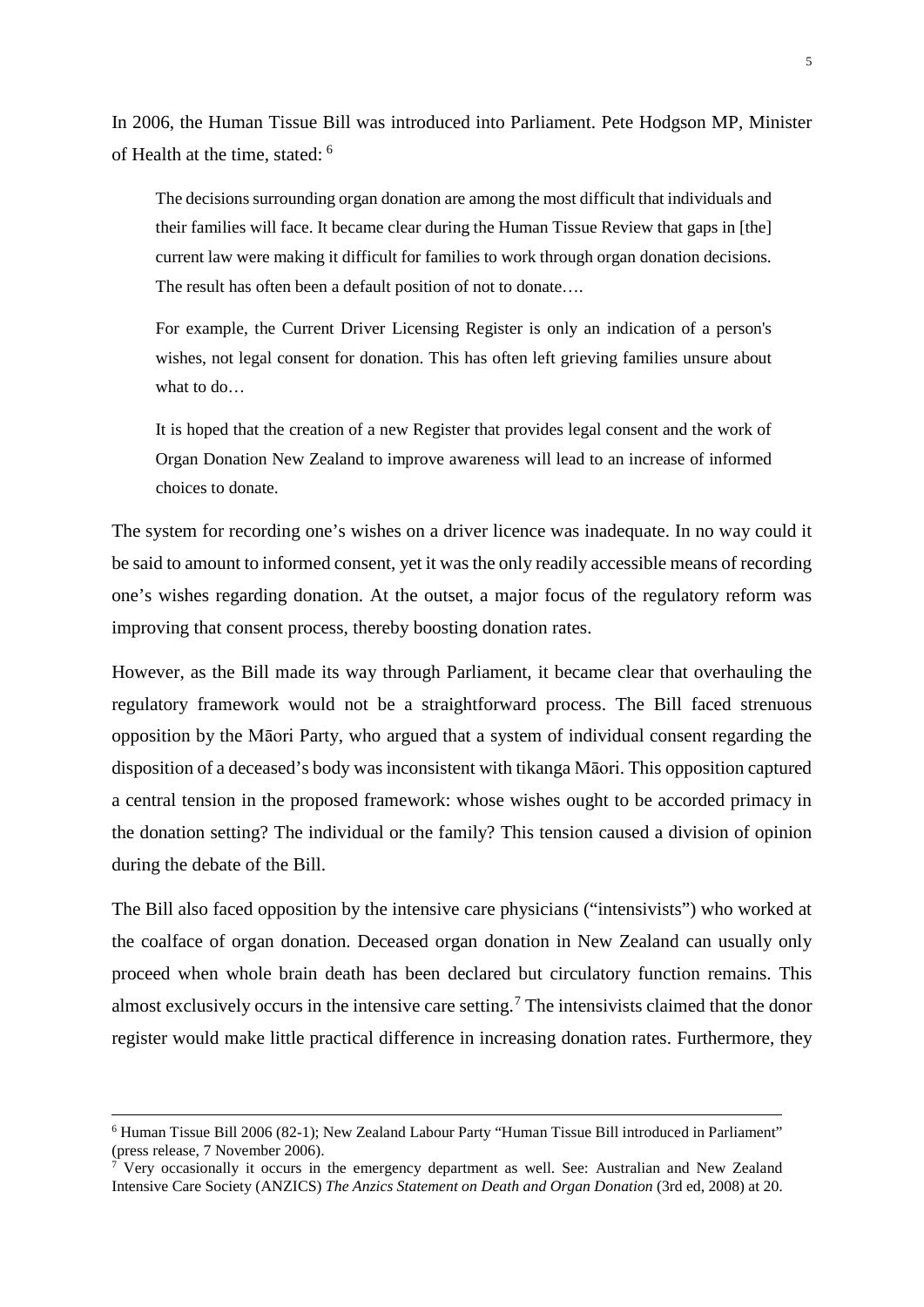In 2006, the Human Tissue Bill was introduced into Parliament. Pete Hodgson MP, Minister of Health at the time, stated: [6](#page-5-0)

The decisions surrounding organ donation are among the most difficult that individuals and their families will face. It became clear during the Human Tissue Review that gaps in [the] current law were making it difficult for families to work through organ donation decisions. The result has often been a default position of not to donate….

For example, the Current Driver Licensing Register is only an indication of a person's wishes, not legal consent for donation. This has often left grieving families unsure about what to do…

It is hoped that the creation of a new Register that provides legal consent and the work of Organ Donation New Zealand to improve awareness will lead to an increase of informed choices to donate.

The system for recording one's wishes on a driver licence was inadequate. In no way could it be said to amount to informed consent, yet it was the only readily accessible means of recording one's wishes regarding donation. At the outset, a major focus of the regulatory reform was improving that consent process, thereby boosting donation rates.

However, as the Bill made its way through Parliament, it became clear that overhauling the regulatory framework would not be a straightforward process. The Bill faced strenuous opposition by the Māori Party, who argued that a system of individual consent regarding the disposition of a deceased's body was inconsistent with tikanga Māori. This opposition captured a central tension in the proposed framework: whose wishes ought to be accorded primacy in the donation setting? The individual or the family? This tension caused a division of opinion during the debate of the Bill.

The Bill also faced opposition by the intensive care physicians ("intensivists") who worked at the coalface of organ donation. Deceased organ donation in New Zealand can usually only proceed when whole brain death has been declared but circulatory function remains. This almost exclusively occurs in the intensive care setting.<sup>[7](#page-5-1)</sup> The intensivists claimed that the donor register would make little practical difference in increasing donation rates. Furthermore, they

<span id="page-5-0"></span> <sup>6</sup> Human Tissue Bill 2006 (82-1); New Zealand Labour Party "Human Tissue Bill introduced in Parliament" (press release, 7 November 2006).

<span id="page-5-1"></span><sup>&</sup>lt;sup>7</sup> Very occasionally it occurs in the emergency department as well. See: Australian and New Zealand Intensive Care Society (ANZICS) *The Anzics Statement on Death and Organ Donation* (3rd ed, 2008) at 20.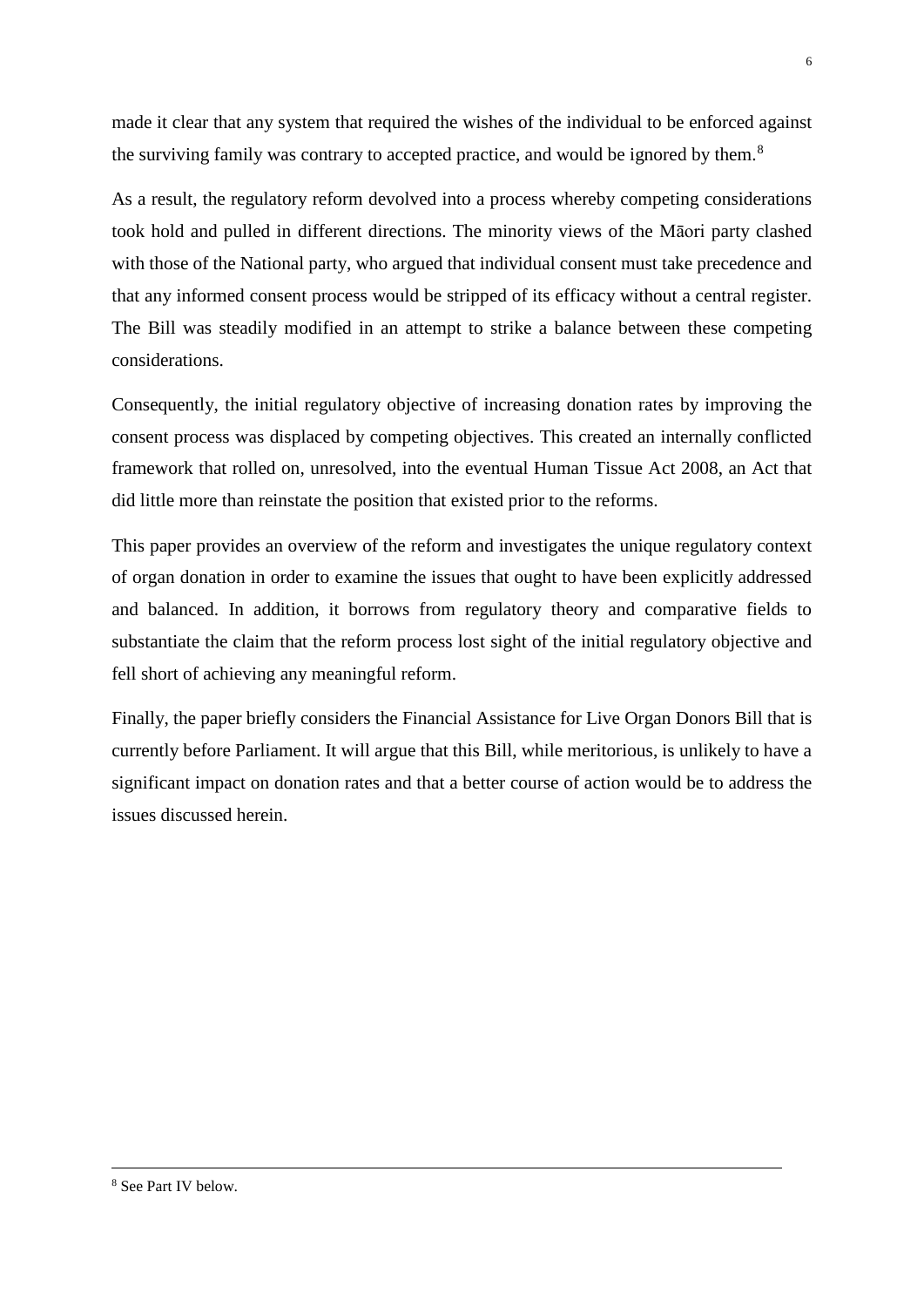made it clear that any system that required the wishes of the individual to be enforced against the surviving family was contrary to accepted practice, and would be ignored by them. $8$ 

As a result, the regulatory reform devolved into a process whereby competing considerations took hold and pulled in different directions. The minority views of the Māori party clashed with those of the National party, who argued that individual consent must take precedence and that any informed consent process would be stripped of its efficacy without a central register. The Bill was steadily modified in an attempt to strike a balance between these competing considerations.

Consequently, the initial regulatory objective of increasing donation rates by improving the consent process was displaced by competing objectives. This created an internally conflicted framework that rolled on, unresolved, into the eventual Human Tissue Act 2008, an Act that did little more than reinstate the position that existed prior to the reforms.

This paper provides an overview of the reform and investigates the unique regulatory context of organ donation in order to examine the issues that ought to have been explicitly addressed and balanced. In addition, it borrows from regulatory theory and comparative fields to substantiate the claim that the reform process lost sight of the initial regulatory objective and fell short of achieving any meaningful reform.

Finally, the paper briefly considers the Financial Assistance for Live Organ Donors Bill that is currently before Parliament. It will argue that this Bill, while meritorious, is unlikely to have a significant impact on donation rates and that a better course of action would be to address the issues discussed herein.

<span id="page-6-0"></span> <sup>8</sup> See Part IV below.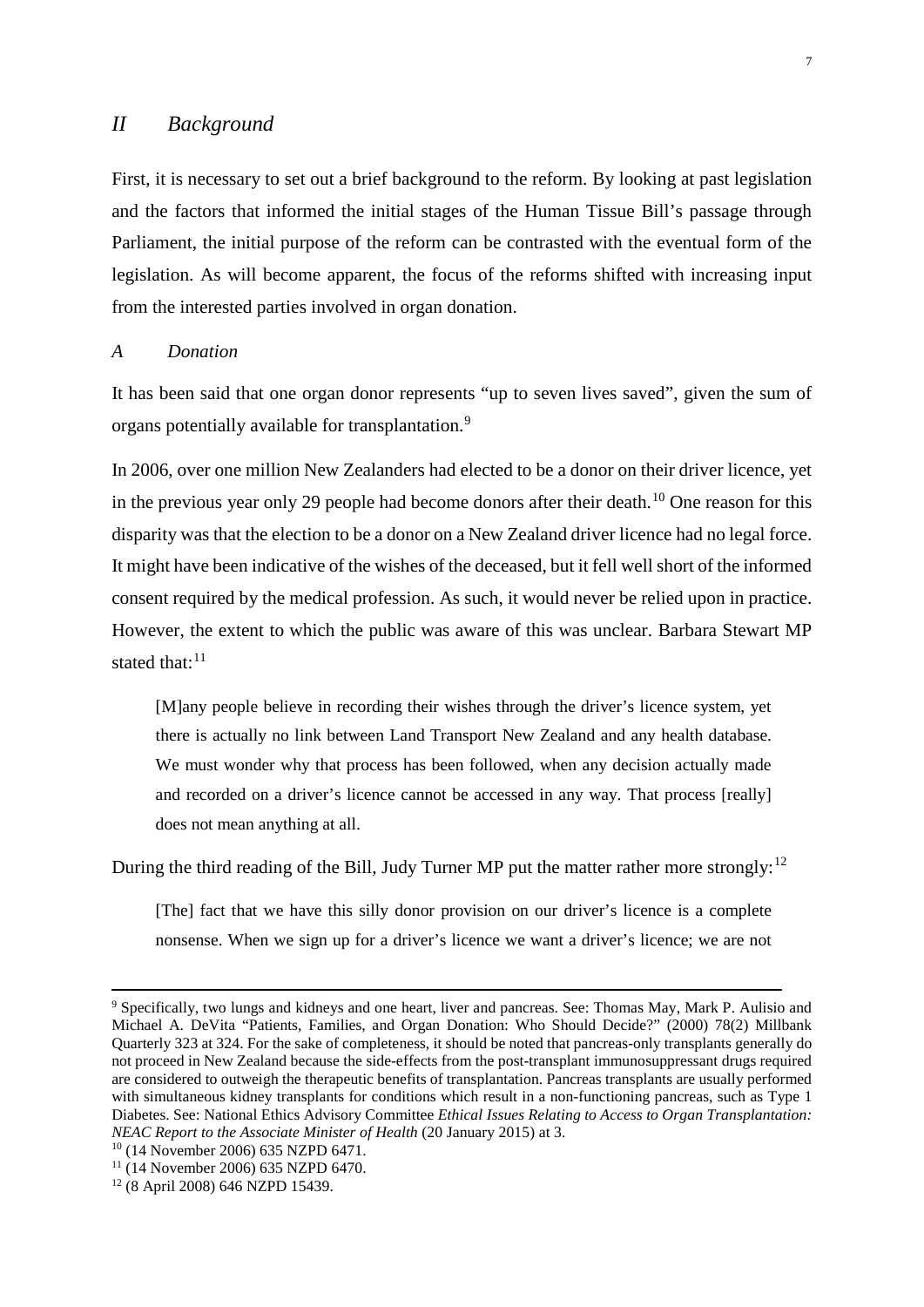### <span id="page-7-0"></span>*II Background*

First, it is necessary to set out a brief background to the reform. By looking at past legislation and the factors that informed the initial stages of the Human Tissue Bill's passage through Parliament, the initial purpose of the reform can be contrasted with the eventual form of the legislation. As will become apparent, the focus of the reforms shifted with increasing input from the interested parties involved in organ donation.

#### <span id="page-7-1"></span>*A Donation*

It has been said that one organ donor represents "up to seven lives saved", given the sum of organs potentially available for transplantation.[9](#page-7-2)

In 2006, over one million New Zealanders had elected to be a donor on their driver licence, yet in the previous year only 29 people had become donors after their death.<sup>[10](#page-7-3)</sup> One reason for this disparity was that the election to be a donor on a New Zealand driver licence had no legal force. It might have been indicative of the wishes of the deceased, but it fell well short of the informed consent required by the medical profession. As such, it would never be relied upon in practice. However, the extent to which the public was aware of this was unclear. Barbara Stewart MP stated that: $11$ 

[M]any people believe in recording their wishes through the driver's licence system, yet there is actually no link between Land Transport New Zealand and any health database. We must wonder why that process has been followed, when any decision actually made and recorded on a driver's licence cannot be accessed in any way. That process [really] does not mean anything at all.

During the third reading of the Bill, Judy Turner MP put the matter rather more strongly:<sup>[12](#page-7-5)</sup>

[The] fact that we have this silly donor provision on our driver's licence is a complete nonsense. When we sign up for a driver's licence we want a driver's licence; we are not

<span id="page-7-2"></span><sup>&</sup>lt;sup>9</sup> Specifically, two lungs and kidneys and one heart, liver and pancreas. See: Thomas May, Mark P. Aulisio and Michael A. DeVita "Patients, Families, and Organ Donation: Who Should Decide?" (2000) 78(2) Millbank Quarterly 323 at 324. For the sake of completeness, it should be noted that pancreas-only transplants generally do not proceed in New Zealand because the side-effects from the post-transplant immunosuppressant drugs required are considered to outweigh the therapeutic benefits of transplantation. Pancreas transplants are usually performed with simultaneous kidney transplants for conditions which result in a non-functioning pancreas, such as Type 1 Diabetes. See: National Ethics Advisory Committee *Ethical Issues Relating to Access to Organ Transplantation: NEAC Report to the Associate Minister of Health* (20 January 2015) at 3.

<span id="page-7-4"></span><span id="page-7-3"></span><sup>&</sup>lt;sup>10</sup> (14 November 2006) 635 NZPD 6471.<br><sup>11</sup> (14 November 2006) 635 NZPD 6470.

<span id="page-7-5"></span><sup>12</sup> (8 April 2008) 646 NZPD 15439.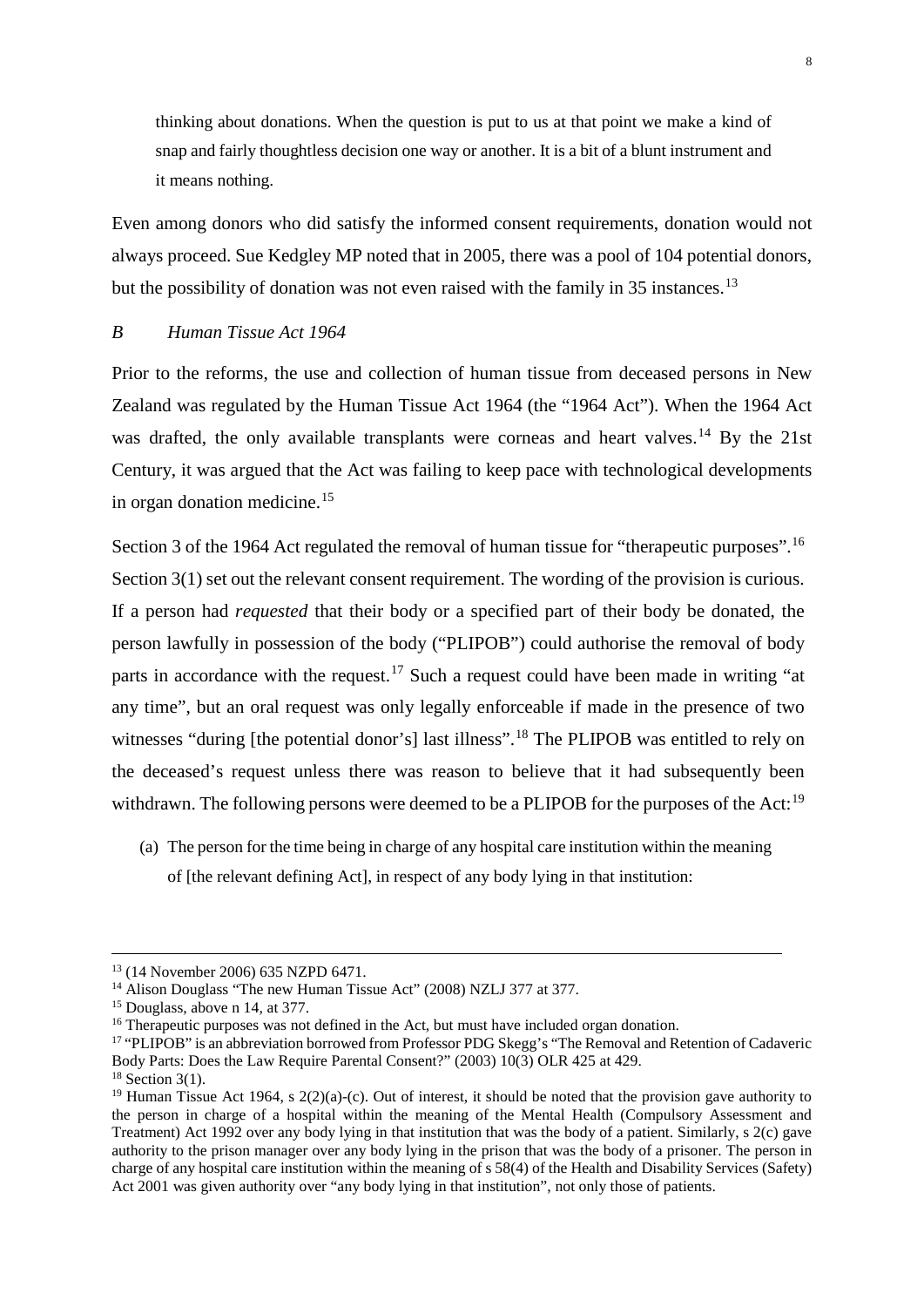thinking about donations. When the question is put to us at that point we make a kind of snap and fairly thoughtless decision one way or another. It is a bit of a blunt instrument and it means nothing.

Even among donors who did satisfy the informed consent requirements, donation would not always proceed. Sue Kedgley MP noted that in 2005, there was a pool of 104 potential donors, but the possibility of donation was not even raised with the family in 35 instances.<sup>[13](#page-8-1)</sup>

# <span id="page-8-0"></span>*B Human Tissue Act 1964*

Prior to the reforms, the use and collection of human tissue from deceased persons in New Zealand was regulated by the Human Tissue Act 1964 (the "1964 Act"). When the 1964 Act was drafted, the only available transplants were corneas and heart valves.<sup>[14](#page-8-2)</sup> By the 21st Century, it was argued that the Act was failing to keep pace with technological developments in organ donation medicine.<sup>[15](#page-8-3)</sup>

Section 3 of the 1964 Act regulated the removal of human tissue for "therapeutic purposes".<sup>[16](#page-8-4)</sup> Section 3(1) set out the relevant consent requirement. The wording of the provision is curious. If a person had *requested* that their body or a specified part of their body be donated, the person lawfully in possession of the body ("PLIPOB") could authorise the removal of body parts in accordance with the request.<sup>[17](#page-8-5)</sup> Such a request could have been made in writing "at any time", but an oral request was only legally enforceable if made in the presence of two witnesses "during [the potential donor's] last illness".<sup>[18](#page-8-6)</sup> The PLIPOB was entitled to rely on the deceased's request unless there was reason to believe that it had subsequently been withdrawn. The following persons were deemed to be a PLIPOB for the purposes of the Act:<sup>[19](#page-8-7)</sup>

(a) The person for the time being in charge of any hospital care institution within the meaning of [the relevant defining Act], in respect of any body lying in that institution:

<span id="page-8-1"></span> <sup>13</sup> (14 November 2006) 635 NZPD 6471.

<span id="page-8-2"></span><sup>&</sup>lt;sup>14</sup> Alison Douglass "The new Human Tissue Act" (2008) NZLJ 377 at 377.<br><sup>15</sup> Douglass, above n 14, at 377.

<span id="page-8-5"></span><span id="page-8-4"></span><span id="page-8-3"></span><sup>&</sup>lt;sup>16</sup> Therapeutic purposes was not defined in the Act, but must have included organ donation.<br><sup>17</sup> "PLIPOB" is an abbreviation borrowed from Professor PDG Skegg's "The Removal and Retention of Cadaveric Body Parts: Does the Law Require Parental Consent?" (2003) 10(3) OLR 425 at 429. 18 Section 3(1).

<span id="page-8-7"></span><span id="page-8-6"></span><sup>&</sup>lt;sup>19</sup> Human Tissue Act 1964, s  $2(2)(a)-(c)$ . Out of interest, it should be noted that the provision gave authority to the person in charge of a hospital within the meaning of the Mental Health (Compulsory Assessment and Treatment) Act 1992 over any body lying in that institution that was the body of a patient. Similarly, s 2(c) gave authority to the prison manager over any body lying in the prison that was the body of a prisoner. The person in charge of any hospital care institution within the meaning of s 58(4) of the Health and Disability Services (Safety) Act 2001 was given authority over "any body lying in that institution", not only those of patients.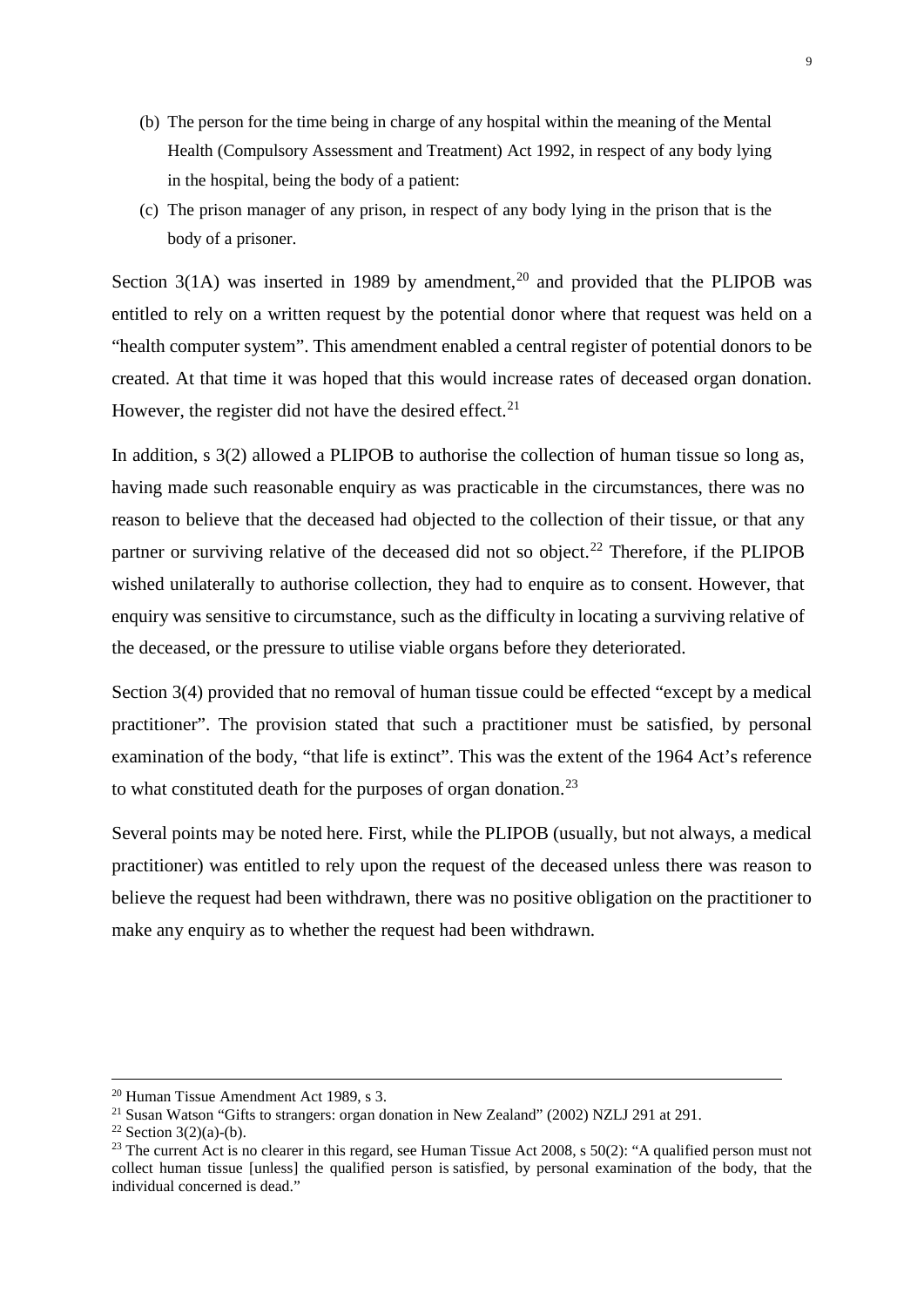- (b) The person for the time being in charge of any hospital within the meaning of the Mental Health (Compulsory Assessment and Treatment) Act 1992, in respect of any body lying in the hospital, being the body of a patient:
- (c) The prison manager of any prison, in respect of any body lying in the prison that is the body of a prisoner.

Section  $3(1A)$  was inserted in 1989 by amendment.<sup>[20](#page-9-0)</sup> and provided that the PLIPOB was entitled to rely on a written request by the potential donor where that request was held on a "health computer system". This amendment enabled a central register of potential donors to be created. At that time it was hoped that this would increase rates of deceased organ donation. However, the register did not have the desired effect.<sup>[21](#page-9-1)</sup>

In addition, s 3(2) allowed a PLIPOB to authorise the collection of human tissue so long as, having made such reasonable enquiry as was practicable in the circumstances, there was no reason to believe that the deceased had objected to the collection of their tissue, or that any partner or surviving relative of the deceased did not so object.<sup>[22](#page-9-2)</sup> Therefore, if the PLIPOB wished unilaterally to authorise collection, they had to enquire as to consent. However, that enquiry was sensitive to circumstance, such as the difficulty in locating a surviving relative of the deceased, or the pressure to utilise viable organs before they deteriorated.

Section 3(4) provided that no removal of human tissue could be effected "except by a medical practitioner". The provision stated that such a practitioner must be satisfied, by personal examination of the body, "that life is extinct". This was the extent of the 1964 Act's reference to what constituted death for the purposes of organ donation.<sup>23</sup>

Several points may be noted here. First, while the PLIPOB (usually, but not always, a medical practitioner) was entitled to rely upon the request of the deceased unless there was reason to believe the request had been withdrawn, there was no positive obligation on the practitioner to make any enquiry as to whether the request had been withdrawn.

<span id="page-9-0"></span> <sup>20</sup> Human Tissue Amendment Act 1989, s 3.

<span id="page-9-1"></span><sup>&</sup>lt;sup>21</sup> Susan Watson "Gifts to strangers: organ donation in New Zealand" (2002) NZLJ 291 at 291.<br><sup>22</sup> Section 3(2)(a)-(b).

<span id="page-9-3"></span><span id="page-9-2"></span><sup>&</sup>lt;sup>23</sup> The current Act is no clearer in this regard, see Human Tissue Act 2008, s  $50(2)$ : "A qualified person must not collect human tissue [unless] the qualified person is satisfied, by personal examination of the body, that the individual concerned is dead."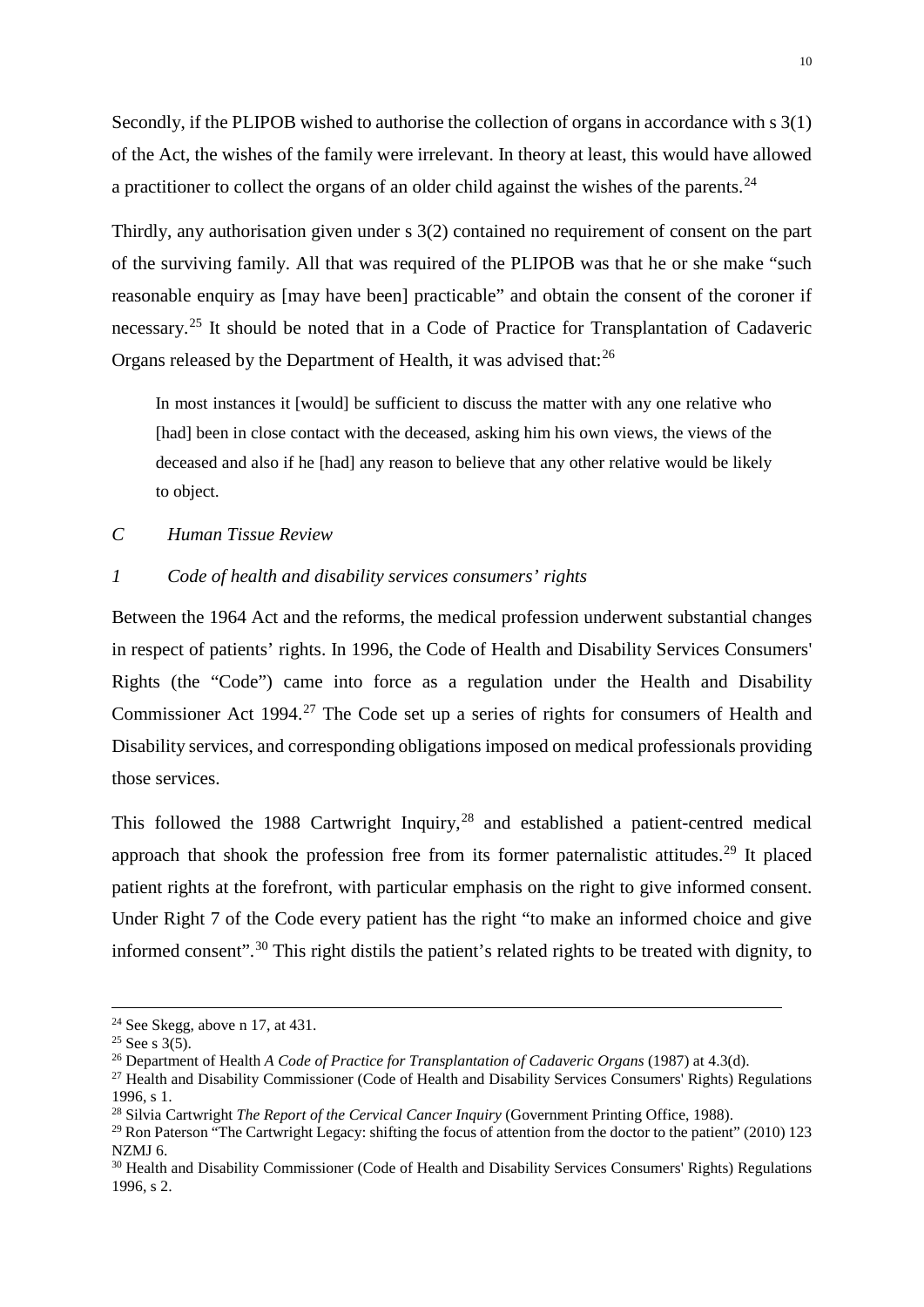Secondly, if the PLIPOB wished to authorise the collection of organs in accordance with s 3(1) of the Act, the wishes of the family were irrelevant. In theory at least, this would have allowed a practitioner to collect the organs of an older child against the wishes of the parents.<sup>[24](#page-10-2)</sup>

Thirdly, any authorisation given under s 3(2) contained no requirement of consent on the part of the surviving family. All that was required of the PLIPOB was that he or she make "such reasonable enquiry as [may have been] practicable" and obtain the consent of the coroner if necessary.<sup>[25](#page-10-3)</sup> It should be noted that in a Code of Practice for Transplantation of Cadaveric Organs released by the Department of Health, it was advised that:<sup>[26](#page-10-4)</sup>

In most instances it [would] be sufficient to discuss the matter with any one relative who [had] been in close contact with the deceased, asking him his own views, the views of the deceased and also if he [had] any reason to believe that any other relative would be likely to object.

<span id="page-10-0"></span>*C Human Tissue Review*

# <span id="page-10-1"></span>*1 Code of health and disability services consumers' rights*

Between the 1964 Act and the reforms, the medical profession underwent substantial changes in respect of patients' rights. In 1996, the Code of Health and Disability Services Consumers' Rights (the "Code") came into force as a regulation under the Health and Disability Commissioner Act 1994.<sup>[27](#page-10-5)</sup> The Code set up a series of rights for consumers of Health and Disability services, and corresponding obligations imposed on medical professionals providing those services.

This followed the 1988 Cartwright Inquiry, $^{28}$  $^{28}$  $^{28}$  and established a patient-centred medical approach that shook the profession free from its former paternalistic attitudes.<sup>[29](#page-10-7)</sup> It placed patient rights at the forefront, with particular emphasis on the right to give informed consent. Under Right 7 of the Code every patient has the right "to make an informed choice and give informed consent".<sup>[30](#page-10-8)</sup> This right distils the patient's related rights to be treated with dignity, to

<span id="page-10-3"></span><span id="page-10-2"></span><sup>&</sup>lt;sup>24</sup> See Skegg, above n 17, at 431.<br><sup>25</sup> See s 3(5).<br><sup>26</sup> Department of Health *A Code of Practice for Transplantation of Cadaveric Organs* (1987) at 4.3(d).

<span id="page-10-5"></span><span id="page-10-4"></span><sup>&</sup>lt;sup>27</sup> Health and Disability Commissioner (Code of Health and Disability Services Consumers' Rights) Regulations 1996, s 1.<br><sup>28</sup> Silvia Cartwright *The Report of the Cervical Cancer Inquiry* (Government Printing Office, 1988).

<span id="page-10-7"></span><span id="page-10-6"></span><sup>&</sup>lt;sup>29</sup> Ron Paterson "The Cartwright Legacy: shifting the focus of attention from the doctor to the patient" (2010) 123 NZMJ 6.

<span id="page-10-8"></span><sup>&</sup>lt;sup>30</sup> Health and Disability Commissioner (Code of Health and Disability Services Consumers' Rights) Regulations 1996, s 2.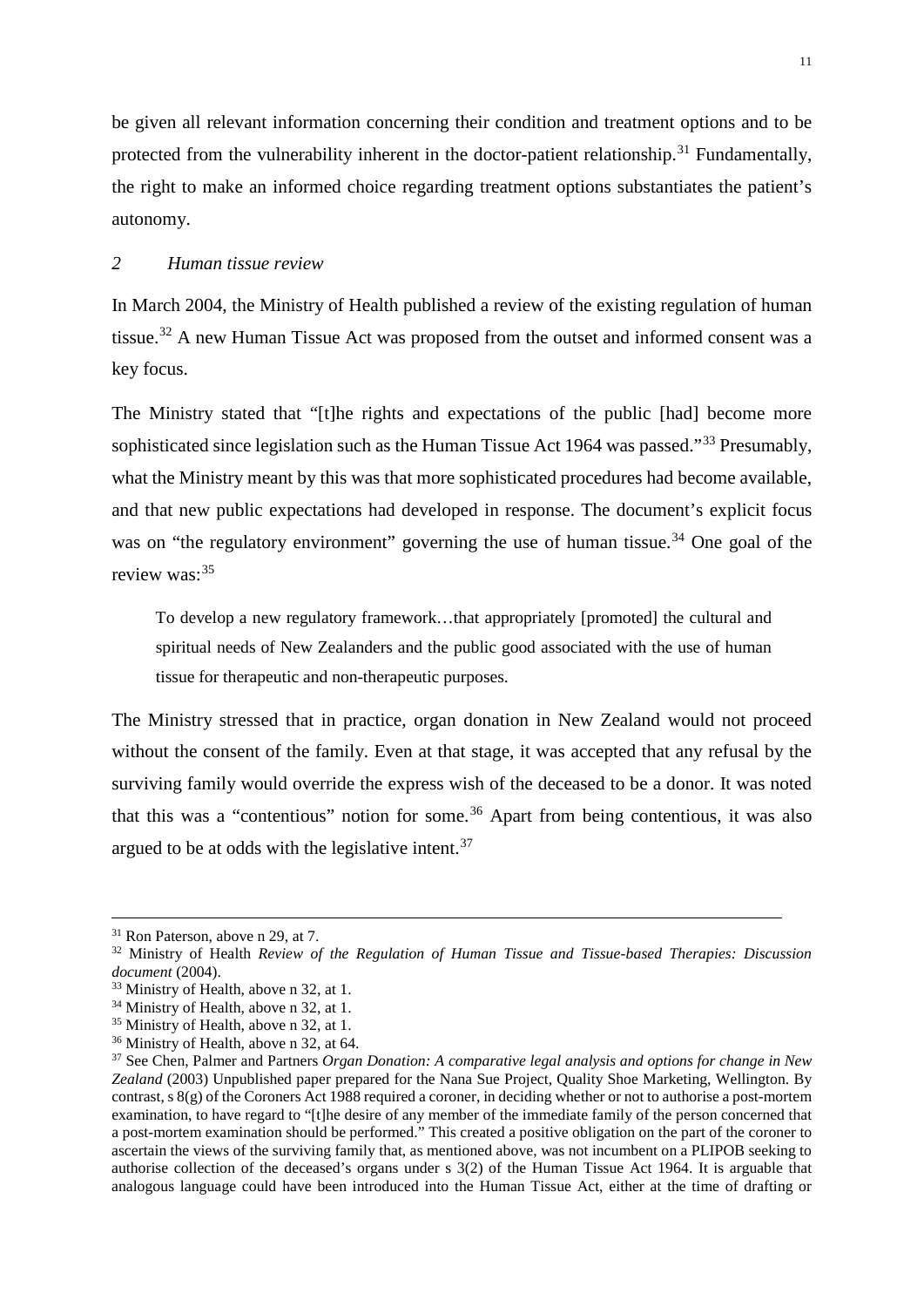be given all relevant information concerning their condition and treatment options and to be protected from the vulnerability inherent in the doctor-patient relationship.<sup>[31](#page-11-1)</sup> Fundamentally, the right to make an informed choice regarding treatment options substantiates the patient's autonomy.

# <span id="page-11-0"></span>*2 Human tissue review*

In March 2004, the Ministry of Health published a review of the existing regulation of human tissue.<sup>[32](#page-11-2)</sup> A new Human Tissue Act was proposed from the outset and informed consent was a key focus.

The Ministry stated that "[t]he rights and expectations of the public [had] become more sophisticated since legislation such as the Human Tissue Act 1964 was passed."<sup>[33](#page-11-3)</sup> Presumably, what the Ministry meant by this was that more sophisticated procedures had become available, and that new public expectations had developed in response. The document's explicit focus was on "the regulatory environment" governing the use of human tissue.<sup>[34](#page-11-4)</sup> One goal of the review was: [35](#page-11-5)

To develop a new regulatory framework…that appropriately [promoted] the cultural and spiritual needs of New Zealanders and the public good associated with the use of human tissue for therapeutic and non-therapeutic purposes.

The Ministry stressed that in practice, organ donation in New Zealand would not proceed without the consent of the family. Even at that stage, it was accepted that any refusal by the surviving family would override the express wish of the deceased to be a donor. It was noted that this was a "contentious" notion for some.<sup>[36](#page-11-6)</sup> Apart from being contentious, it was also argued to be at odds with the legislative intent.<sup>[37](#page-11-7)</sup>

<span id="page-11-2"></span><span id="page-11-1"></span><sup>&</sup>lt;sup>31</sup> Ron Paterson, above n 29, at 7.<br><sup>32</sup> Ministry of Health *Review of the Regulation of Human Tissue and Tissue-based Therapies: Discussion <i>document* (2004).

<span id="page-11-3"></span><sup>&</sup>lt;sup>33</sup> Ministry of Health, above n 32, at 1.

<span id="page-11-4"></span><sup>&</sup>lt;sup>34</sup> Ministry of Health, above n 32, at 1.

<span id="page-11-5"></span><sup>35</sup> Ministry of Health, above n 32, at 1.

<span id="page-11-6"></span><sup>&</sup>lt;sup>36</sup> Ministry of Health, above n 32, at 64.

<span id="page-11-7"></span><sup>37</sup> See Chen, Palmer and Partners *Organ Donation: A comparative legal analysis and options for change in New Zealand* (2003) Unpublished paper prepared for the Nana Sue Project, Quality Shoe Marketing, Wellington. By contrast, s 8(g) of the Coroners Act 1988 required a coroner, in deciding whether or not to authorise a post-mortem examination, to have regard to "[t]he desire of any member of the immediate family of the person concerned that a post-mortem examination should be performed." This created a positive obligation on the part of the coroner to ascertain the views of the surviving family that, as mentioned above, was not incumbent on a PLIPOB seeking to authorise collection of the deceased's organs under s 3(2) of the Human Tissue Act 1964. It is arguable that analogous language could have been introduced into the Human Tissue Act, either at the time of drafting or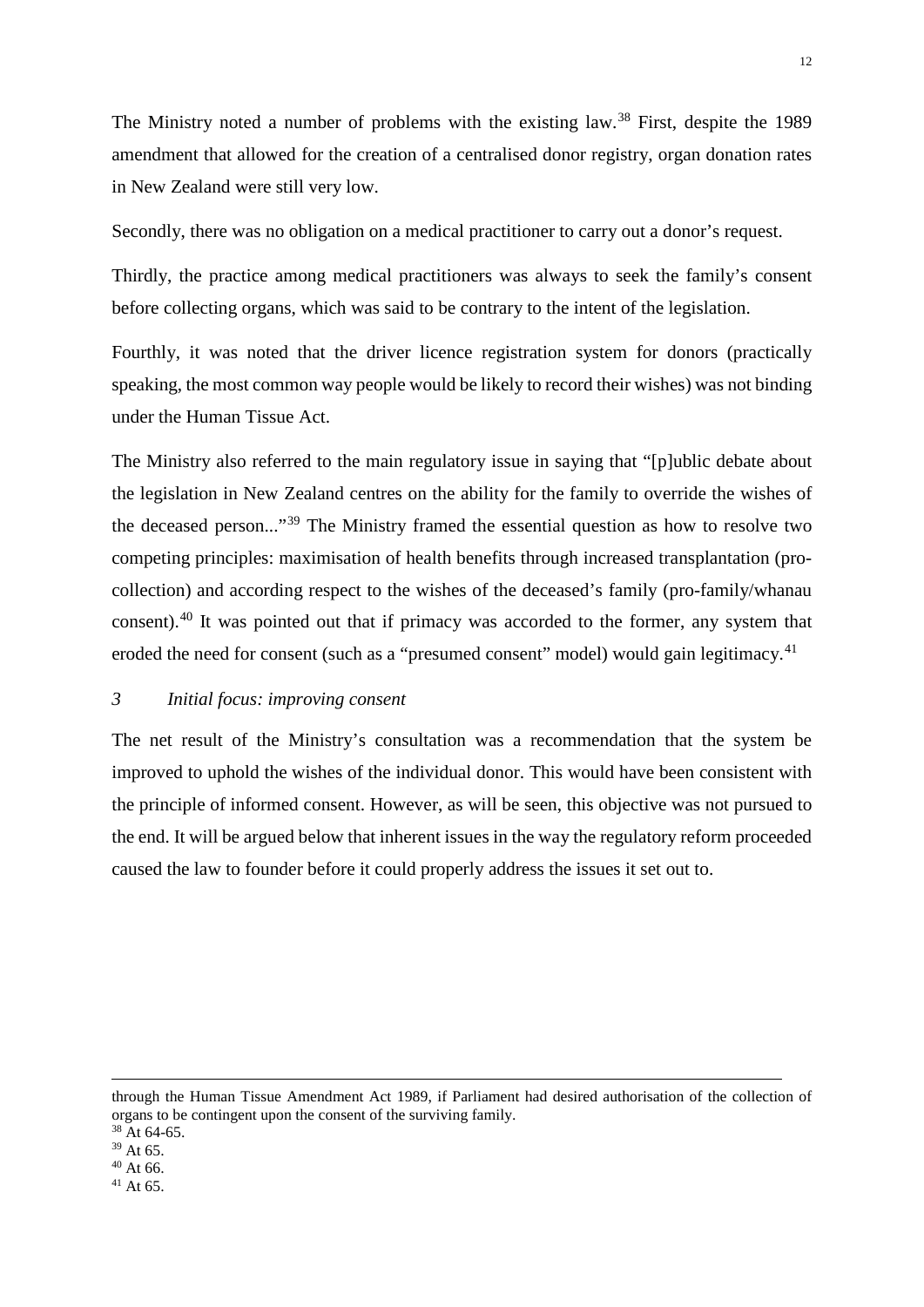The Ministry noted a number of problems with the existing law.<sup>[38](#page-12-1)</sup> First, despite the 1989 amendment that allowed for the creation of a centralised donor registry, organ donation rates in New Zealand were still very low.

Secondly, there was no obligation on a medical practitioner to carry out a donor's request.

Thirdly, the practice among medical practitioners was always to seek the family's consent before collecting organs, which was said to be contrary to the intent of the legislation.

Fourthly, it was noted that the driver licence registration system for donors (practically speaking, the most common way people would be likely to record their wishes) was not binding under the Human Tissue Act.

The Ministry also referred to the main regulatory issue in saying that "[p]ublic debate about the legislation in New Zealand centres on the ability for the family to override the wishes of the deceased person..."[39](#page-12-2) The Ministry framed the essential question as how to resolve two competing principles: maximisation of health benefits through increased transplantation (procollection) and according respect to the wishes of the deceased's family (pro-family/whanau consent).[40](#page-12-3) It was pointed out that if primacy was accorded to the former, any system that eroded the need for consent (such as a "presumed consent" model) would gain legitimacy.<sup>41</sup>

#### <span id="page-12-0"></span>*3 Initial focus: improving consent*

The net result of the Ministry's consultation was a recommendation that the system be improved to uphold the wishes of the individual donor. This would have been consistent with the principle of informed consent. However, as will be seen, this objective was not pursued to the end. It will be argued below that inherent issues in the way the regulatory reform proceeded caused the law to founder before it could properly address the issues it set out to.

-

through the Human Tissue Amendment Act 1989, if Parliament had desired authorisation of the collection of organs to be contingent upon the consent of the surviving family.

<span id="page-12-1"></span><sup>38</sup> At 64-65.

<span id="page-12-2"></span><sup>39</sup> At 65.

<span id="page-12-4"></span><span id="page-12-3"></span> $40$  At 66.<br> $41$  At 65.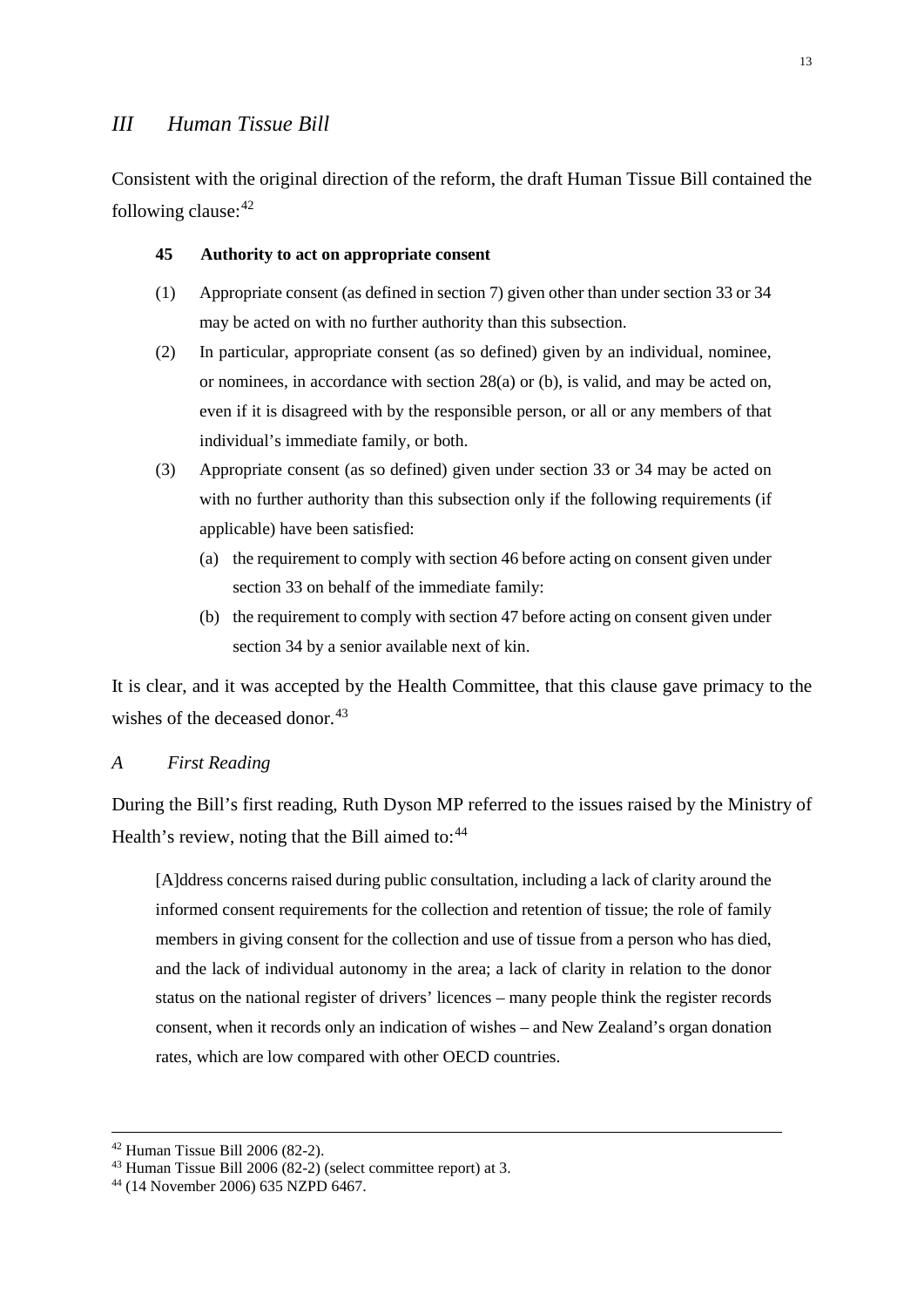# <span id="page-13-0"></span>*III Human Tissue Bill*

Consistent with the original direction of the reform, the draft Human Tissue Bill contained the following clause:  $42$ 

#### **45 Authority to act on appropriate consent**

- (1) Appropriate consent (as defined in section 7) given other than under section 33 or 34 may be acted on with no further authority than this subsection.
- (2) In particular, appropriate consent (as so defined) given by an individual, nominee, or nominees, in accordance with section 28(a) or (b), is valid, and may be acted on, even if it is disagreed with by the responsible person, or all or any members of that individual's immediate family, or both.
- (3) Appropriate consent (as so defined) given under section 33 or 34 may be acted on with no further authority than this subsection only if the following requirements (if applicable) have been satisfied:
	- (a) the requirement to comply with section 46 before acting on consent given under section 33 on behalf of the immediate family:
	- (b) the requirement to comply with section 47 before acting on consent given under section 34 by a senior available next of kin.

It is clear, and it was accepted by the Health Committee, that this clause gave primacy to the wishes of the deceased donor.<sup>[43](#page-13-3)</sup>

# <span id="page-13-1"></span>*A First Reading*

During the Bill's first reading, Ruth Dyson MP referred to the issues raised by the Ministry of Health's review, noting that the Bill aimed to:<sup>[44](#page-13-4)</sup>

[A]ddress concerns raised during public consultation, including a lack of clarity around the informed consent requirements for the collection and retention of tissue; the role of family members in giving consent for the collection and use of tissue from a person who has died, and the lack of individual autonomy in the area; a lack of clarity in relation to the donor status on the national register of drivers' licences – many people think the register records consent, when it records only an indication of wishes – and New Zealand's organ donation rates, which are low compared with other OECD countries.

<span id="page-13-2"></span><sup>&</sup>lt;sup>42</sup> Human Tissue Bill 2006 (82-2).<br><sup>43</sup> Human Tissue Bill 2006 (82-2) (select committee report) at 3.

<span id="page-13-4"></span><span id="page-13-3"></span><sup>44</sup> (14 November 2006) 635 NZPD 6467.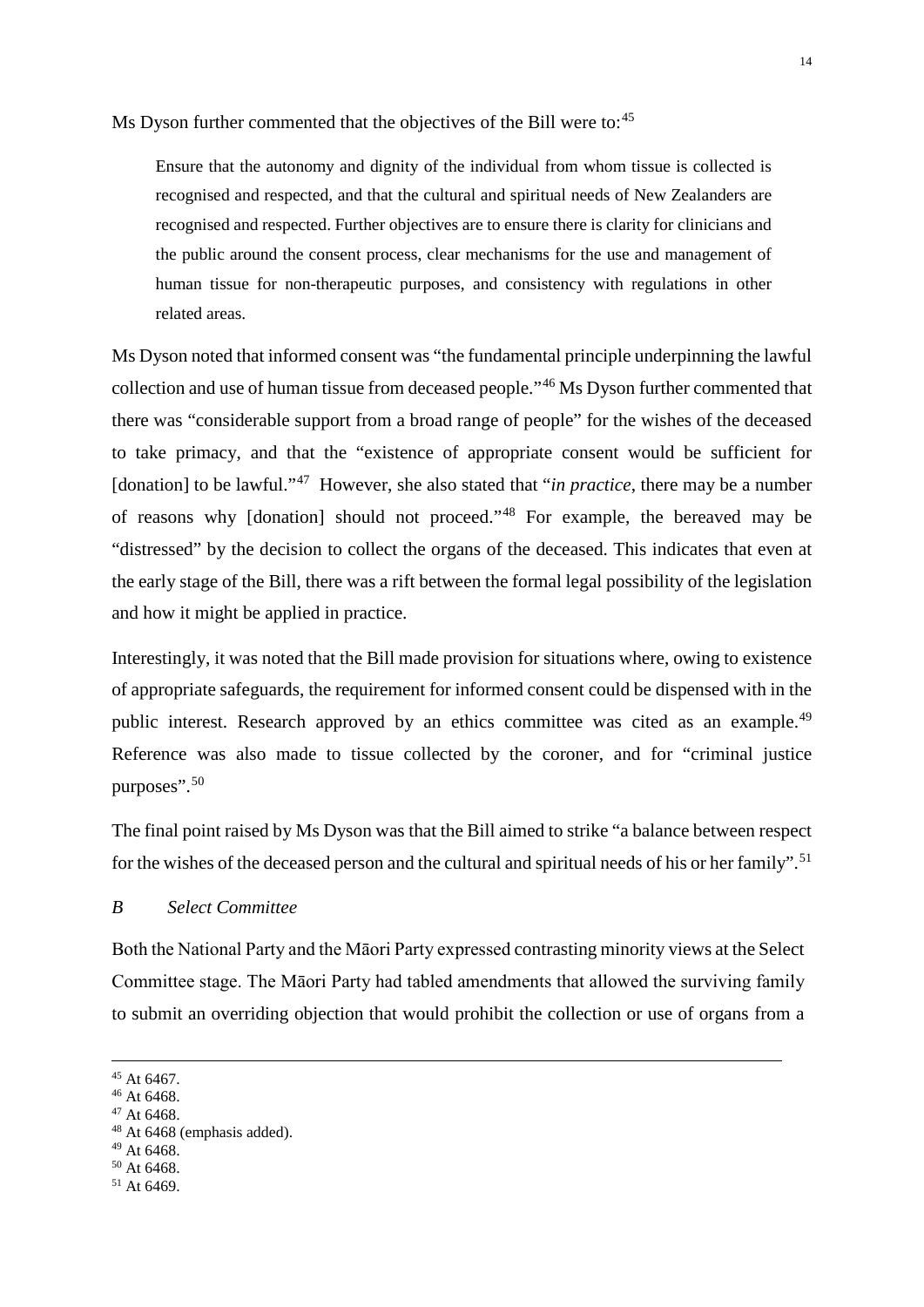Ms Dyson further commented that the objectives of the Bill were to:<sup>[45](#page-14-1)</sup>

Ensure that the autonomy and dignity of the individual from whom tissue is collected is recognised and respected, and that the cultural and spiritual needs of New Zealanders are recognised and respected. Further objectives are to ensure there is clarity for clinicians and the public around the consent process, clear mechanisms for the use and management of human tissue for non-therapeutic purposes, and consistency with regulations in other related areas.

Ms Dyson noted that informed consent was "the fundamental principle underpinning the lawful collection and use of human tissue from deceased people."[46](#page-14-2) Ms Dyson further commented that there was "considerable support from a broad range of people" for the wishes of the deceased to take primacy, and that the "existence of appropriate consent would be sufficient for [donation] to be lawful."<sup>47</sup> However, she also stated that "*in practice*, there may be a number of reasons why [donation] should not proceed."[48](#page-14-4) For example, the bereaved may be "distressed" by the decision to collect the organs of the deceased. This indicates that even at the early stage of the Bill, there was a rift between the formal legal possibility of the legislation and how it might be applied in practice.

Interestingly, it was noted that the Bill made provision for situations where, owing to existence of appropriate safeguards, the requirement for informed consent could be dispensed with in the public interest. Research approved by an ethics committee was cited as an example.<sup>[49](#page-14-5)</sup> Reference was also made to tissue collected by the coroner, and for "criminal justice purposes".[50](#page-14-6)

The final point raised by Ms Dyson was that the Bill aimed to strike "a balance between respect for the wishes of the deceased person and the cultural and spiritual needs of his or her family".<sup>[51](#page-14-7)</sup>

# <span id="page-14-0"></span>*B Select Committee*

Both the National Party and the Māori Party expressed contrasting minority views at the Select Committee stage. The Māori Party had tabled amendments that allowed the surviving family to submit an overriding objection that would prohibit the collection or use of organs from a

<span id="page-14-1"></span> $^{45}$  At 6467.  $^{46}$  At 6468.

<span id="page-14-3"></span><span id="page-14-2"></span> $47$  At 6468.<br> $48$  At 6468 (emphasis added).

<span id="page-14-5"></span><span id="page-14-4"></span><sup>49</sup> At 6468.

<span id="page-14-7"></span><span id="page-14-6"></span> $50$  At 6468.<br> $51$  At 6469.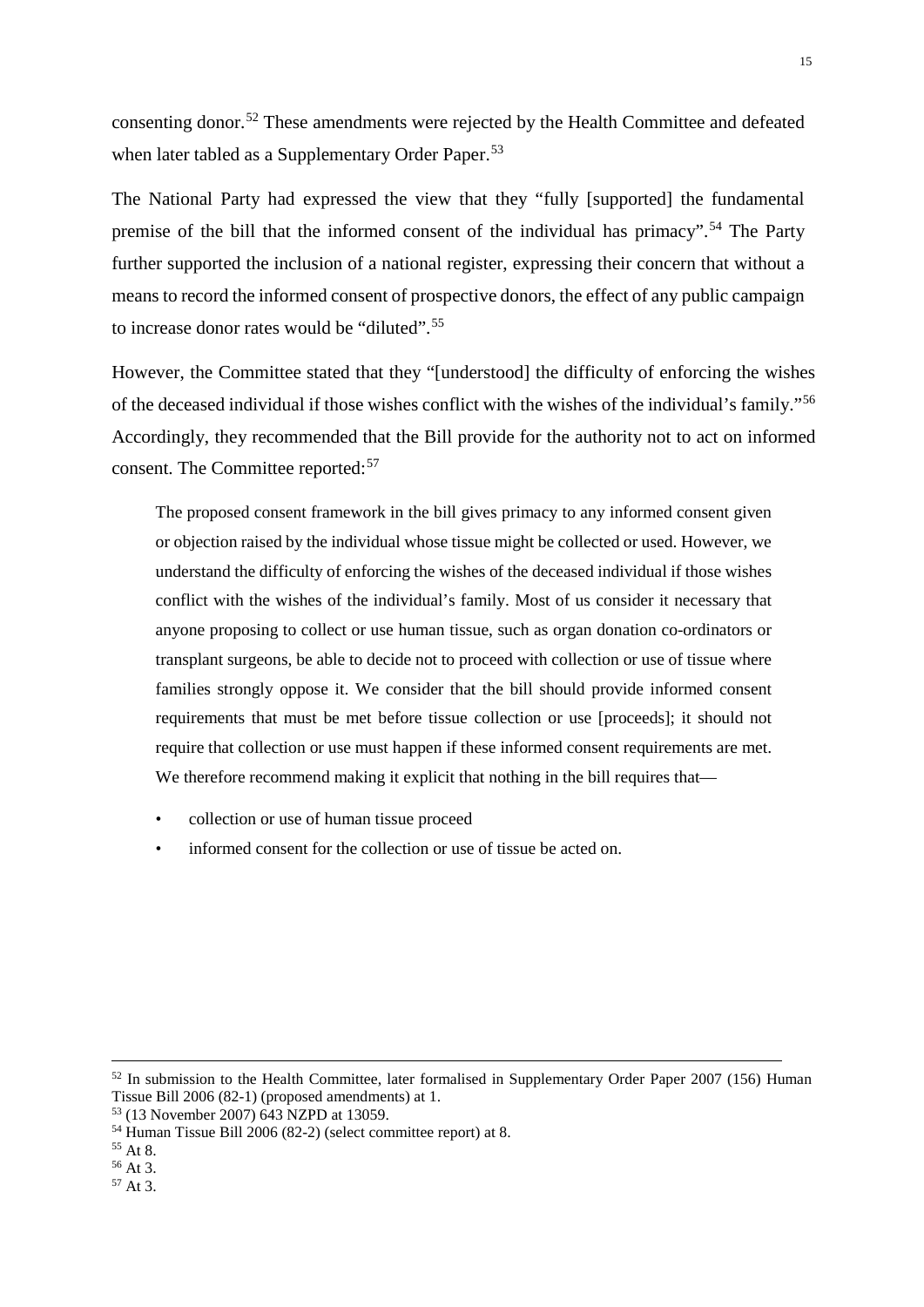consenting donor.[52](#page-15-0) These amendments were rejected by the Health Committee and defeated when later tabled as a Supplementary Order Paper.<sup>[53](#page-15-1)</sup>

The National Party had expressed the view that they "fully [supported] the fundamental premise of the bill that the informed consent of the individual has primacy".[54](#page-15-2) The Party further supported the inclusion of a national register, expressing their concern that without a means to record the informed consent of prospective donors, the effect of any public campaign to increase donor rates would be "diluted".[55](#page-15-3)

However, the Committee stated that they "[understood] the difficulty of enforcing the wishes of the deceased individual if those wishes conflict with the wishes of the individual's family."[56](#page-15-4) Accordingly, they recommended that the Bill provide for the authority not to act on informed consent. The Committee reported:[57](#page-15-5)

The proposed consent framework in the bill gives primacy to any informed consent given or objection raised by the individual whose tissue might be collected or used. However, we understand the difficulty of enforcing the wishes of the deceased individual if those wishes conflict with the wishes of the individual's family. Most of us consider it necessary that anyone proposing to collect or use human tissue, such as organ donation co-ordinators or transplant surgeons, be able to decide not to proceed with collection or use of tissue where families strongly oppose it. We consider that the bill should provide informed consent requirements that must be met before tissue collection or use [proceeds]; it should not require that collection or use must happen if these informed consent requirements are met. We therefore recommend making it explicit that nothing in the bill requires that—

- collection or use of human tissue proceed
- informed consent for the collection or use of tissue be acted on.

<span id="page-15-0"></span> $52$  In submission to the Health Committee, later formalised in Supplementary Order Paper 2007 (156) Human Tissue Bill 2006 (82-1) (proposed amendments) at 1.

<span id="page-15-1"></span> $53$  (13 November 2007) 643 NZPD at 13059.

<span id="page-15-2"></span><sup>&</sup>lt;sup>54</sup> Human Tissue Bill 2006 (82-2) (select committee report) at 8.<br><sup>55</sup> At 8.<br><sup>56</sup> At 3.<br><sup>57</sup> At 3.

<span id="page-15-4"></span><span id="page-15-3"></span>

<span id="page-15-5"></span>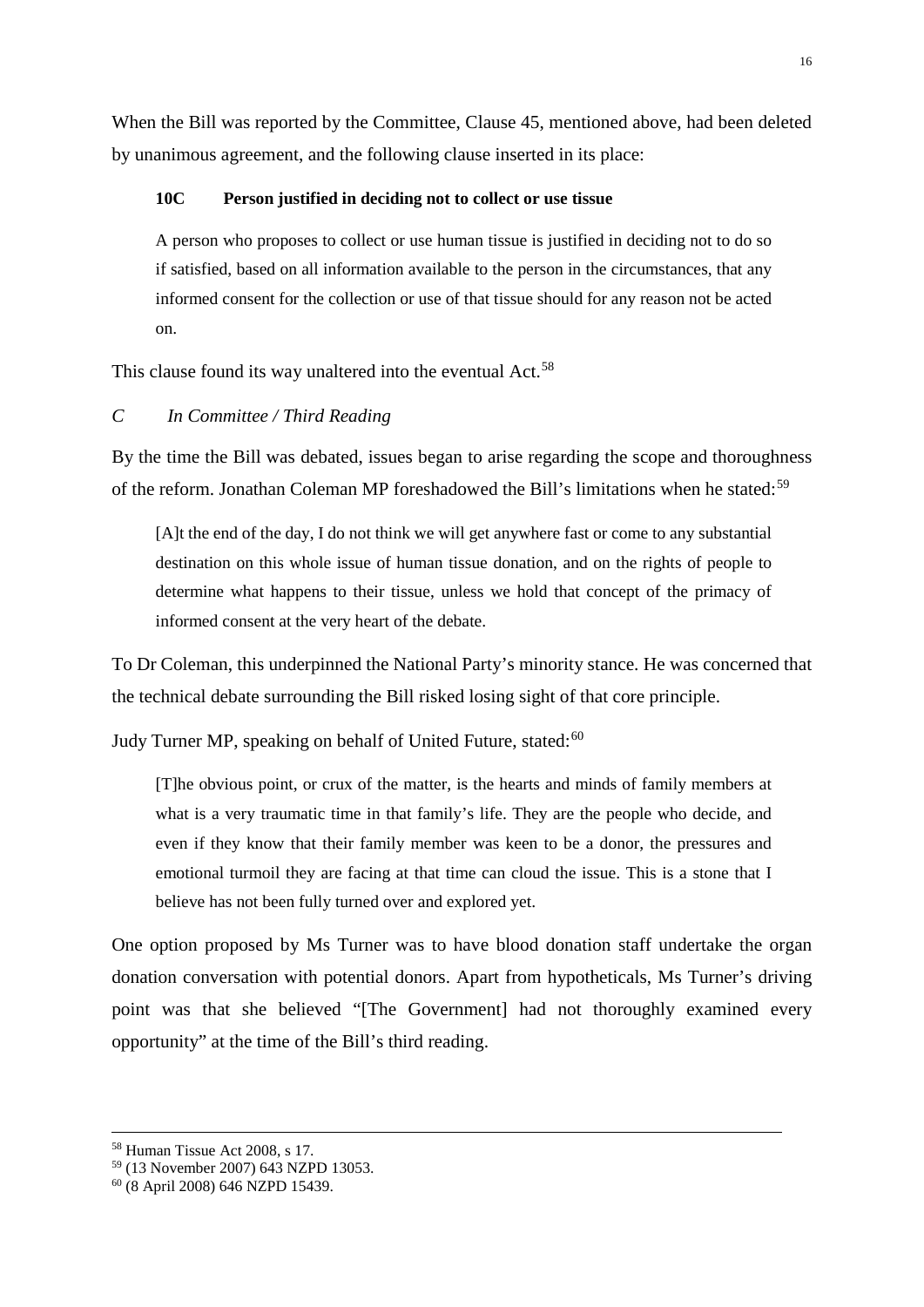When the Bill was reported by the Committee, Clause 45, mentioned above, had been deleted by unanimous agreement, and the following clause inserted in its place:

# **10C Person justified in deciding not to collect or use tissue**

A person who proposes to collect or use human tissue is justified in deciding not to do so if satisfied, based on all information available to the person in the circumstances, that any informed consent for the collection or use of that tissue should for any reason not be acted on.

This clause found its way unaltered into the eventual Act.<sup>[58](#page-16-1)</sup>

# <span id="page-16-0"></span>*C In Committee / Third Reading*

By the time the Bill was debated, issues began to arise regarding the scope and thoroughness of the reform. Jonathan Coleman MP foreshadowed the Bill's limitations when he stated:<sup>[59](#page-16-2)</sup>

[A]t the end of the day, I do not think we will get anywhere fast or come to any substantial destination on this whole issue of human tissue donation, and on the rights of people to determine what happens to their tissue, unless we hold that concept of the primacy of informed consent at the very heart of the debate.

To Dr Coleman, this underpinned the National Party's minority stance. He was concerned that the technical debate surrounding the Bill risked losing sight of that core principle.

Judy Turner MP, speaking on behalf of United Future, stated:<sup>[60](#page-16-3)</sup>

[T]he obvious point, or crux of the matter, is the hearts and minds of family members at what is a very traumatic time in that family's life. They are the people who decide, and even if they know that their family member was keen to be a donor, the pressures and emotional turmoil they are facing at that time can cloud the issue. This is a stone that I believe has not been fully turned over and explored yet.

One option proposed by Ms Turner was to have blood donation staff undertake the organ donation conversation with potential donors. Apart from hypotheticals, Ms Turner's driving point was that she believed "[The Government] had not thoroughly examined every opportunity" at the time of the Bill's third reading.

<span id="page-16-1"></span> <sup>58</sup> Human Tissue Act 2008, s 17.

<span id="page-16-2"></span><sup>&</sup>lt;sup>59</sup> (13 November 2007) 643 NZPD 13053.<br><sup>60</sup> (8 April 2008) 646 NZPD 15439.

<span id="page-16-3"></span>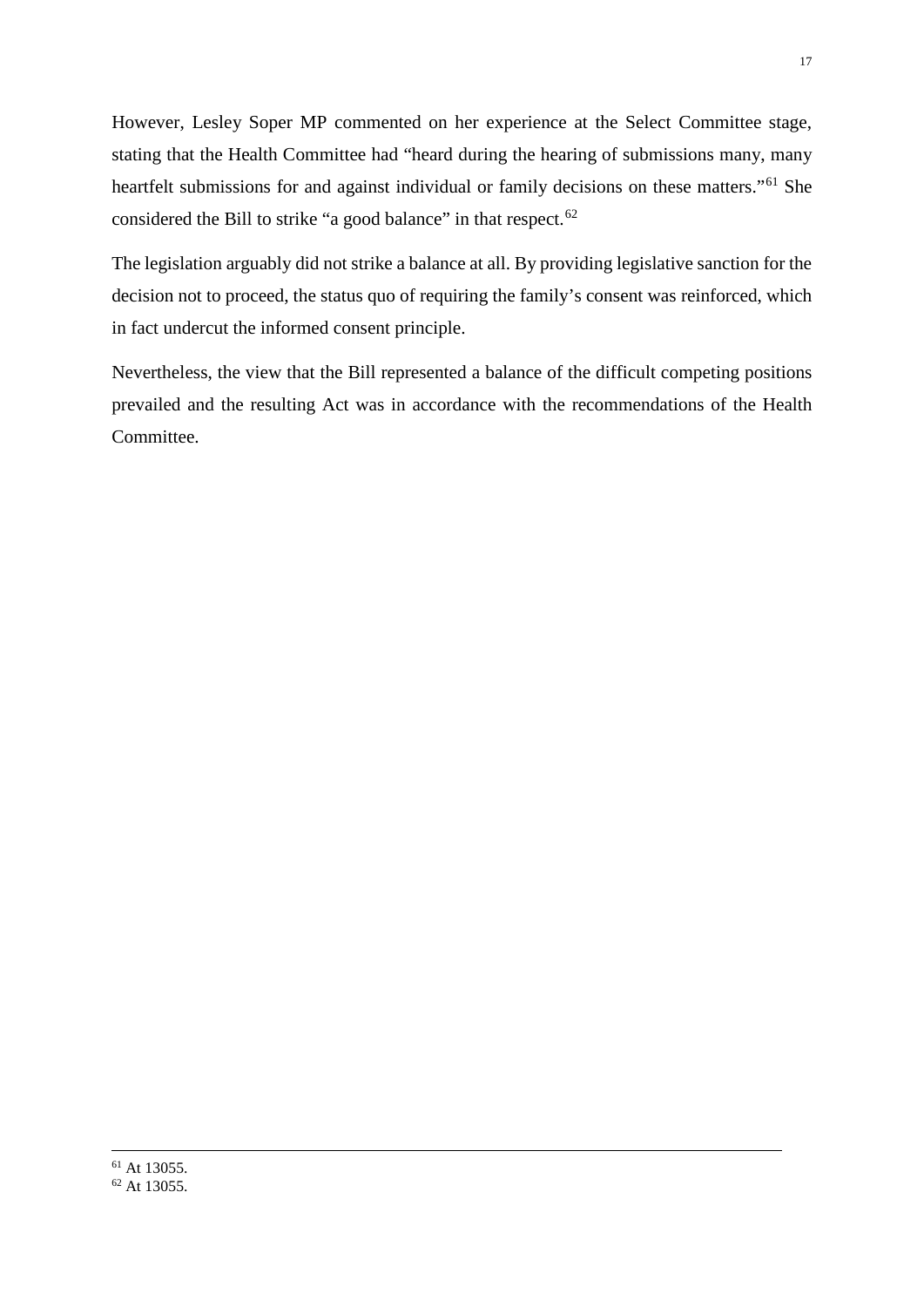However, Lesley Soper MP commented on her experience at the Select Committee stage, stating that the Health Committee had "heard during the hearing of submissions many, many heartfelt submissions for and against individual or family decisions on these matters."<sup>[61](#page-17-1)</sup> She considered the Bill to strike "a good balance" in that respect.<sup>[62](#page-17-2)</sup>

The legislation arguably did not strike a balance at all. By providing legislative sanction for the decision not to proceed, the status quo of requiring the family's consent was reinforced, which in fact undercut the informed consent principle.

<span id="page-17-2"></span><span id="page-17-1"></span><span id="page-17-0"></span>Nevertheless, the view that the Bill represented a balance of the difficult competing positions prevailed and the resulting Act was in accordance with the recommendations of the Health Committee.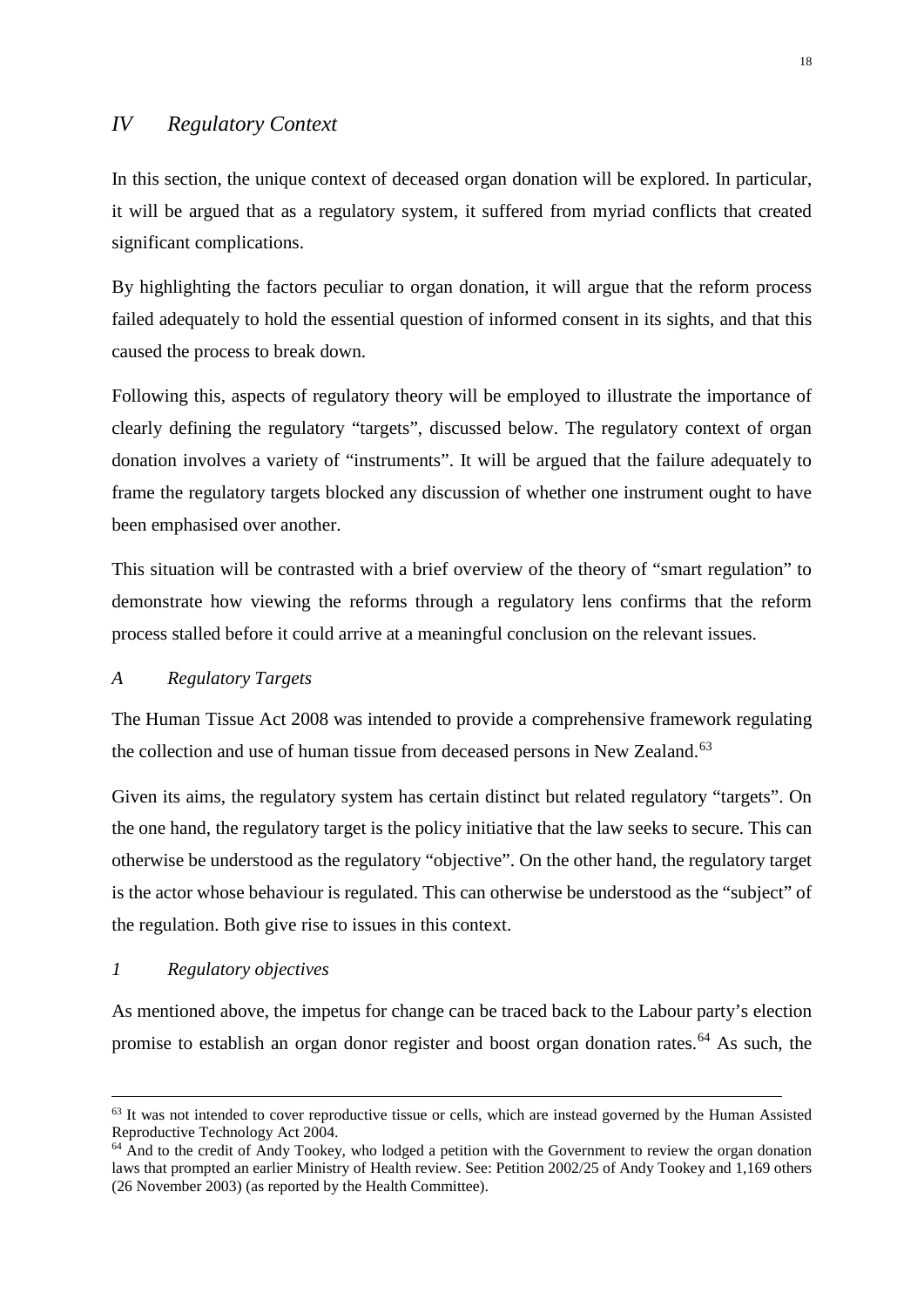# *IV Regulatory Context*

In this section, the unique context of deceased organ donation will be explored. In particular, it will be argued that as a regulatory system, it suffered from myriad conflicts that created significant complications.

By highlighting the factors peculiar to organ donation, it will argue that the reform process failed adequately to hold the essential question of informed consent in its sights, and that this caused the process to break down.

Following this, aspects of regulatory theory will be employed to illustrate the importance of clearly defining the regulatory "targets", discussed below. The regulatory context of organ donation involves a variety of "instruments". It will be argued that the failure adequately to frame the regulatory targets blocked any discussion of whether one instrument ought to have been emphasised over another.

This situation will be contrasted with a brief overview of the theory of "smart regulation" to demonstrate how viewing the reforms through a regulatory lens confirms that the reform process stalled before it could arrive at a meaningful conclusion on the relevant issues.

#### <span id="page-18-0"></span>*A Regulatory Targets*

The Human Tissue Act 2008 was intended to provide a comprehensive framework regulating the collection and use of human tissue from deceased persons in New Zealand.<sup>[63](#page-18-2)</sup>

Given its aims, the regulatory system has certain distinct but related regulatory "targets". On the one hand, the regulatory target is the policy initiative that the law seeks to secure. This can otherwise be understood as the regulatory "objective". On the other hand, the regulatory target is the actor whose behaviour is regulated. This can otherwise be understood as the "subject" of the regulation. Both give rise to issues in this context.

#### <span id="page-18-1"></span>*1 Regulatory objectives*

As mentioned above, the impetus for change can be traced back to the Labour party's election promise to establish an organ donor register and boost organ donation rates.<sup>[64](#page-18-3)</sup> As such, the

<span id="page-18-2"></span><sup>&</sup>lt;sup>63</sup> It was not intended to cover reproductive tissue or cells, which are instead governed by the Human Assisted Reproductive Technology Act 2004.

<span id="page-18-3"></span> $64$  And to the credit of Andy Tookey, who lodged a petition with the Government to review the organ donation laws that prompted an earlier Ministry of Health review. See: Petition 2002/25 of Andy Tookey and 1,169 others (26 November 2003) (as reported by the Health Committee).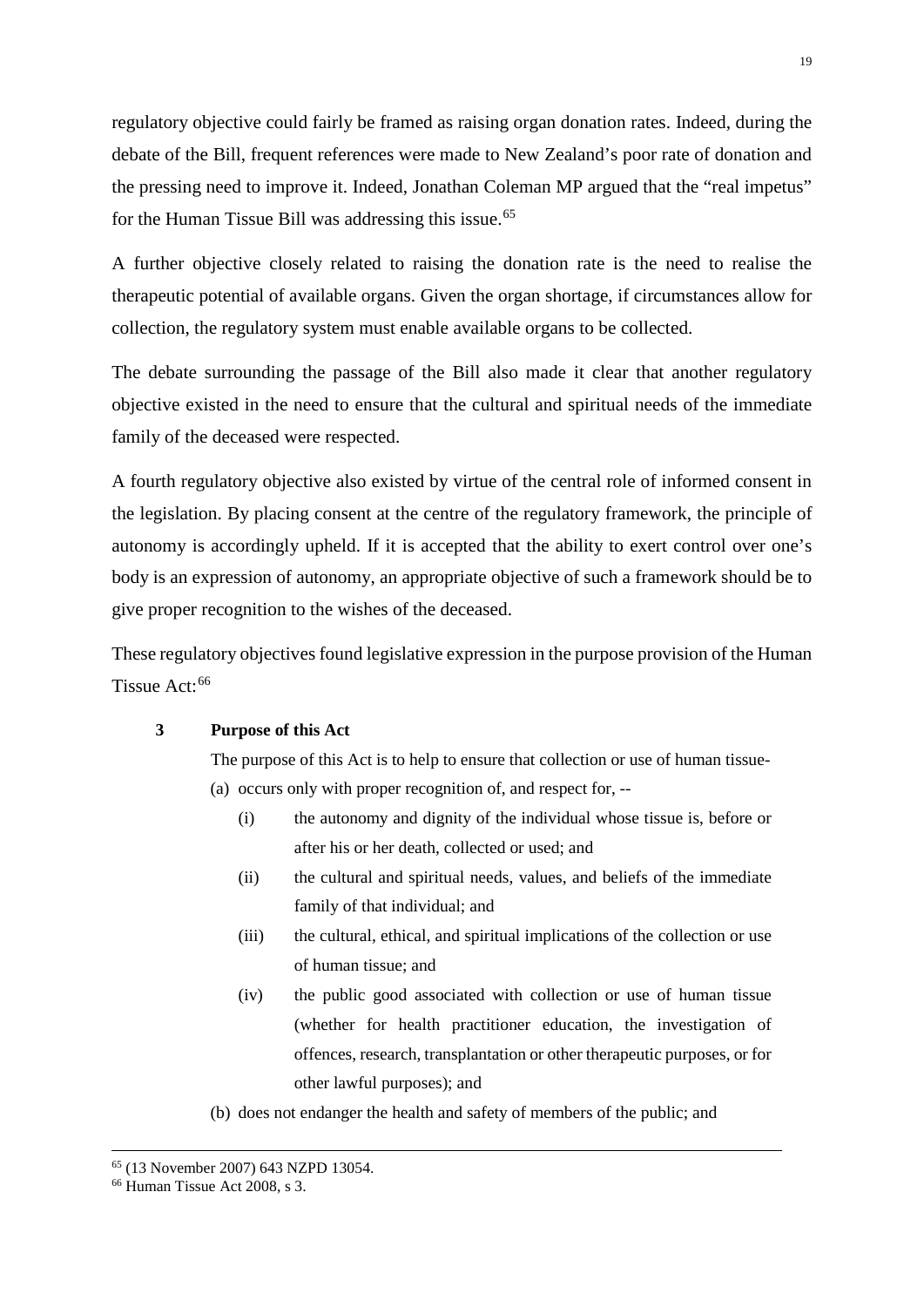regulatory objective could fairly be framed as raising organ donation rates. Indeed, during the debate of the Bill, frequent references were made to New Zealand's poor rate of donation and the pressing need to improve it. Indeed, Jonathan Coleman MP argued that the "real impetus" for the Human Tissue Bill was addressing this issue.<sup>[65](#page-19-0)</sup>

A further objective closely related to raising the donation rate is the need to realise the therapeutic potential of available organs. Given the organ shortage, if circumstances allow for collection, the regulatory system must enable available organs to be collected.

The debate surrounding the passage of the Bill also made it clear that another regulatory objective existed in the need to ensure that the cultural and spiritual needs of the immediate family of the deceased were respected.

A fourth regulatory objective also existed by virtue of the central role of informed consent in the legislation. By placing consent at the centre of the regulatory framework, the principle of autonomy is accordingly upheld. If it is accepted that the ability to exert control over one's body is an expression of autonomy, an appropriate objective of such a framework should be to give proper recognition to the wishes of the deceased.

These regulatory objectives found legislative expression in the purpose provision of the Human Tissue Act:<sup>[66](#page-19-1)</sup>

#### **3 Purpose of this Act**

The purpose of this Act is to help to ensure that collection or use of human tissue- (a) occurs only with proper recognition of, and respect for, --

- (i) the autonomy and dignity of the individual whose tissue is, before or after his or her death, collected or used; and
- (ii) the cultural and spiritual needs, values, and beliefs of the immediate family of that individual; and
- (iii) the cultural, ethical, and spiritual implications of the collection or use of human tissue; and
- (iv) the public good associated with collection or use of human tissue (whether for health practitioner education, the investigation of offences, research, transplantation or other therapeutic purposes, or for other lawful purposes); and
- (b) does not endanger the health and safety of members of the public; and

<span id="page-19-1"></span><span id="page-19-0"></span><sup>&</sup>lt;sup>65</sup> (13 November 2007) 643 NZPD 13054.<br><sup>66</sup> Human Tissue Act 2008, s 3.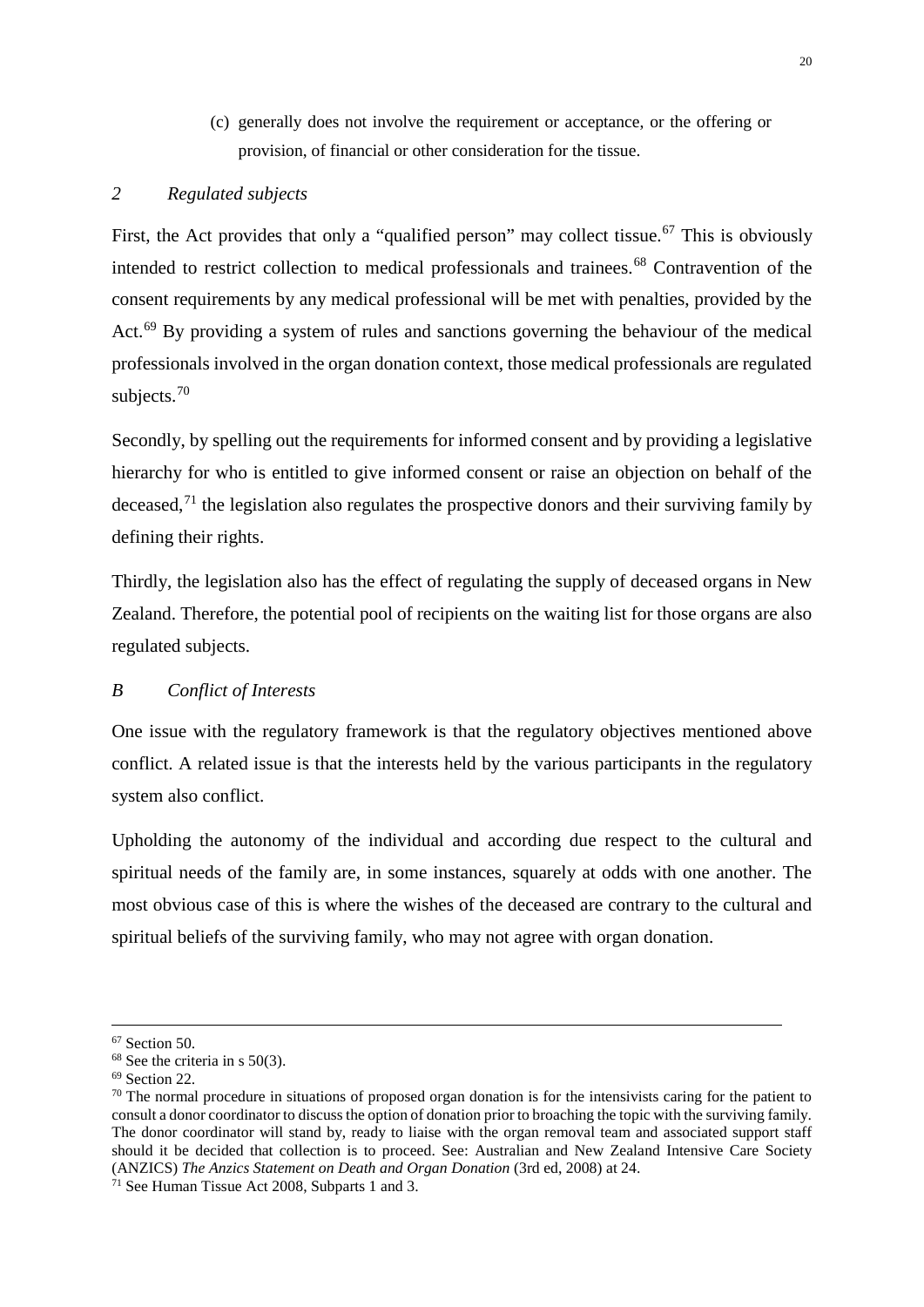(c) generally does not involve the requirement or acceptance, or the offering or provision, of financial or other consideration for the tissue.

# <span id="page-20-0"></span>*2 Regulated subjects*

First, the Act provides that only a "qualified person" may collect tissue.<sup>[67](#page-20-2)</sup> This is obviously intended to restrict collection to medical professionals and trainees.<sup>[68](#page-20-3)</sup> Contravention of the consent requirements by any medical professional will be met with penalties, provided by the Act.<sup>[69](#page-20-4)</sup> By providing a system of rules and sanctions governing the behaviour of the medical professionals involved in the organ donation context, those medical professionals are regulated subjects.[70](#page-20-5)

Secondly, by spelling out the requirements for informed consent and by providing a legislative hierarchy for who is entitled to give informed consent or raise an objection on behalf of the deceased,<sup>[71](#page-20-6)</sup> the legislation also regulates the prospective donors and their surviving family by defining their rights.

Thirdly, the legislation also has the effect of regulating the supply of deceased organs in New Zealand. Therefore, the potential pool of recipients on the waiting list for those organs are also regulated subjects.

# <span id="page-20-1"></span>*B Conflict of Interests*

One issue with the regulatory framework is that the regulatory objectives mentioned above conflict. A related issue is that the interests held by the various participants in the regulatory system also conflict.

Upholding the autonomy of the individual and according due respect to the cultural and spiritual needs of the family are, in some instances, squarely at odds with one another. The most obvious case of this is where the wishes of the deceased are contrary to the cultural and spiritual beliefs of the surviving family, who may not agree with organ donation.

<span id="page-20-5"></span><span id="page-20-4"></span>

<span id="page-20-3"></span><span id="page-20-2"></span><sup>&</sup>lt;sup>67</sup> Section 50.<br><sup>68</sup> See the criteria in s 50(3).<br><sup>69</sup> Section 22.<br><sup>70</sup> The normal procedure in situations of proposed organ donation is for the intensivists caring for the patient to consult a donor coordinator to discuss the option of donation prior to broaching the topic with the surviving family. The donor coordinator will stand by, ready to liaise with the organ removal team and associated support staff should it be decided that collection is to proceed. See: Australian and New Zealand Intensive Care Society (ANZICS) *The Anzics Statement on Death and Organ Donation* (3rd ed, 2008) at 24. 71 See Human Tissue Act 2008, Subparts 1 and 3.

<span id="page-20-6"></span>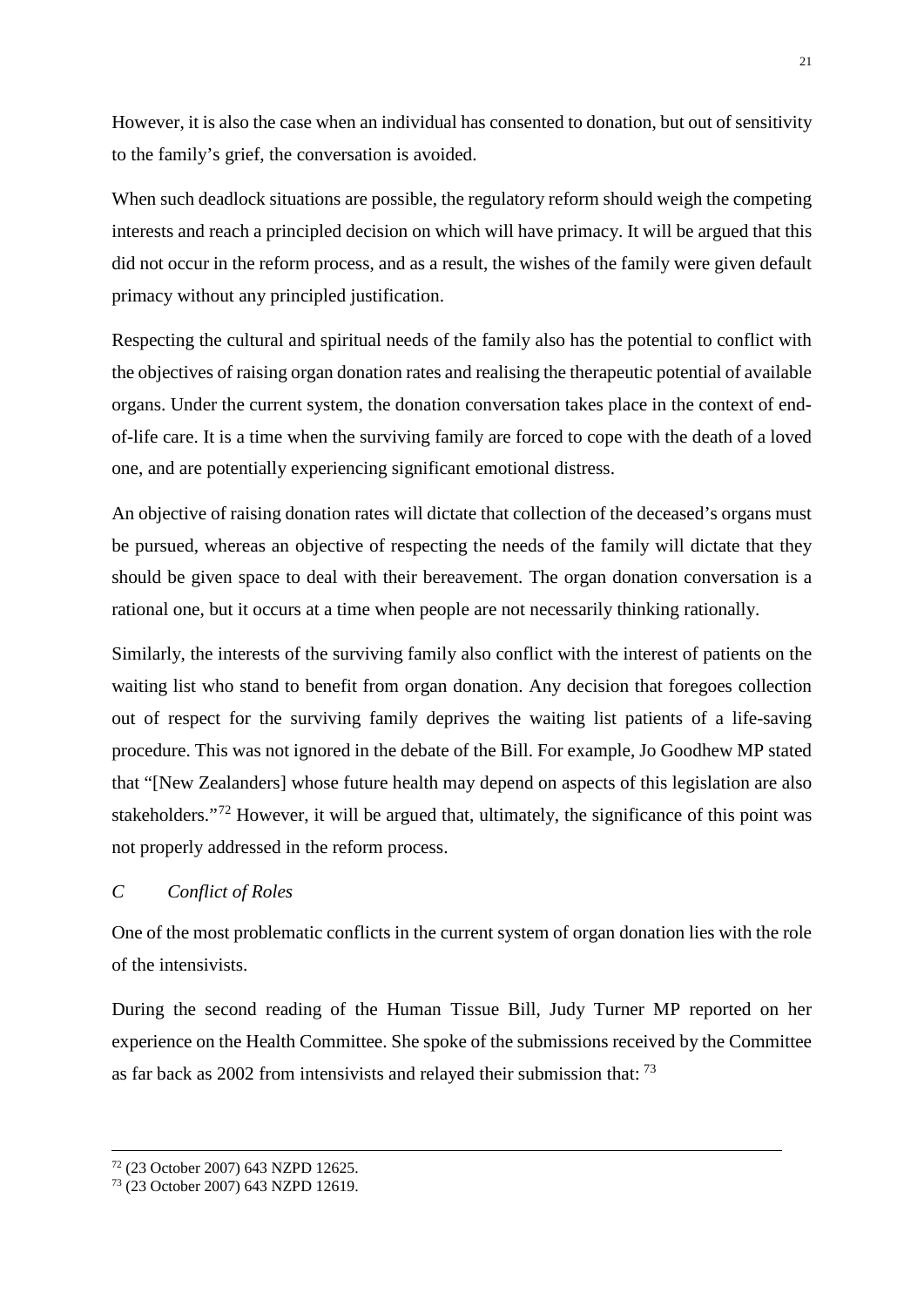However, it is also the case when an individual has consented to donation, but out of sensitivity to the family's grief, the conversation is avoided.

When such deadlock situations are possible, the regulatory reform should weigh the competing interests and reach a principled decision on which will have primacy. It will be argued that this did not occur in the reform process, and as a result, the wishes of the family were given default primacy without any principled justification.

Respecting the cultural and spiritual needs of the family also has the potential to conflict with the objectives of raising organ donation rates and realising the therapeutic potential of available organs. Under the current system, the donation conversation takes place in the context of endof-life care. It is a time when the surviving family are forced to cope with the death of a loved one, and are potentially experiencing significant emotional distress.

An objective of raising donation rates will dictate that collection of the deceased's organs must be pursued, whereas an objective of respecting the needs of the family will dictate that they should be given space to deal with their bereavement. The organ donation conversation is a rational one, but it occurs at a time when people are not necessarily thinking rationally.

Similarly, the interests of the surviving family also conflict with the interest of patients on the waiting list who stand to benefit from organ donation. Any decision that foregoes collection out of respect for the surviving family deprives the waiting list patients of a life-saving procedure. This was not ignored in the debate of the Bill. For example, Jo Goodhew MP stated that "[New Zealanders] whose future health may depend on aspects of this legislation are also stakeholders."[72](#page-21-1) However, it will be argued that, ultimately, the significance of this point was not properly addressed in the reform process.

# <span id="page-21-0"></span>*C Conflict of Roles*

One of the most problematic conflicts in the current system of organ donation lies with the role of the intensivists.

During the second reading of the Human Tissue Bill, Judy Turner MP reported on her experience on the Health Committee. She spoke of the submissions received by the Committee as far back as 2002 from intensivists and relayed their submission that: [73](#page-21-2)

<span id="page-21-2"></span><span id="page-21-1"></span><sup>72</sup> (23 October 2007) 643 NZPD 12625. 73 (23 October 2007) 643 NZPD 12619.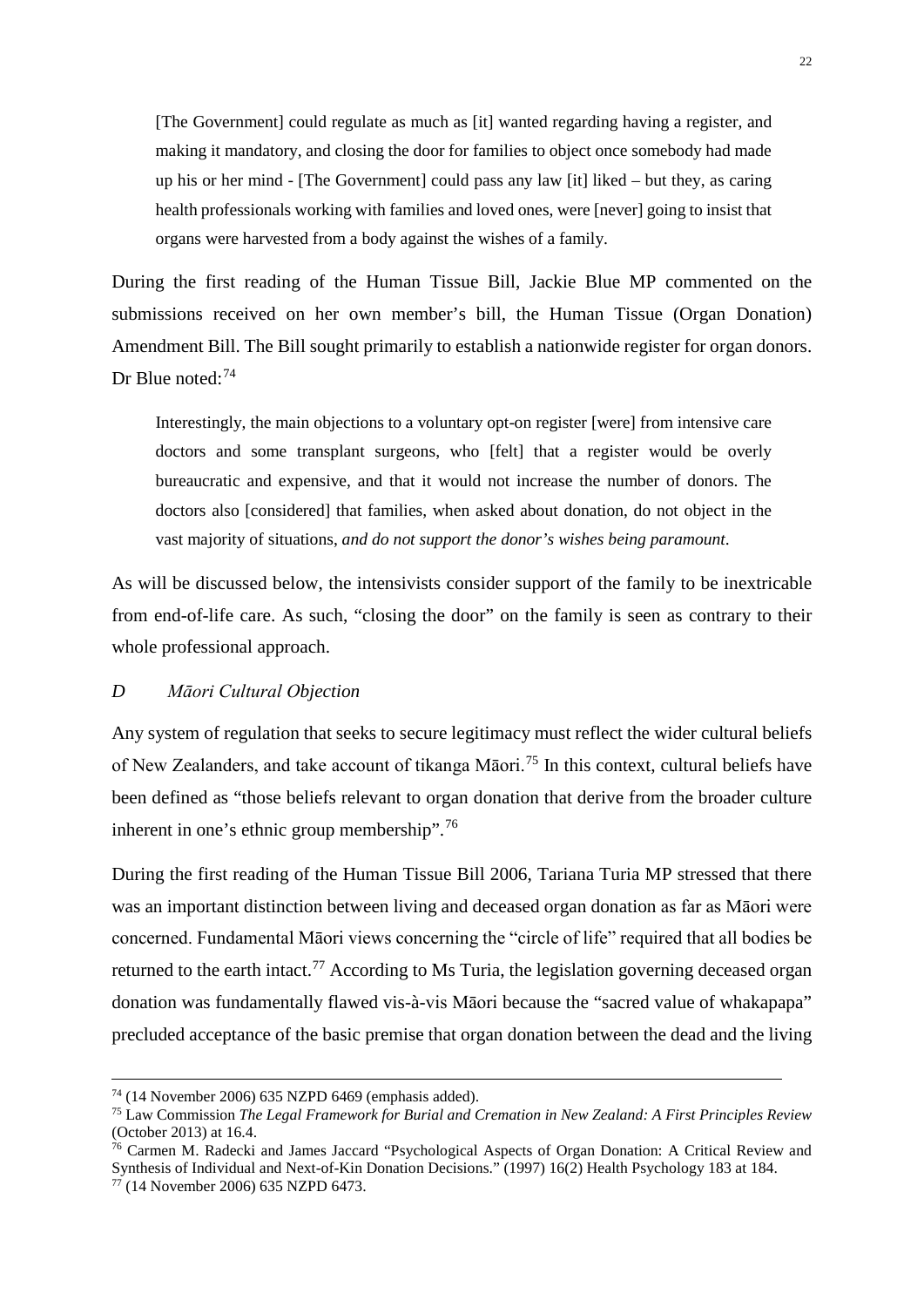[The Government] could regulate as much as [it] wanted regarding having a register, and making it mandatory, and closing the door for families to object once somebody had made up his or her mind - [The Government] could pass any law [it] liked – but they, as caring health professionals working with families and loved ones, were [never] going to insist that organs were harvested from a body against the wishes of a family.

During the first reading of the Human Tissue Bill, Jackie Blue MP commented on the submissions received on her own member's bill, the Human Tissue (Organ Donation) Amendment Bill. The Bill sought primarily to establish a nationwide register for organ donors. Dr Blue noted:<sup>[74](#page-22-1)</sup>

Interestingly, the main objections to a voluntary opt-on register [were] from intensive care doctors and some transplant surgeons, who [felt] that a register would be overly bureaucratic and expensive, and that it would not increase the number of donors. The doctors also [considered] that families, when asked about donation, do not object in the vast majority of situations, *and do not support the donor's wishes being paramount*.

As will be discussed below, the intensivists consider support of the family to be inextricable from end-of-life care. As such, "closing the door" on the family is seen as contrary to their whole professional approach.

#### <span id="page-22-0"></span>*D Māori Cultural Objection*

Any system of regulation that seeks to secure legitimacy must reflect the wider cultural beliefs of New Zealanders, and take account of tikanga Māori.<sup>[75](#page-22-2)</sup> In this context, cultural beliefs have been defined as "those beliefs relevant to organ donation that derive from the broader culture inherent in one's ethnic group membership".[76](#page-22-3)

During the first reading of the Human Tissue Bill 2006, Tariana Turia MP stressed that there was an important distinction between living and deceased organ donation as far as Māori were concerned. Fundamental Māori views concerning the "circle of life" required that all bodies be returned to the earth intact.<sup>[77](#page-22-4)</sup> According to Ms Turia, the legislation governing deceased organ donation was fundamentally flawed vis-à-vis Māori because the "sacred value of whakapapa" precluded acceptance of the basic premise that organ donation between the dead and the living

<span id="page-22-1"></span> <sup>74</sup> (14 November 2006) 635 NZPD 6469 (emphasis added).

<span id="page-22-2"></span><sup>75</sup> Law Commission *The Legal Framework for Burial and Cremation in New Zealand: A First Principles Review* (October 2013) at 16.4.

<span id="page-22-3"></span><sup>76</sup> Carmen M. Radecki and James Jaccard "Psychological Aspects of Organ Donation: A Critical Review and Synthesis of Individual and Next-of-Kin Donation Decisions." (1997) 16(2) Health Psychology 183 at 184. <sup>77</sup> (14 November 2006) 635 NZPD 6473.

<span id="page-22-4"></span>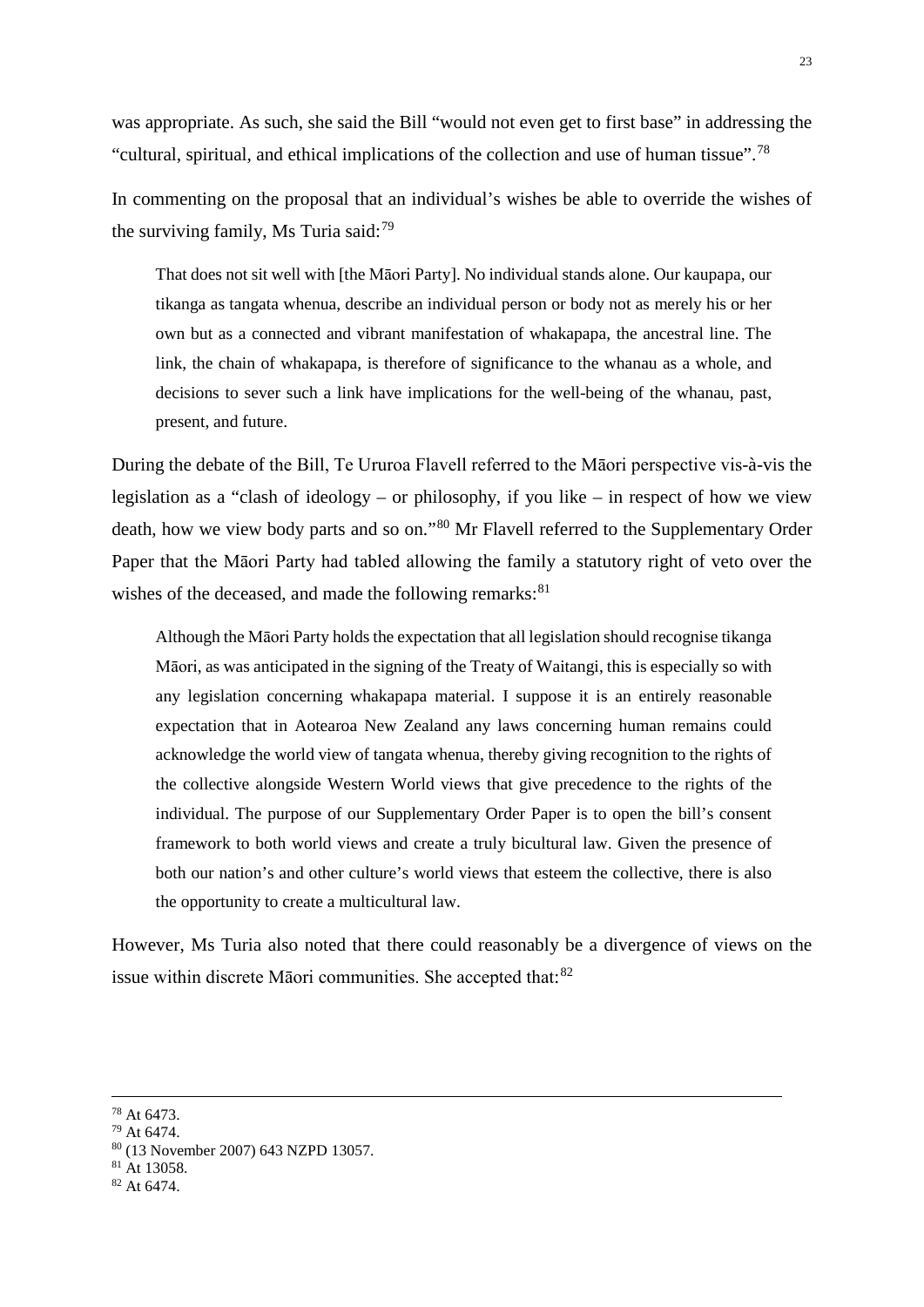was appropriate. As such, she said the Bill "would not even get to first base" in addressing the "cultural, spiritual, and ethical implications of the collection and use of human tissue".[78](#page-23-0)

In commenting on the proposal that an individual's wishes be able to override the wishes of the surviving family, Ms Turia said:  $79$ 

That does not sit well with [the Māori Party]. No individual stands alone. Our kaupapa, our tikanga as tangata whenua, describe an individual person or body not as merely his or her own but as a connected and vibrant manifestation of whakapapa, the ancestral line. The link, the chain of whakapapa, is therefore of significance to the whanau as a whole, and decisions to sever such a link have implications for the well-being of the whanau, past, present, and future.

During the debate of the Bill, Te Ururoa Flavell referred to the Māori perspective vis-à-vis the legislation as a "clash of ideology – or philosophy, if you like – in respect of how we view death, how we view body parts and so on."[80](#page-23-2) Mr Flavell referred to the Supplementary Order Paper that the Māori Party had tabled allowing the family a statutory right of veto over the wishes of the deceased, and made the following remarks: $81$ 

Although the Māori Party holds the expectation that all legislation should recognise tikanga Māori, as was anticipated in the signing of the Treaty of Waitangi, this is especially so with any legislation concerning whakapapa material. I suppose it is an entirely reasonable expectation that in Aotearoa New Zealand any laws concerning human remains could acknowledge the world view of tangata whenua, thereby giving recognition to the rights of the collective alongside Western World views that give precedence to the rights of the individual. The purpose of our Supplementary Order Paper is to open the bill's consent framework to both world views and create a truly bicultural law. Given the presence of both our nation's and other culture's world views that esteem the collective, there is also the opportunity to create a multicultural law.

However, Ms Turia also noted that there could reasonably be a divergence of views on the issue within discrete Māori communities. She accepted that: [82](#page-23-4)

<span id="page-23-0"></span> <sup>78</sup> At 6473.

<span id="page-23-1"></span><sup>79</sup> At 6474.

<span id="page-23-2"></span><sup>80</sup> (13 November 2007) 643 NZPD 13057.

<span id="page-23-4"></span><span id="page-23-3"></span> $81$  At 13058.<br> $82$  At 6474.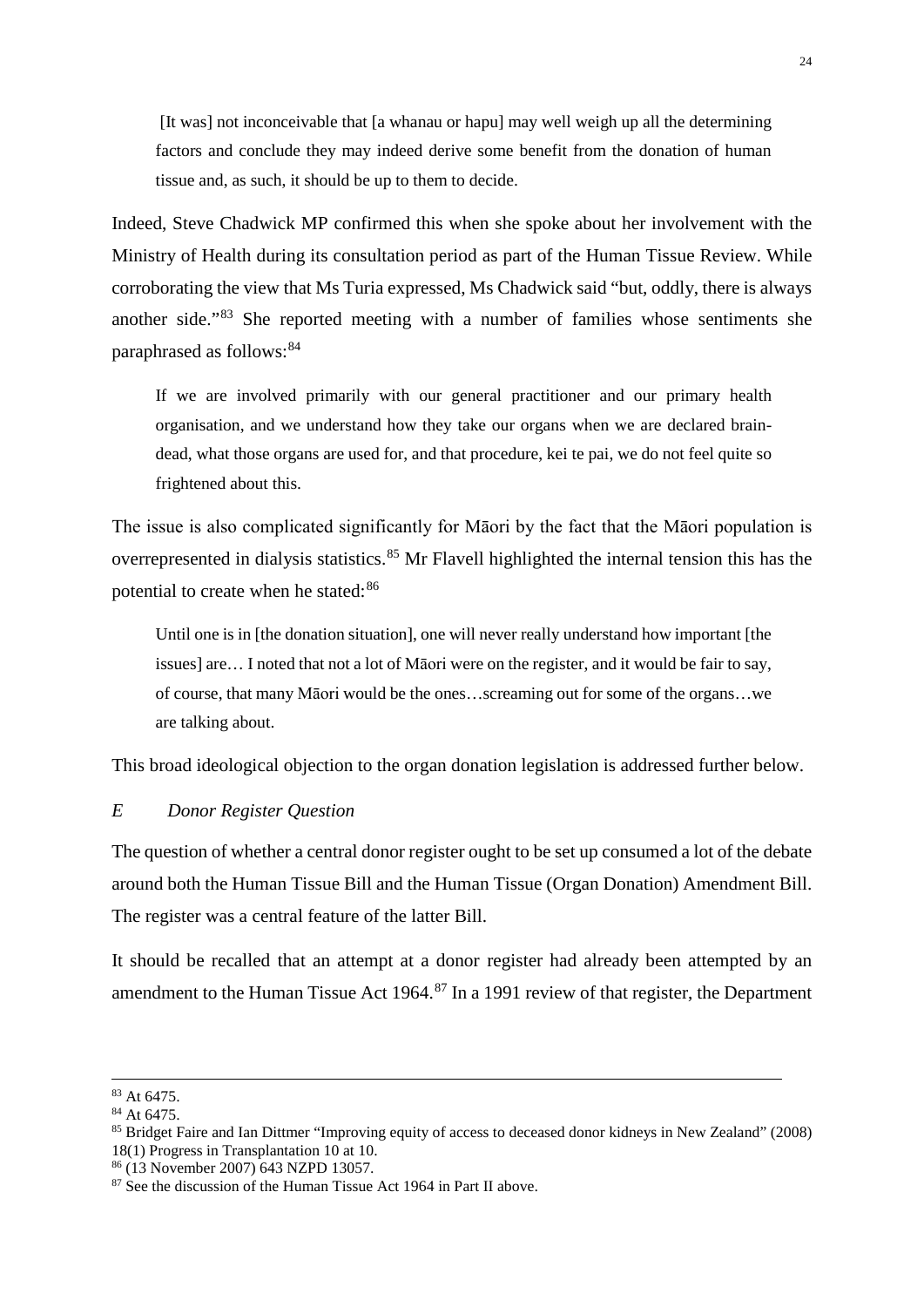[It was] not inconceivable that [a whanau or hapu] may well weigh up all the determining factors and conclude they may indeed derive some benefit from the donation of human tissue and, as such, it should be up to them to decide.

Indeed, Steve Chadwick MP confirmed this when she spoke about her involvement with the Ministry of Health during its consultation period as part of the Human Tissue Review. While corroborating the view that Ms Turia expressed, Ms Chadwick said "but, oddly, there is always another side."[83](#page-24-1) She reported meeting with a number of families whose sentiments she paraphrased as follows: <sup>[84](#page-24-2)</sup>

If we are involved primarily with our general practitioner and our primary health organisation, and we understand how they take our organs when we are declared braindead, what those organs are used for, and that procedure, kei te pai, we do not feel quite so frightened about this.

The issue is also complicated significantly for Māori by the fact that the Māori population is overrepresented in dialysis statistics.<sup>[85](#page-24-3)</sup> Mr Flavell highlighted the internal tension this has the potential to create when he stated:<sup>[86](#page-24-4)</sup>

Until one is in [the donation situation], one will never really understand how important [the issues] are… I noted that not a lot of Māori were on the register, and it would be fair to say, of course, that many Māori would be the ones…screaming out for some of the organs…we are talking about.

This broad ideological objection to the organ donation legislation is addressed further below.

# <span id="page-24-0"></span>*E Donor Register Question*

The question of whether a central donor register ought to be set up consumed a lot of the debate around both the Human Tissue Bill and the Human Tissue (Organ Donation) Amendment Bill. The register was a central feature of the latter Bill.

It should be recalled that an attempt at a donor register had already been attempted by an amendment to the Human Tissue Act 1964.<sup>[87](#page-24-5)</sup> In a 1991 review of that register, the Department

<span id="page-24-1"></span> <sup>83</sup> At 6475.

<span id="page-24-2"></span><sup>84</sup> At 6475.

<span id="page-24-3"></span><sup>85</sup> Bridget Faire and Ian Dittmer "Improving equity of access to deceased donor kidneys in New Zealand" (2008) 18(1) Progress in Transplantation 10 at 10.

<span id="page-24-4"></span><sup>86</sup> (13 November 2007) 643 NZPD 13057.

<span id="page-24-5"></span><sup>87</sup> See the discussion of the Human Tissue Act 1964 in Part II above.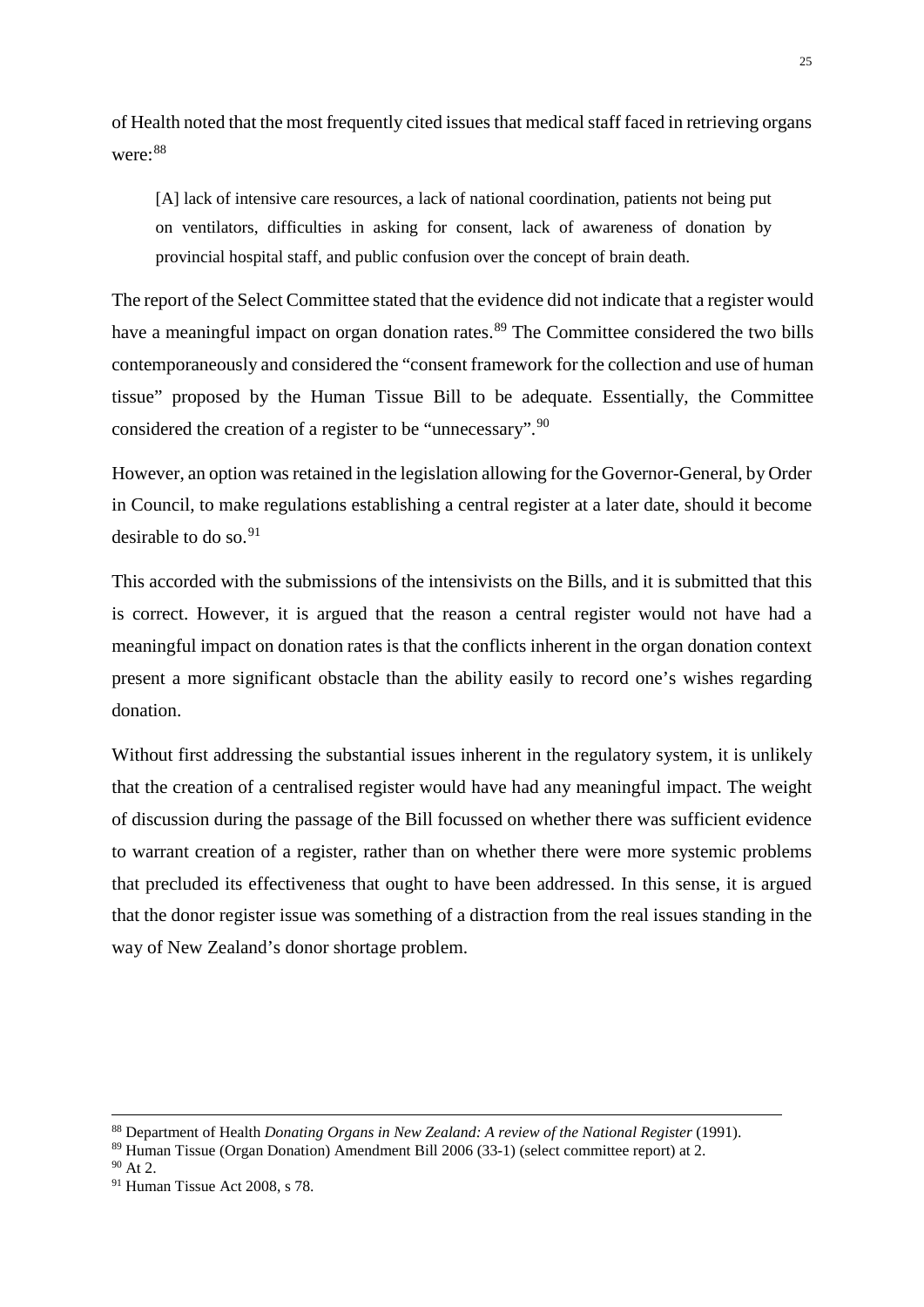of Health noted that the most frequently cited issues that medical staff faced in retrieving organs were:[88](#page-25-1)

[A] lack of intensive care resources, a lack of national coordination, patients not being put on ventilators, difficulties in asking for consent, lack of awareness of donation by provincial hospital staff, and public confusion over the concept of brain death.

The report of the Select Committee stated that the evidence did not indicate that a register would have a meaningful impact on organ donation rates.<sup>[89](#page-25-2)</sup> The Committee considered the two bills contemporaneously and considered the "consent framework for the collection and use of human tissue" proposed by the Human Tissue Bill to be adequate. Essentially, the Committee considered the creation of a register to be "unnecessary".[90](#page-25-3)

However, an option was retained in the legislation allowing for the Governor-General, by Order in Council, to make regulations establishing a central register at a later date, should it become desirable to do so.  $91$ 

This accorded with the submissions of the intensivists on the Bills, and it is submitted that this is correct. However, it is argued that the reason a central register would not have had a meaningful impact on donation rates is that the conflicts inherent in the organ donation context present a more significant obstacle than the ability easily to record one's wishes regarding donation.

Without first addressing the substantial issues inherent in the regulatory system, it is unlikely that the creation of a centralised register would have had any meaningful impact. The weight of discussion during the passage of the Bill focussed on whether there was sufficient evidence to warrant creation of a register, rather than on whether there were more systemic problems that precluded its effectiveness that ought to have been addressed. In this sense, it is argued that the donor register issue was something of a distraction from the real issues standing in the way of New Zealand's donor shortage problem.

<span id="page-25-1"></span><span id="page-25-0"></span> <sup>88</sup> Department of Health *Donating Organs in New Zealand: A review of the National Register* (1991).

<span id="page-25-2"></span><sup>89</sup> Human Tissue (Organ Donation) Amendment Bill 2006 (33-1) (select committee report) at 2.

<span id="page-25-3"></span> $90$  At 2.

<span id="page-25-4"></span><sup>91</sup> Human Tissue Act 2008, s 78.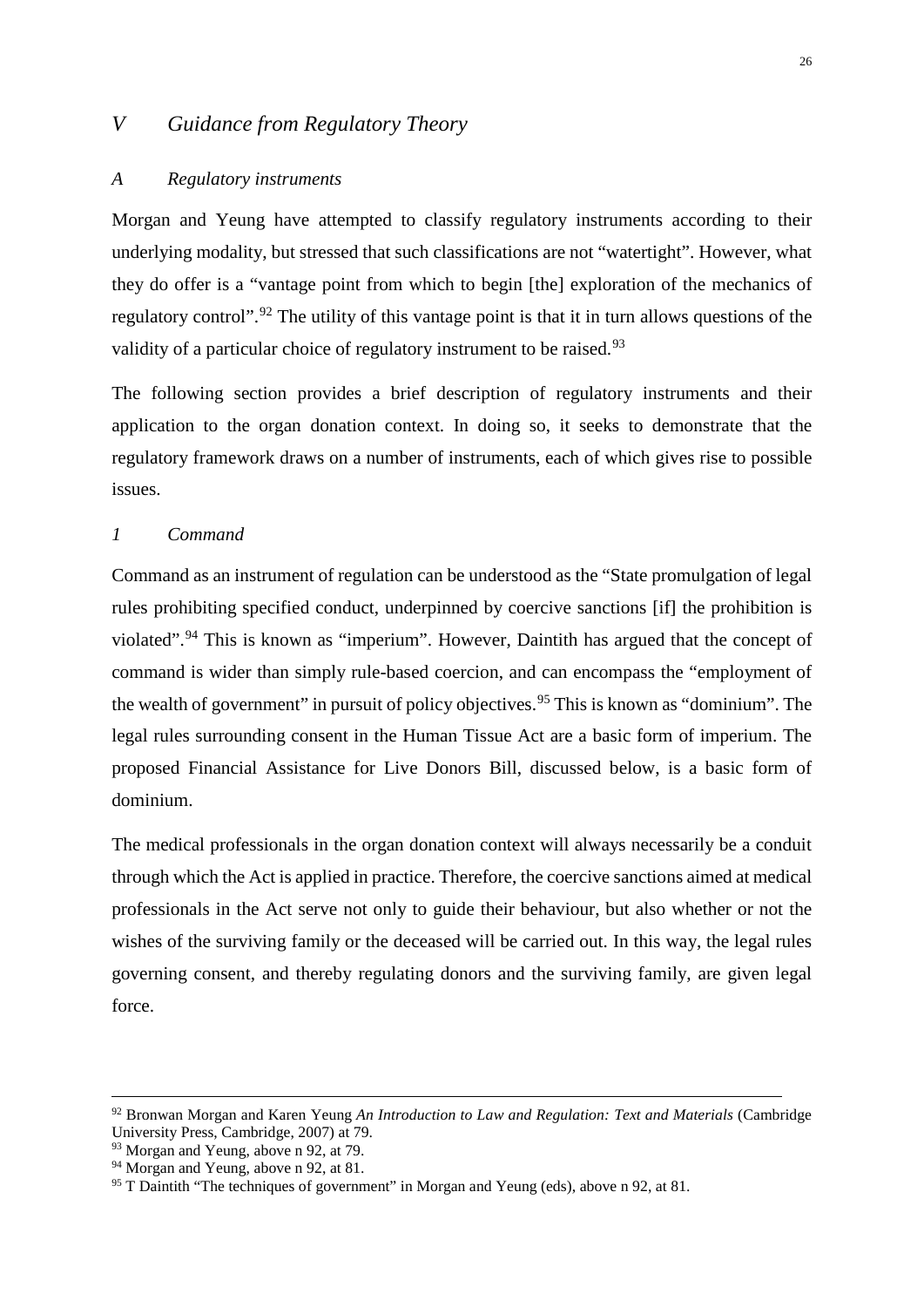# *V Guidance from Regulatory Theory*

#### <span id="page-26-0"></span>*A Regulatory instruments*

Morgan and Yeung have attempted to classify regulatory instruments according to their underlying modality, but stressed that such classifications are not "watertight". However, what they do offer is a "vantage point from which to begin [the] exploration of the mechanics of regulatory control".<sup>[92](#page-26-2)</sup> The utility of this vantage point is that it in turn allows questions of the validity of a particular choice of regulatory instrument to be raised.<sup>[93](#page-26-3)</sup>

The following section provides a brief description of regulatory instruments and their application to the organ donation context. In doing so, it seeks to demonstrate that the regulatory framework draws on a number of instruments, each of which gives rise to possible issues.

# <span id="page-26-1"></span>*1 Command*

Command as an instrument of regulation can be understood as the "State promulgation of legal rules prohibiting specified conduct, underpinned by coercive sanctions [if] the prohibition is violated".[94](#page-26-4) This is known as "imperium". However, Daintith has argued that the concept of command is wider than simply rule-based coercion, and can encompass the "employment of the wealth of government" in pursuit of policy objectives.<sup>[95](#page-26-5)</sup> This is known as "dominium". The legal rules surrounding consent in the Human Tissue Act are a basic form of imperium. The proposed Financial Assistance for Live Donors Bill, discussed below, is a basic form of dominium.

The medical professionals in the organ donation context will always necessarily be a conduit through which the Act is applied in practice. Therefore, the coercive sanctions aimed at medical professionals in the Act serve not only to guide their behaviour, but also whether or not the wishes of the surviving family or the deceased will be carried out. In this way, the legal rules governing consent, and thereby regulating donors and the surviving family, are given legal force.

<span id="page-26-2"></span> <sup>92</sup> Bronwan Morgan and Karen Yeung *An Introduction to Law and Regulation: Text and Materials* (Cambridge University Press, Cambridge, 2007) at 79.

<span id="page-26-3"></span><sup>&</sup>lt;sup>93</sup> Morgan and Yeung, above n 92, at 79.

<span id="page-26-4"></span><sup>&</sup>lt;sup>94</sup> Morgan and Yeung, above n 92, at 81.

<span id="page-26-5"></span><sup>&</sup>lt;sup>95</sup> T Daintith "The techniques of government" in Morgan and Yeung (eds), above n 92, at 81.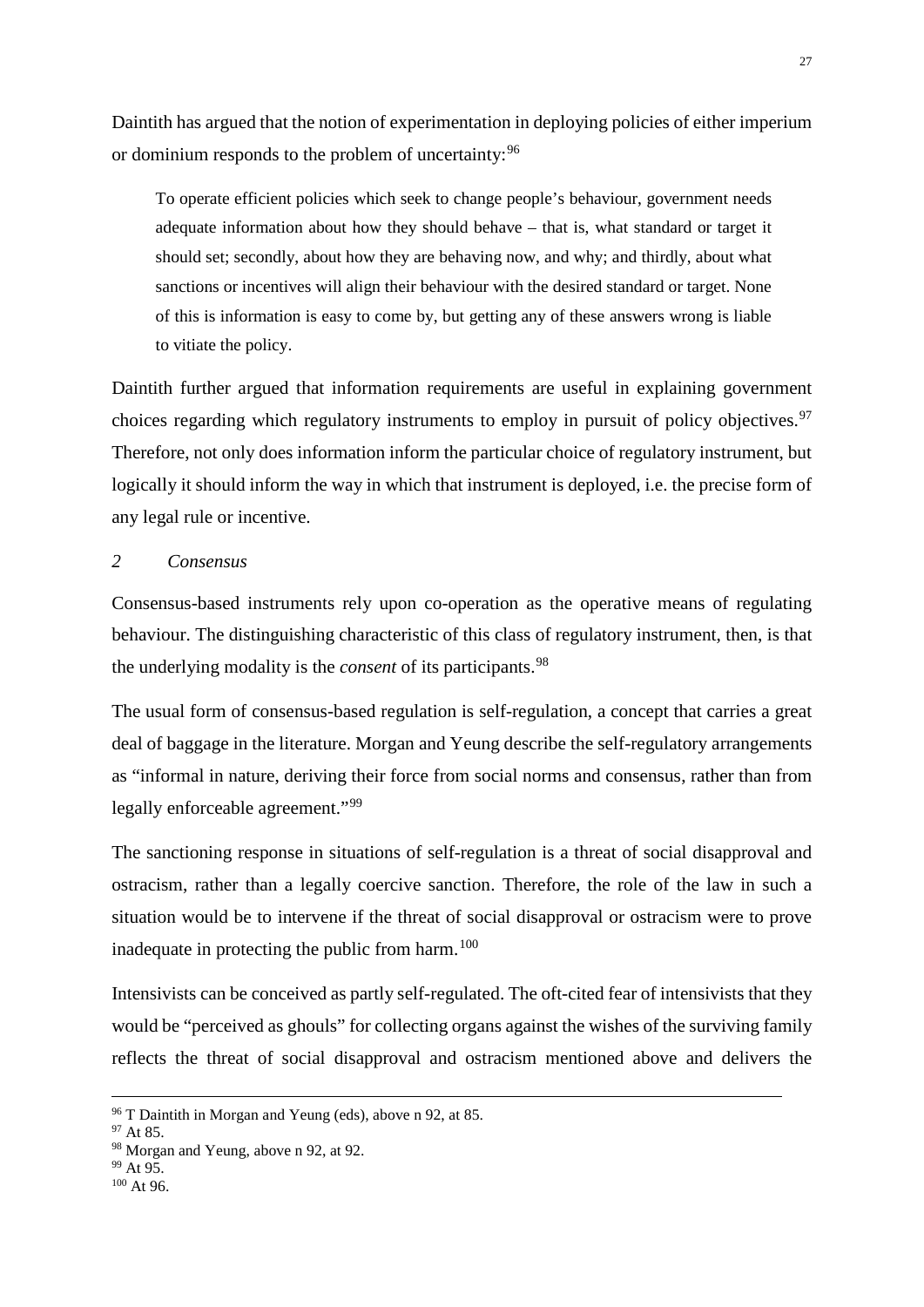Daintith has argued that the notion of experimentation in deploying policies of either imperium or dominium responds to the problem of uncertainty: <sup>[96](#page-27-1)</sup>

To operate efficient policies which seek to change people's behaviour, government needs adequate information about how they should behave – that is, what standard or target it should set; secondly, about how they are behaving now, and why; and thirdly, about what sanctions or incentives will align their behaviour with the desired standard or target. None of this is information is easy to come by, but getting any of these answers wrong is liable to vitiate the policy.

Daintith further argued that information requirements are useful in explaining government choices regarding which regulatory instruments to employ in pursuit of policy objectives.<sup>[97](#page-27-2)</sup> Therefore, not only does information inform the particular choice of regulatory instrument, but logically it should inform the way in which that instrument is deployed, i.e. the precise form of any legal rule or incentive.

# <span id="page-27-0"></span>*2 Consensus*

Consensus-based instruments rely upon co-operation as the operative means of regulating behaviour. The distinguishing characteristic of this class of regulatory instrument, then, is that the underlying modality is the *consent* of its participants.[98](#page-27-3)

The usual form of consensus-based regulation is self-regulation, a concept that carries a great deal of baggage in the literature. Morgan and Yeung describe the self-regulatory arrangements as "informal in nature, deriving their force from social norms and consensus, rather than from legally enforceable agreement."<sup>[99](#page-27-4)</sup>

The sanctioning response in situations of self-regulation is a threat of social disapproval and ostracism, rather than a legally coercive sanction. Therefore, the role of the law in such a situation would be to intervene if the threat of social disapproval or ostracism were to prove inadequate in protecting the public from harm. $100$ 

Intensivists can be conceived as partly self-regulated. The oft-cited fear of intensivists that they would be "perceived as ghouls" for collecting organs against the wishes of the surviving family reflects the threat of social disapproval and ostracism mentioned above and delivers the

<span id="page-27-1"></span> $96$  T Daintith in Morgan and Yeung (eds), above n 92, at 85.  $97$  At 85.

<span id="page-27-3"></span><span id="page-27-2"></span><sup>98</sup> Morgan and Yeung, above n 92, at 92.<br>  $^{99}$  At 95.<br>  $^{100}$  At 96.

<span id="page-27-5"></span><span id="page-27-4"></span>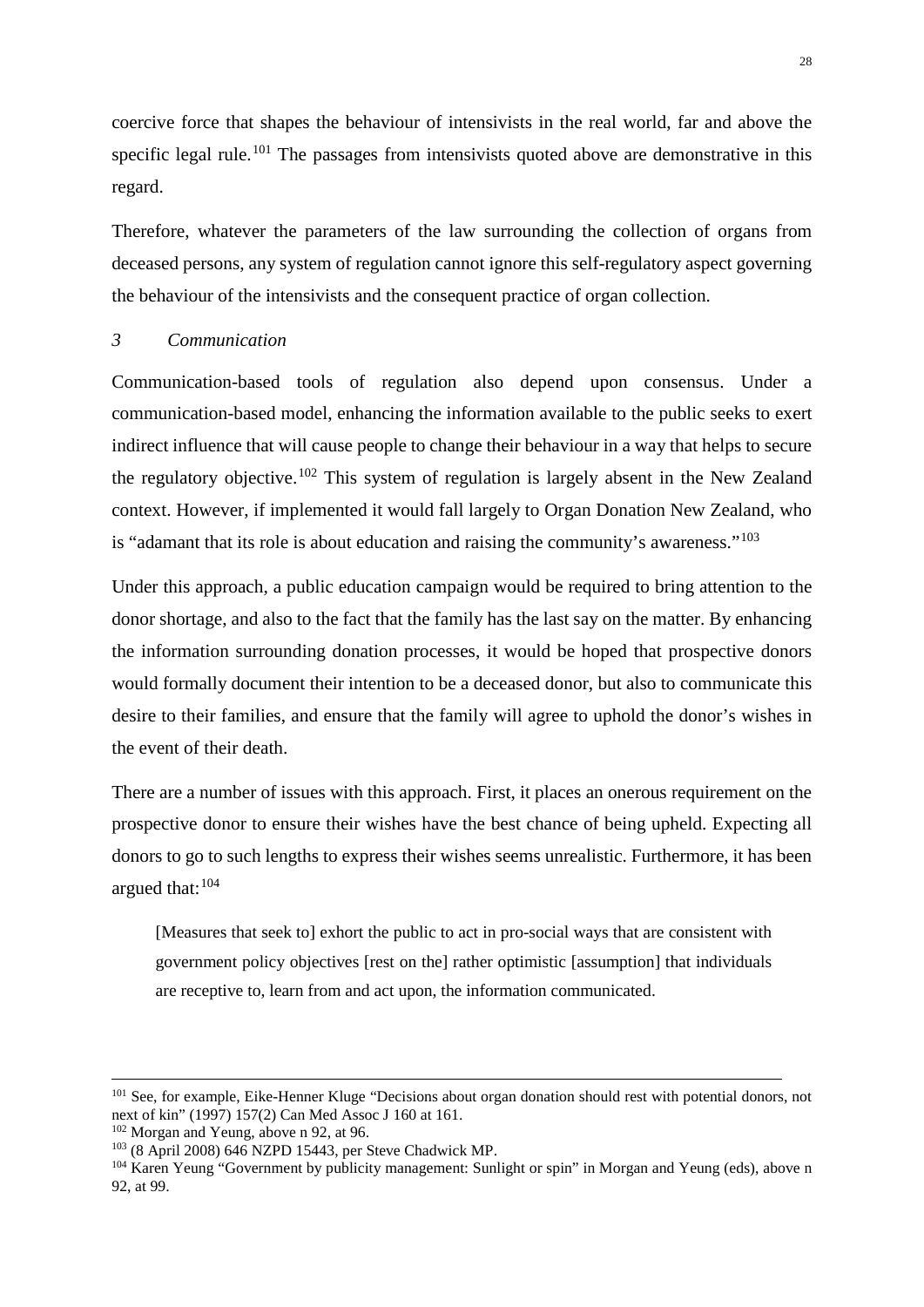coercive force that shapes the behaviour of intensivists in the real world, far and above the specific legal rule.<sup>[101](#page-28-1)</sup> The passages from intensivists quoted above are demonstrative in this regard.

Therefore, whatever the parameters of the law surrounding the collection of organs from deceased persons, any system of regulation cannot ignore this self-regulatory aspect governing the behaviour of the intensivists and the consequent practice of organ collection.

#### <span id="page-28-0"></span>*3 Communication*

Communication-based tools of regulation also depend upon consensus. Under a communication-based model, enhancing the information available to the public seeks to exert indirect influence that will cause people to change their behaviour in a way that helps to secure the regulatory objective.[102](#page-28-2) This system of regulation is largely absent in the New Zealand context. However, if implemented it would fall largely to Organ Donation New Zealand, who is "adamant that its role is about education and raising the community's awareness."[103](#page-28-3)

Under this approach, a public education campaign would be required to bring attention to the donor shortage, and also to the fact that the family has the last say on the matter. By enhancing the information surrounding donation processes, it would be hoped that prospective donors would formally document their intention to be a deceased donor, but also to communicate this desire to their families, and ensure that the family will agree to uphold the donor's wishes in the event of their death.

There are a number of issues with this approach. First, it places an onerous requirement on the prospective donor to ensure their wishes have the best chance of being upheld. Expecting all donors to go to such lengths to express their wishes seems unrealistic. Furthermore, it has been argued that: [104](#page-28-4)

[Measures that seek to] exhort the public to act in pro-social ways that are consistent with government policy objectives [rest on the] rather optimistic [assumption] that individuals are receptive to, learn from and act upon, the information communicated.

<span id="page-28-1"></span><sup>&</sup>lt;sup>101</sup> See, for example, Eike-Henner Kluge "Decisions about organ donation should rest with potential donors, not next of kin" (1997) 157(2) Can Med Assoc J 160 at 161.<br><sup>102</sup> Morgan and Yeung, above n 92, at 96.

<span id="page-28-4"></span><span id="page-28-3"></span><span id="page-28-2"></span><sup>&</sup>lt;sup>103</sup> (8 April 2008) 646 NZPD 15443, per Steve Chadwick MP.<br><sup>104</sup> Karen Yeung "Government by publicity management: Sunlight or spin" in Morgan and Yeung (eds), above n 92, at 99.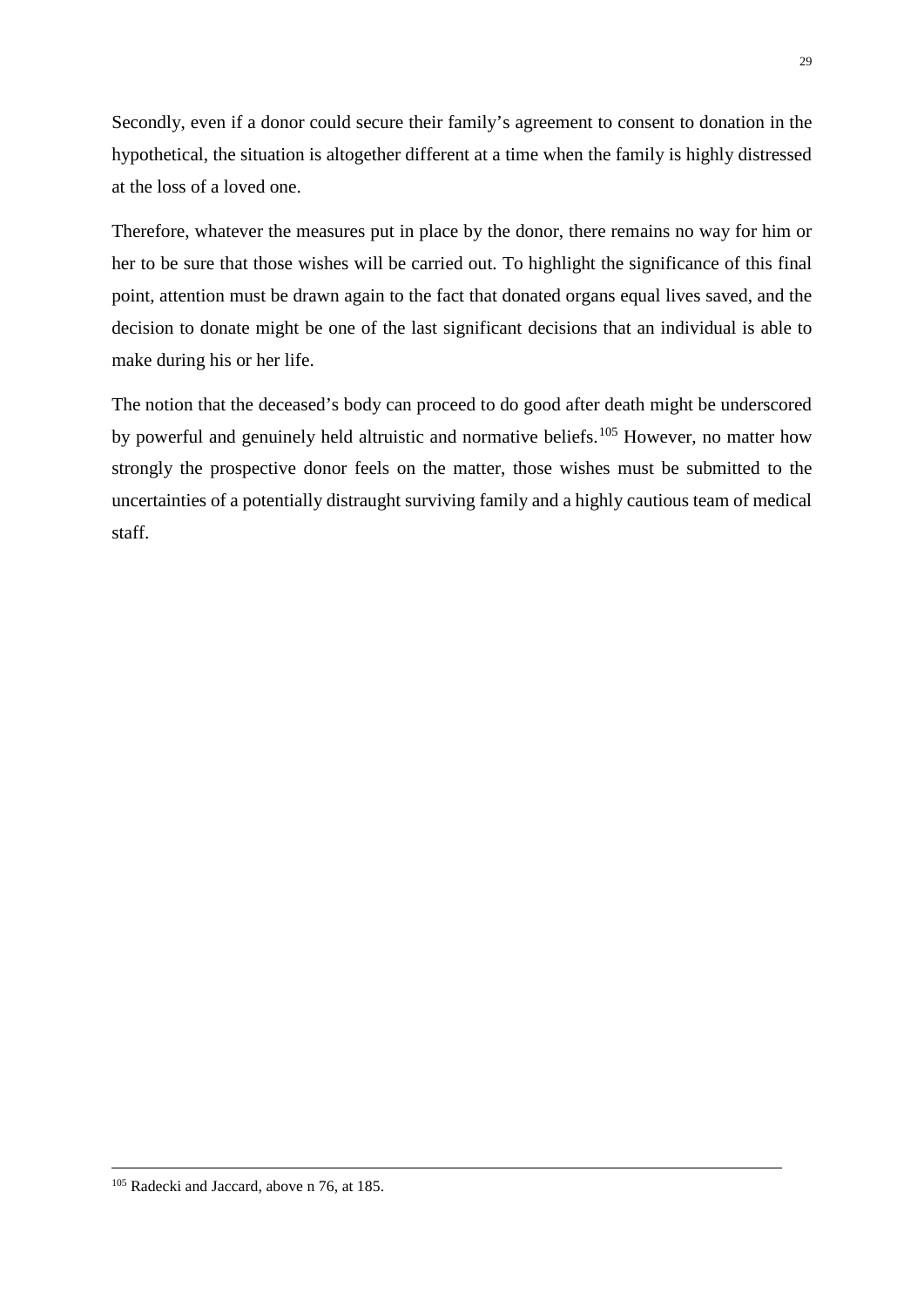Secondly, even if a donor could secure their family's agreement to consent to donation in the hypothetical, the situation is altogether different at a time when the family is highly distressed at the loss of a loved one.

Therefore, whatever the measures put in place by the donor, there remains no way for him or her to be sure that those wishes will be carried out. To highlight the significance of this final point, attention must be drawn again to the fact that donated organs equal lives saved, and the decision to donate might be one of the last significant decisions that an individual is able to make during his or her life.

The notion that the deceased's body can proceed to do good after death might be underscored by powerful and genuinely held altruistic and normative beliefs.<sup>[105](#page-29-0)</sup> However, no matter how strongly the prospective donor feels on the matter, those wishes must be submitted to the uncertainties of a potentially distraught surviving family and a highly cautious team of medical staff.

<span id="page-29-0"></span><sup>&</sup>lt;sup>105</sup> Radecki and Jaccard, above n 76, at 185.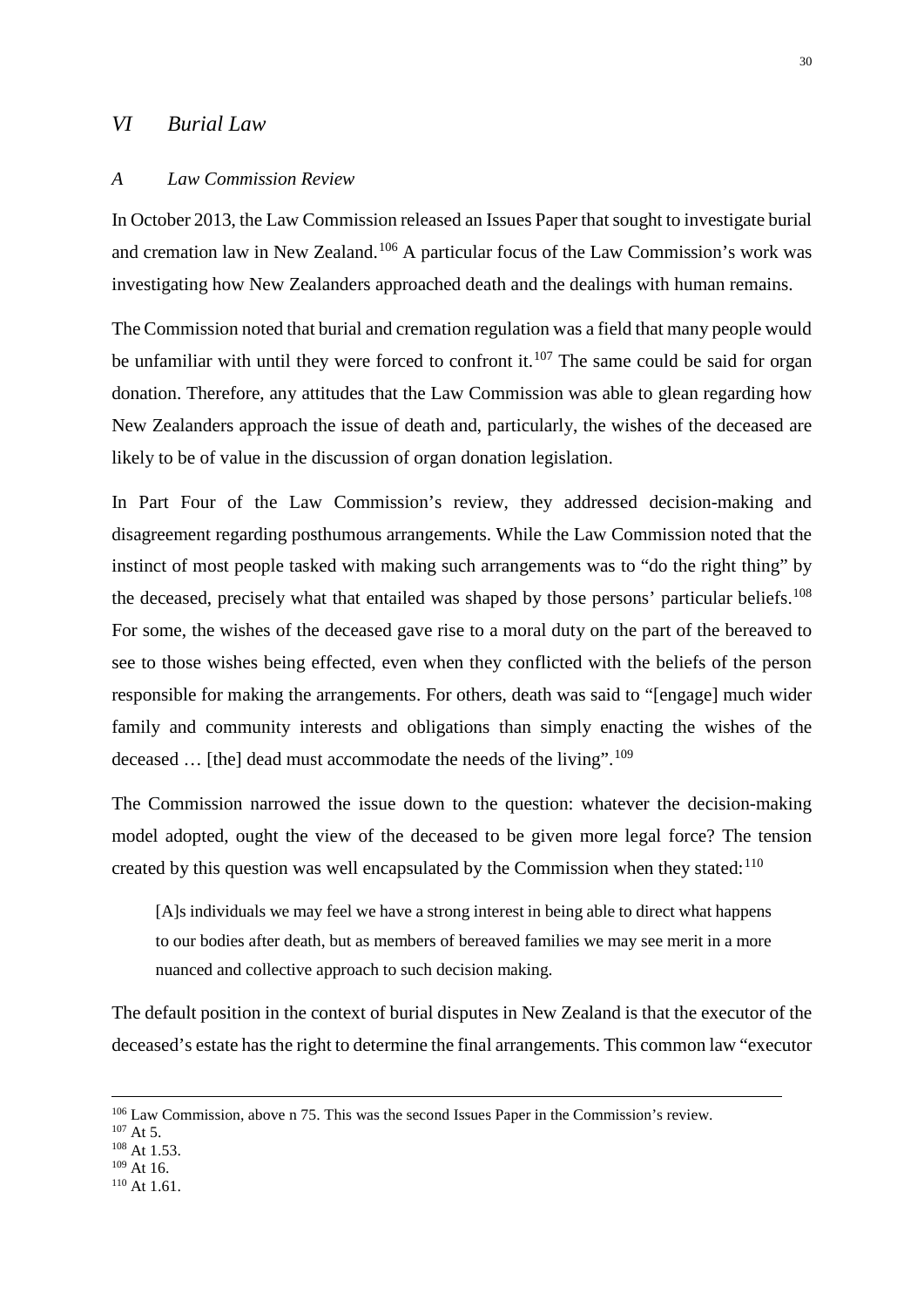## <span id="page-30-0"></span>*VI Burial Law*

#### <span id="page-30-1"></span>*A Law Commission Review*

In October 2013, the Law Commission released an Issues Paper that sought to investigate burial and cremation law in New Zealand.[106](#page-30-2) A particular focus of the Law Commission's work was investigating how New Zealanders approached death and the dealings with human remains.

The Commission noted that burial and cremation regulation was a field that many people would be unfamiliar with until they were forced to confront it.<sup>[107](#page-30-3)</sup> The same could be said for organ donation. Therefore, any attitudes that the Law Commission was able to glean regarding how New Zealanders approach the issue of death and, particularly, the wishes of the deceased are likely to be of value in the discussion of organ donation legislation.

In Part Four of the Law Commission's review, they addressed decision-making and disagreement regarding posthumous arrangements. While the Law Commission noted that the instinct of most people tasked with making such arrangements was to "do the right thing" by the deceased, precisely what that entailed was shaped by those persons' particular beliefs.<sup>[108](#page-30-4)</sup> For some, the wishes of the deceased gave rise to a moral duty on the part of the bereaved to see to those wishes being effected, even when they conflicted with the beliefs of the person responsible for making the arrangements. For others, death was said to "[engage] much wider family and community interests and obligations than simply enacting the wishes of the deceased ... [the] dead must accommodate the needs of the living".<sup>[109](#page-30-5)</sup>

The Commission narrowed the issue down to the question: whatever the decision-making model adopted, ought the view of the deceased to be given more legal force? The tension created by this question was well encapsulated by the Commission when they stated: $110$ 

[A]s individuals we may feel we have a strong interest in being able to direct what happens to our bodies after death, but as members of bereaved families we may see merit in a more nuanced and collective approach to such decision making.

The default position in the context of burial disputes in New Zealand is that the executor of the deceased's estate has the right to determine the final arrangements. This common law "executor

- <span id="page-30-5"></span><span id="page-30-4"></span> $109$  At 16.
- <span id="page-30-6"></span> $110$  At 1.61.

<span id="page-30-2"></span><sup>&</sup>lt;sup>106</sup> Law Commission, above n 75. This was the second Issues Paper in the Commission's review. <sup>107</sup> At 5. <sup>108</sup> At 1.53.

<span id="page-30-3"></span>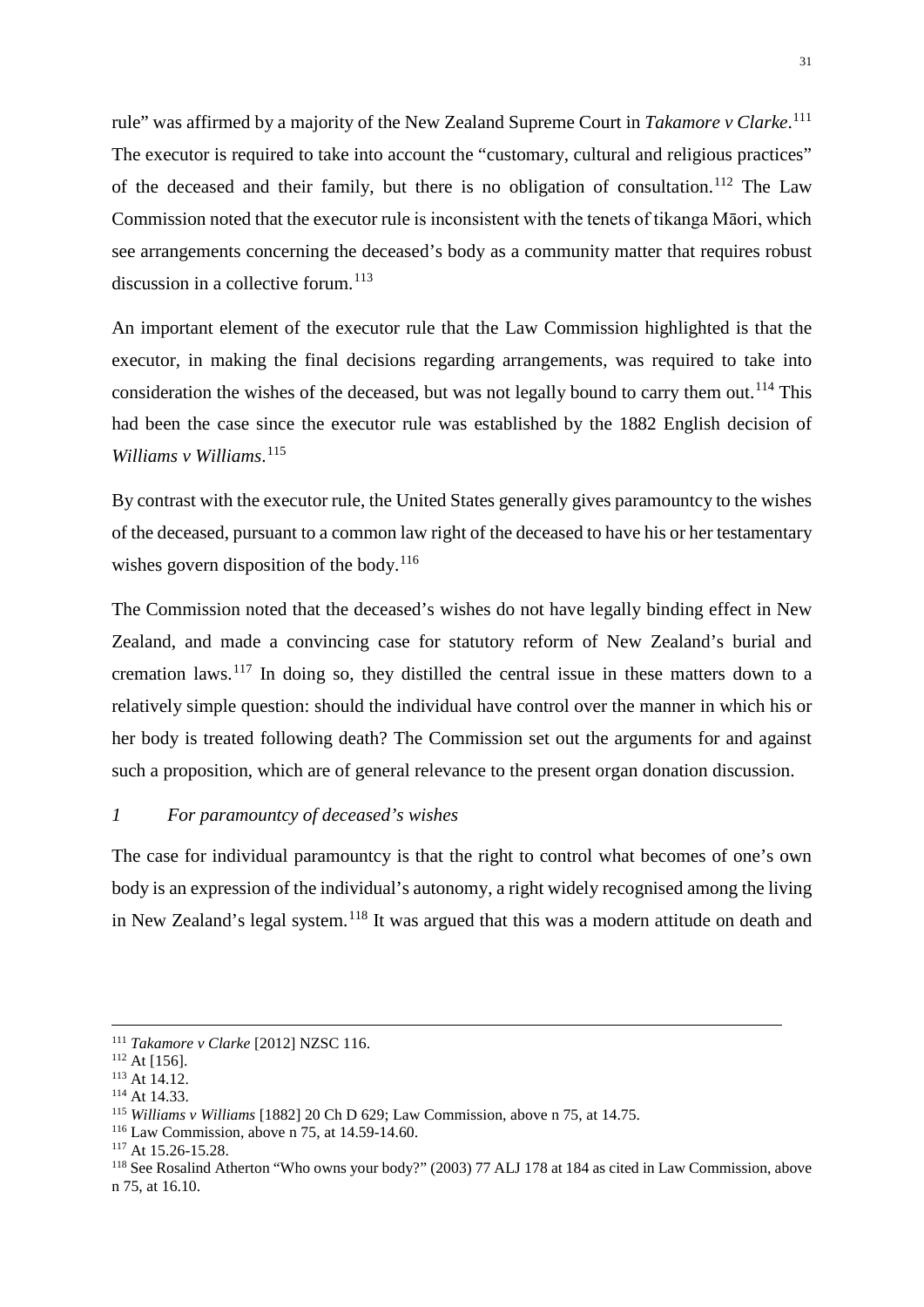rule" was affirmed by a majority of the New Zealand Supreme Court in *Takamore v Clarke*. [111](#page-31-1) The executor is required to take into account the "customary, cultural and religious practices" of the deceased and their family, but there is no obligation of consultation.<sup>[112](#page-31-2)</sup> The Law Commission noted that the executor rule is inconsistent with the tenets of tikanga Māori, which see arrangements concerning the deceased's body as a community matter that requires robust discussion in a collective forum.<sup>[113](#page-31-3)</sup>

An important element of the executor rule that the Law Commission highlighted is that the executor, in making the final decisions regarding arrangements, was required to take into consideration the wishes of the deceased, but was not legally bound to carry them out.<sup>[114](#page-31-4)</sup> This had been the case since the executor rule was established by the 1882 English decision of *Williams v Williams*. [115](#page-31-5)

By contrast with the executor rule, the United States generally gives paramountcy to the wishes of the deceased, pursuant to a common law right of the deceased to have his or her testamentary wishes govern disposition of the body.<sup>[116](#page-31-6)</sup>

The Commission noted that the deceased's wishes do not have legally binding effect in New Zealand, and made a convincing case for statutory reform of New Zealand's burial and cremation laws.<sup>[117](#page-31-7)</sup> In doing so, they distilled the central issue in these matters down to a relatively simple question: should the individual have control over the manner in which his or her body is treated following death? The Commission set out the arguments for and against such a proposition, which are of general relevance to the present organ donation discussion.

#### <span id="page-31-0"></span>*1 For paramountcy of deceased's wishes*

The case for individual paramountcy is that the right to control what becomes of one's own body is an expression of the individual's autonomy, a right widely recognised among the living in New Zealand's legal system.<sup>[118](#page-31-8)</sup> It was argued that this was a modern attitude on death and

<span id="page-31-2"></span><span id="page-31-1"></span> <sup>111</sup> *Takamore v Clarke* [2012] NZSC 116.

<span id="page-31-3"></span> $113$  At 14.12.<br> $114$  At 14.33.

<span id="page-31-5"></span><span id="page-31-4"></span><sup>115</sup> *Williams v Williams* [1882] 20 Ch D 629; Law Commission, above n 75, at 14.75.

<span id="page-31-6"></span><sup>116</sup> Law Commission, above n 75, at 14.59-14.60. 117 At 15.26-15.28.

<span id="page-31-8"></span><span id="page-31-7"></span><sup>118</sup> See Rosalind Atherton "Who owns your body?" (2003) 77 ALJ 178 at 184 as cited in Law Commission, above n 75, at 16.10.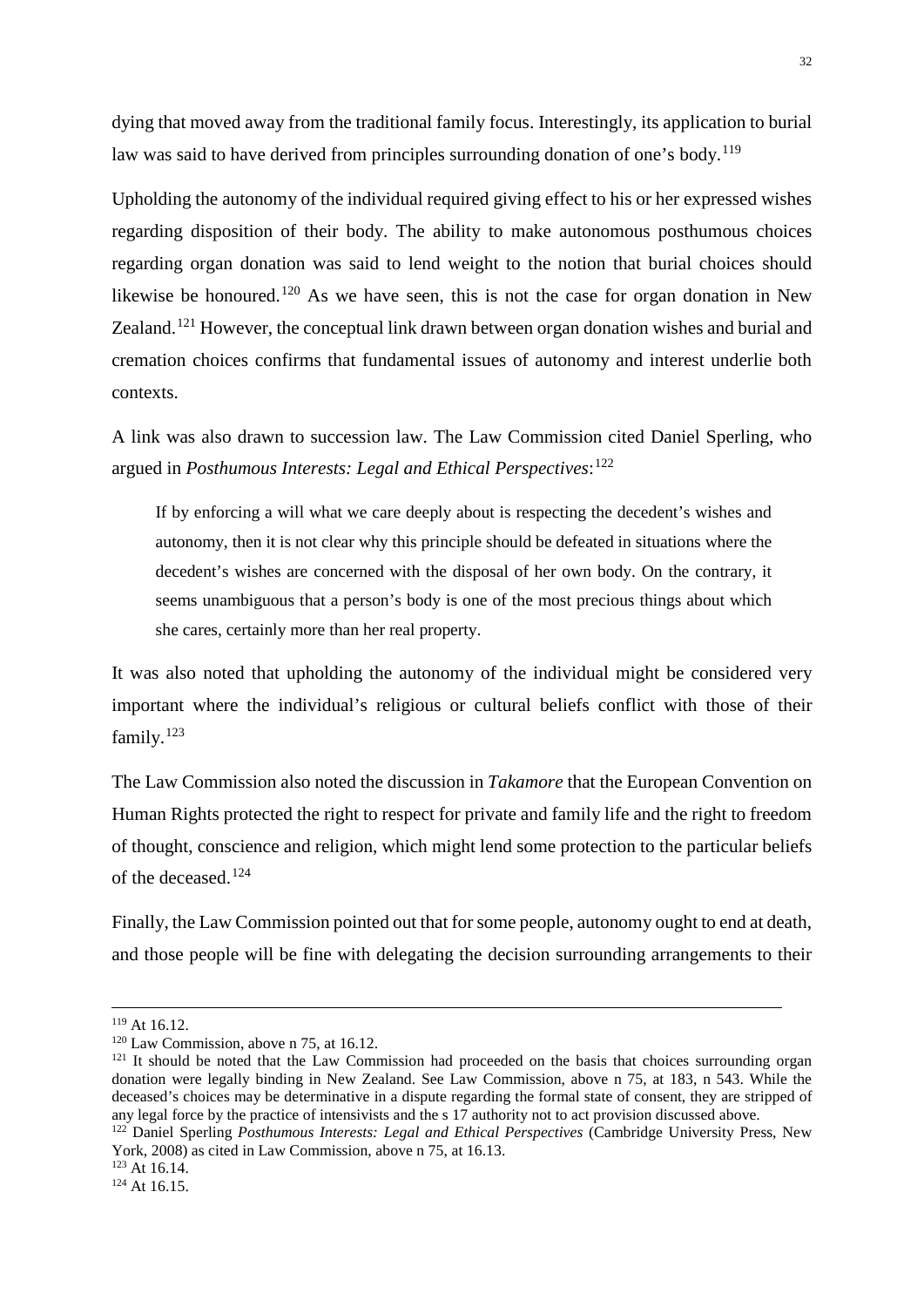dying that moved away from the traditional family focus. Interestingly, its application to burial law was said to have derived from principles surrounding donation of one's body.<sup>[119](#page-32-0)</sup>

Upholding the autonomy of the individual required giving effect to his or her expressed wishes regarding disposition of their body. The ability to make autonomous posthumous choices regarding organ donation was said to lend weight to the notion that burial choices should likewise be honoured.<sup>[120](#page-32-1)</sup> As we have seen, this is not the case for organ donation in New Zealand.<sup>[121](#page-32-2)</sup> However, the conceptual link drawn between organ donation wishes and burial and cremation choices confirms that fundamental issues of autonomy and interest underlie both contexts.

A link was also drawn to succession law. The Law Commission cited Daniel Sperling, who argued in *Posthumous Interests: Legal and Ethical Perspectives*: [122](#page-32-3)

If by enforcing a will what we care deeply about is respecting the decedent's wishes and autonomy, then it is not clear why this principle should be defeated in situations where the decedent's wishes are concerned with the disposal of her own body. On the contrary, it seems unambiguous that a person's body is one of the most precious things about which she cares, certainly more than her real property.

It was also noted that upholding the autonomy of the individual might be considered very important where the individual's religious or cultural beliefs conflict with those of their family. $123$ 

The Law Commission also noted the discussion in *Takamore* that the European Convention on Human Rights protected the right to respect for private and family life and the right to freedom of thought, conscience and religion, which might lend some protection to the particular beliefs of the deceased.[124](#page-32-5)

Finally, the Law Commission pointed out that for some people, autonomy ought to end at death, and those people will be fine with delegating the decision surrounding arrangements to their

<span id="page-32-2"></span>

<span id="page-32-1"></span><span id="page-32-0"></span><sup>&</sup>lt;sup>119</sup> At 16.12.<br><sup>120</sup> Law Commission, above n 75, at 16.12.<br><sup>121</sup> It should be noted that the Law Commission had proceeded on the basis that choices surrounding organ donation were legally binding in New Zealand. See Law Commission, above n 75, at 183, n 543. While the deceased's choices may be determinative in a dispute regarding the formal state of consent, they are stripped of any legal force by the practice of intensivists and the s 17 authority not to act provision discussed above.

<span id="page-32-3"></span><sup>&</sup>lt;sup>122</sup> Daniel Sperling *Posthumous Interests: Legal and Ethical Perspectives* (Cambridge University Press, New York, 2008) as cited in Law Commission, above n 75, at 16.13.<br><sup>123</sup> At 16.14.

<span id="page-32-5"></span><span id="page-32-4"></span> $124$  At 16.15.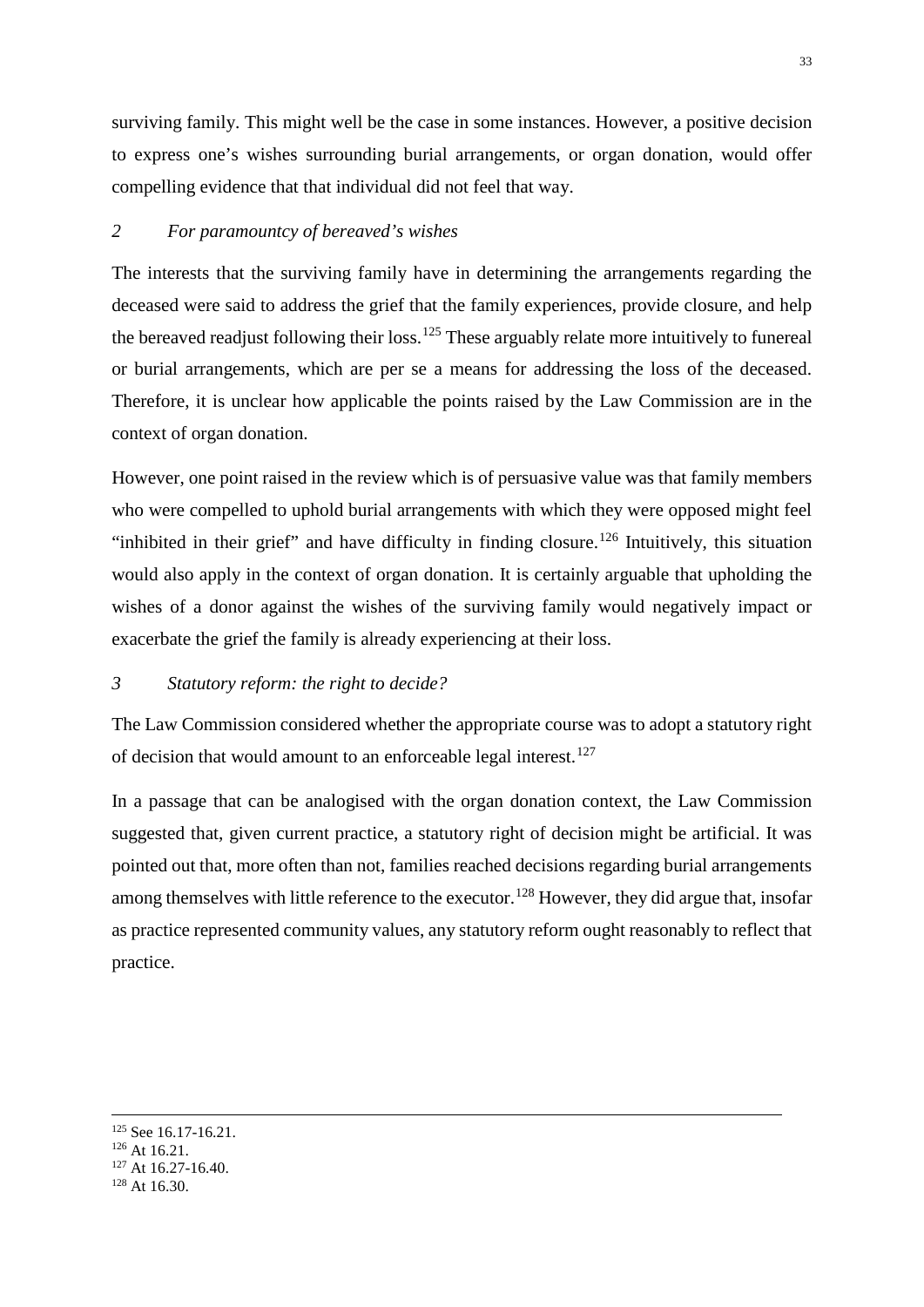surviving family. This might well be the case in some instances. However, a positive decision to express one's wishes surrounding burial arrangements, or organ donation, would offer compelling evidence that that individual did not feel that way.

# <span id="page-33-0"></span>*2 For paramountcy of bereaved's wishes*

The interests that the surviving family have in determining the arrangements regarding the deceased were said to address the grief that the family experiences, provide closure, and help the bereaved readjust following their loss.<sup>[125](#page-33-2)</sup> These arguably relate more intuitively to funereal or burial arrangements, which are per se a means for addressing the loss of the deceased. Therefore, it is unclear how applicable the points raised by the Law Commission are in the context of organ donation.

However, one point raised in the review which is of persuasive value was that family members who were compelled to uphold burial arrangements with which they were opposed might feel "inhibited in their grief" and have difficulty in finding closure.<sup>[126](#page-33-3)</sup> Intuitively, this situation would also apply in the context of organ donation. It is certainly arguable that upholding the wishes of a donor against the wishes of the surviving family would negatively impact or exacerbate the grief the family is already experiencing at their loss.

#### <span id="page-33-1"></span>*3 Statutory reform: the right to decide?*

The Law Commission considered whether the appropriate course was to adopt a statutory right of decision that would amount to an enforceable legal interest.<sup>[127](#page-33-4)</sup>

In a passage that can be analogised with the organ donation context, the Law Commission suggested that, given current practice, a statutory right of decision might be artificial. It was pointed out that, more often than not, families reached decisions regarding burial arrangements among themselves with little reference to the executor.<sup>[128](#page-33-5)</sup> However, they did argue that, insofar as practice represented community values, any statutory reform ought reasonably to reflect that practice.

<span id="page-33-3"></span><span id="page-33-2"></span><sup>&</sup>lt;sup>125</sup> See 16.17-16.21.<br><sup>126</sup> At 16.21.<br><sup>127</sup> At 16.27-16.40.<br><sup>128</sup> At 16.30.

<span id="page-33-4"></span>

<span id="page-33-5"></span>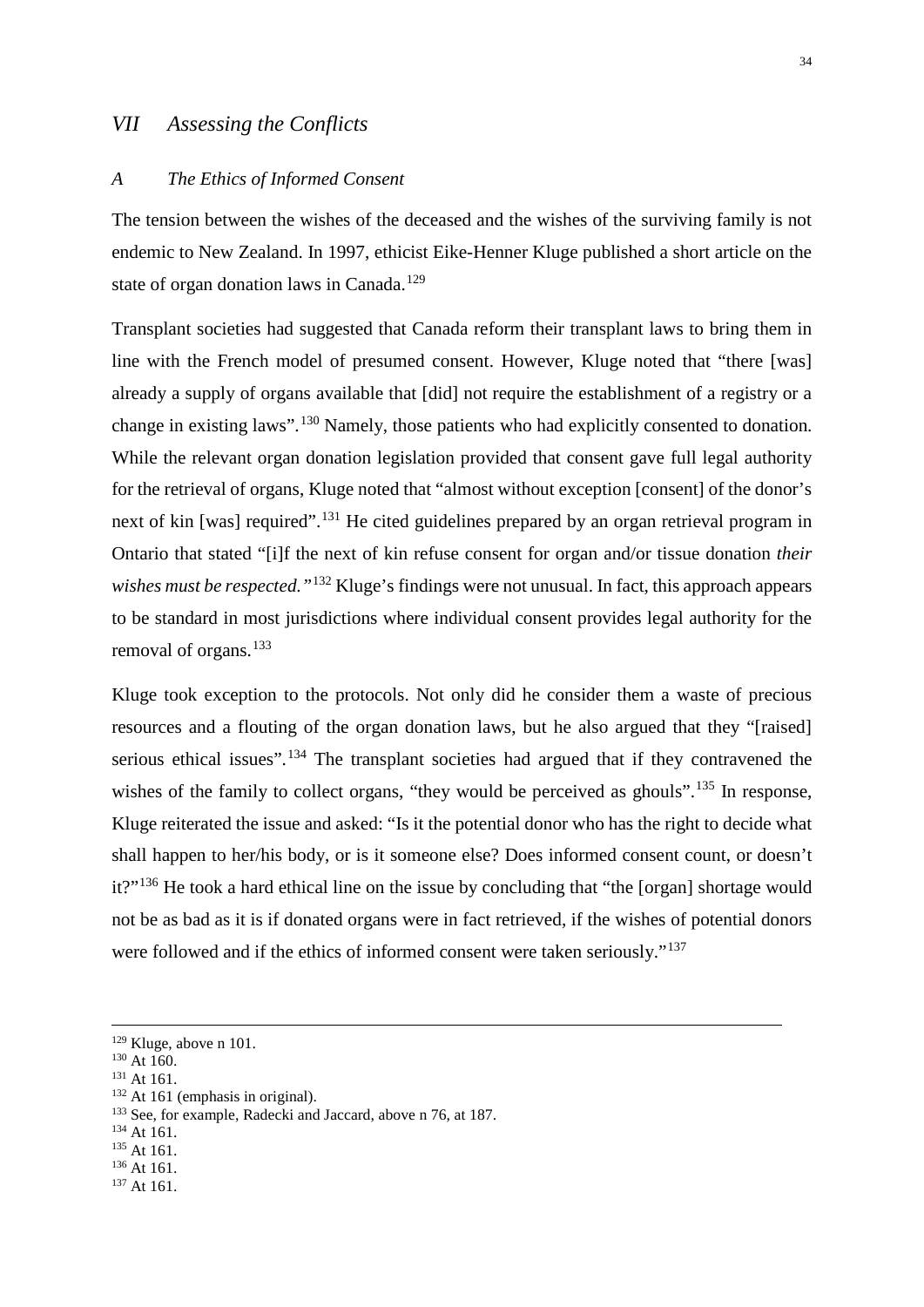# <span id="page-34-0"></span>*VII Assessing the Conflicts*

#### <span id="page-34-1"></span>*A The Ethics of Informed Consent*

The tension between the wishes of the deceased and the wishes of the surviving family is not endemic to New Zealand. In 1997, ethicist Eike-Henner Kluge published a short article on the state of organ donation laws in Canada.<sup>[129](#page-34-2)</sup>

Transplant societies had suggested that Canada reform their transplant laws to bring them in line with the French model of presumed consent. However, Kluge noted that "there [was] already a supply of organs available that [did] not require the establishment of a registry or a change in existing laws".<sup>[130](#page-34-3)</sup> Namely, those patients who had explicitly consented to donation. While the relevant organ donation legislation provided that consent gave full legal authority for the retrieval of organs, Kluge noted that "almost without exception [consent] of the donor's next of kin [was] required".<sup>[131](#page-34-4)</sup> He cited guidelines prepared by an organ retrieval program in Ontario that stated "[i]f the next of kin refuse consent for organ and/or tissue donation *their wishes must be respected.*"<sup>[132](#page-34-5)</sup> Kluge's findings were not unusual. In fact, this approach appears to be standard in most jurisdictions where individual consent provides legal authority for the removal of organs.<sup>[133](#page-34-6)</sup>

Kluge took exception to the protocols. Not only did he consider them a waste of precious resources and a flouting of the organ donation laws, but he also argued that they "[raised] serious ethical issues".<sup>[134](#page-34-7)</sup> The transplant societies had argued that if they contravened the wishes of the family to collect organs, "they would be perceived as ghouls".<sup>[135](#page-34-8)</sup> In response, Kluge reiterated the issue and asked: "Is it the potential donor who has the right to decide what shall happen to her/his body, or is it someone else? Does informed consent count, or doesn't it?"<sup>[136](#page-34-9)</sup> He took a hard ethical line on the issue by concluding that "the [organ] shortage would not be as bad as it is if donated organs were in fact retrieved, if the wishes of potential donors were followed and if the ethics of informed consent were taken seriously."<sup>[137](#page-34-10)</sup>

- <span id="page-34-7"></span>
- <span id="page-34-8"></span>

<span id="page-34-2"></span> <sup>129</sup> Kluge, above n 101.

<span id="page-34-3"></span> $^{130}$  At 160.<br> $^{131}$  At 161.

<span id="page-34-4"></span>

<span id="page-34-6"></span><span id="page-34-5"></span><sup>&</sup>lt;sup>132</sup> At 161 (emphasis in original).<br><sup>133</sup> See, for example, Radecki and Jaccard, above n 76, at 187.<br><sup>134</sup> At 161.<br><sup>136</sup> At 161.

<span id="page-34-10"></span><span id="page-34-9"></span><sup>&</sup>lt;sup>137</sup> At 161.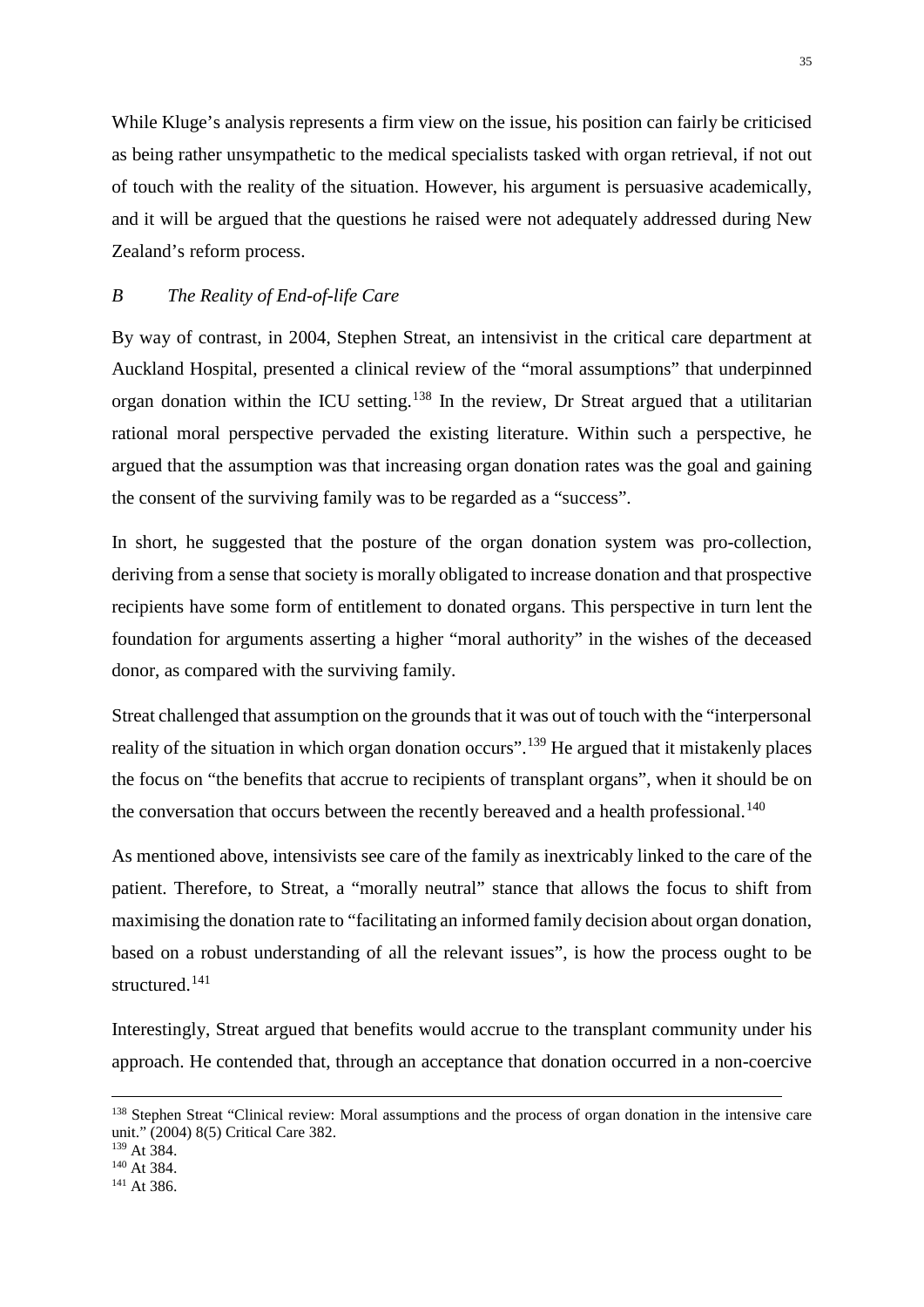While Kluge's analysis represents a firm view on the issue, his position can fairly be criticised as being rather unsympathetic to the medical specialists tasked with organ retrieval, if not out of touch with the reality of the situation. However, his argument is persuasive academically, and it will be argued that the questions he raised were not adequately addressed during New Zealand's reform process.

#### <span id="page-35-0"></span>*B The Reality of End-of-life Care*

By way of contrast, in 2004, Stephen Streat, an intensivist in the critical care department at Auckland Hospital, presented a clinical review of the "moral assumptions" that underpinned organ donation within the ICU setting.<sup>[138](#page-35-1)</sup> In the review, Dr Streat argued that a utilitarian rational moral perspective pervaded the existing literature. Within such a perspective, he argued that the assumption was that increasing organ donation rates was the goal and gaining the consent of the surviving family was to be regarded as a "success".

In short, he suggested that the posture of the organ donation system was pro-collection, deriving from a sense that society is morally obligated to increase donation and that prospective recipients have some form of entitlement to donated organs. This perspective in turn lent the foundation for arguments asserting a higher "moral authority" in the wishes of the deceased donor, as compared with the surviving family.

Streat challenged that assumption on the grounds that it was out of touch with the "interpersonal reality of the situation in which organ donation occurs".<sup>[139](#page-35-2)</sup> He argued that it mistakenly places the focus on "the benefits that accrue to recipients of transplant organs", when it should be on the conversation that occurs between the recently bereaved and a health professional.<sup>[140](#page-35-3)</sup>

As mentioned above, intensivists see care of the family as inextricably linked to the care of the patient. Therefore, to Streat, a "morally neutral" stance that allows the focus to shift from maximising the donation rate to "facilitating an informed family decision about organ donation, based on a robust understanding of all the relevant issues", is how the process ought to be structured. [141](#page-35-4)

Interestingly, Streat argued that benefits would accrue to the transplant community under his approach. He contended that, through an acceptance that donation occurred in a non-coercive

<span id="page-35-1"></span><sup>&</sup>lt;sup>138</sup> Stephen Streat "Clinical review: Moral assumptions and the process of organ donation in the intensive care unit." (2004) 8(5) Critical Care 382.

<span id="page-35-2"></span><sup>&</sup>lt;sup>139</sup> At 384.

<span id="page-35-3"></span> $140$  At 384.<br>  $141$  At 386.

<span id="page-35-4"></span>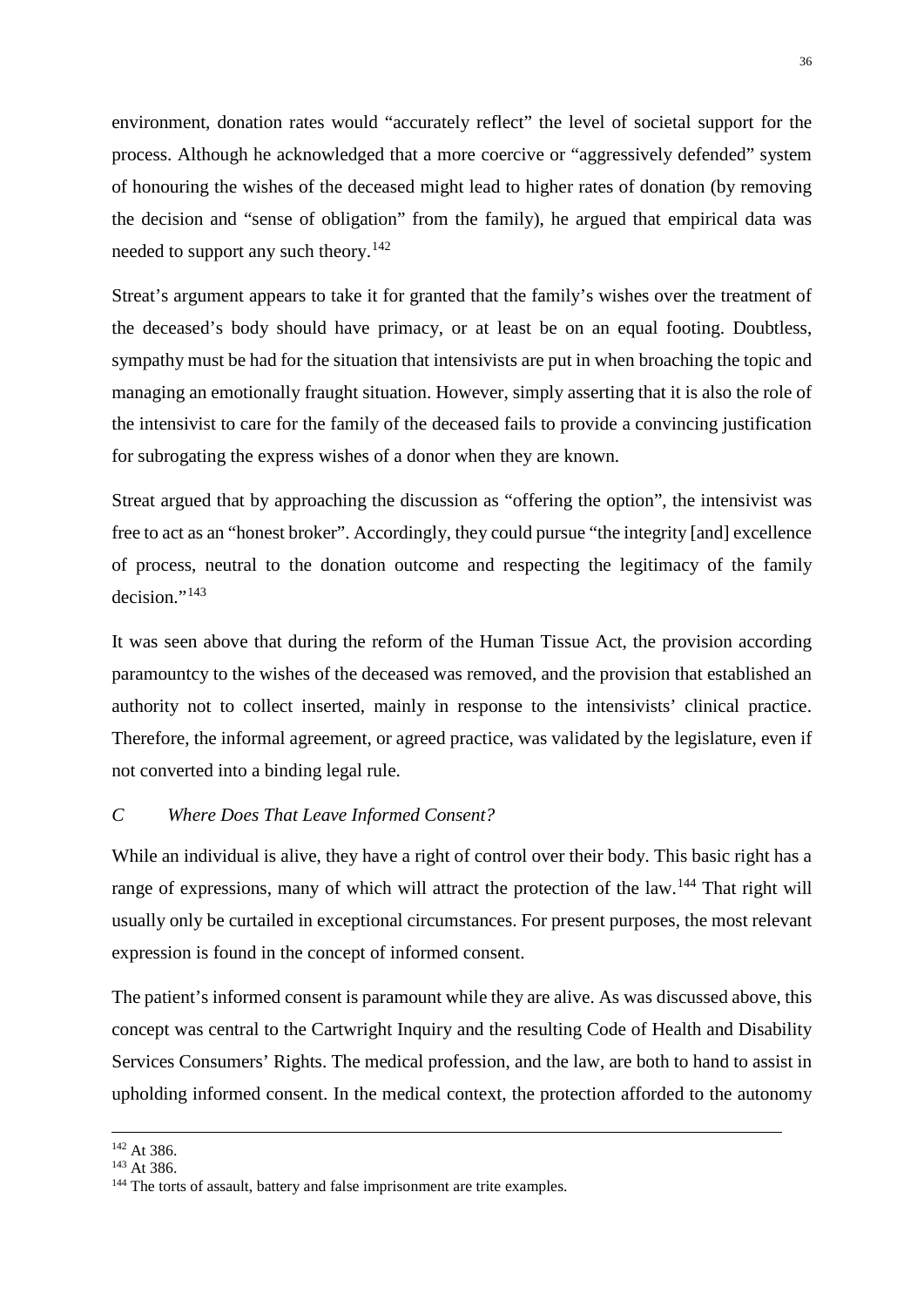environment, donation rates would "accurately reflect" the level of societal support for the process. Although he acknowledged that a more coercive or "aggressively defended" system of honouring the wishes of the deceased might lead to higher rates of donation (by removing the decision and "sense of obligation" from the family), he argued that empirical data was needed to support any such theory.<sup>[142](#page-36-1)</sup>

Streat's argument appears to take it for granted that the family's wishes over the treatment of the deceased's body should have primacy, or at least be on an equal footing. Doubtless, sympathy must be had for the situation that intensivists are put in when broaching the topic and managing an emotionally fraught situation. However, simply asserting that it is also the role of the intensivist to care for the family of the deceased fails to provide a convincing justification for subrogating the express wishes of a donor when they are known.

Streat argued that by approaching the discussion as "offering the option", the intensivist was free to act as an "honest broker". Accordingly, they could pursue "the integrity [and] excellence of process, neutral to the donation outcome and respecting the legitimacy of the family decision."<sup>[143](#page-36-2)</sup>

It was seen above that during the reform of the Human Tissue Act, the provision according paramountcy to the wishes of the deceased was removed, and the provision that established an authority not to collect inserted, mainly in response to the intensivists' clinical practice. Therefore, the informal agreement, or agreed practice, was validated by the legislature, even if not converted into a binding legal rule.

# <span id="page-36-0"></span>*C Where Does That Leave Informed Consent?*

While an individual is alive, they have a right of control over their body. This basic right has a range of expressions, many of which will attract the protection of the law.<sup>[144](#page-36-3)</sup> That right will usually only be curtailed in exceptional circumstances. For present purposes, the most relevant expression is found in the concept of informed consent.

The patient's informed consent is paramount while they are alive. As was discussed above, this concept was central to the Cartwright Inquiry and the resulting Code of Health and Disability Services Consumers' Rights. The medical profession, and the law, are both to hand to assist in upholding informed consent. In the medical context, the protection afforded to the autonomy

<span id="page-36-1"></span><sup>&</sup>lt;sup>142</sup> At 386.

<span id="page-36-2"></span><sup>143</sup> At 386.

<span id="page-36-3"></span><sup>&</sup>lt;sup>144</sup> The torts of assault, battery and false imprisonment are trite examples.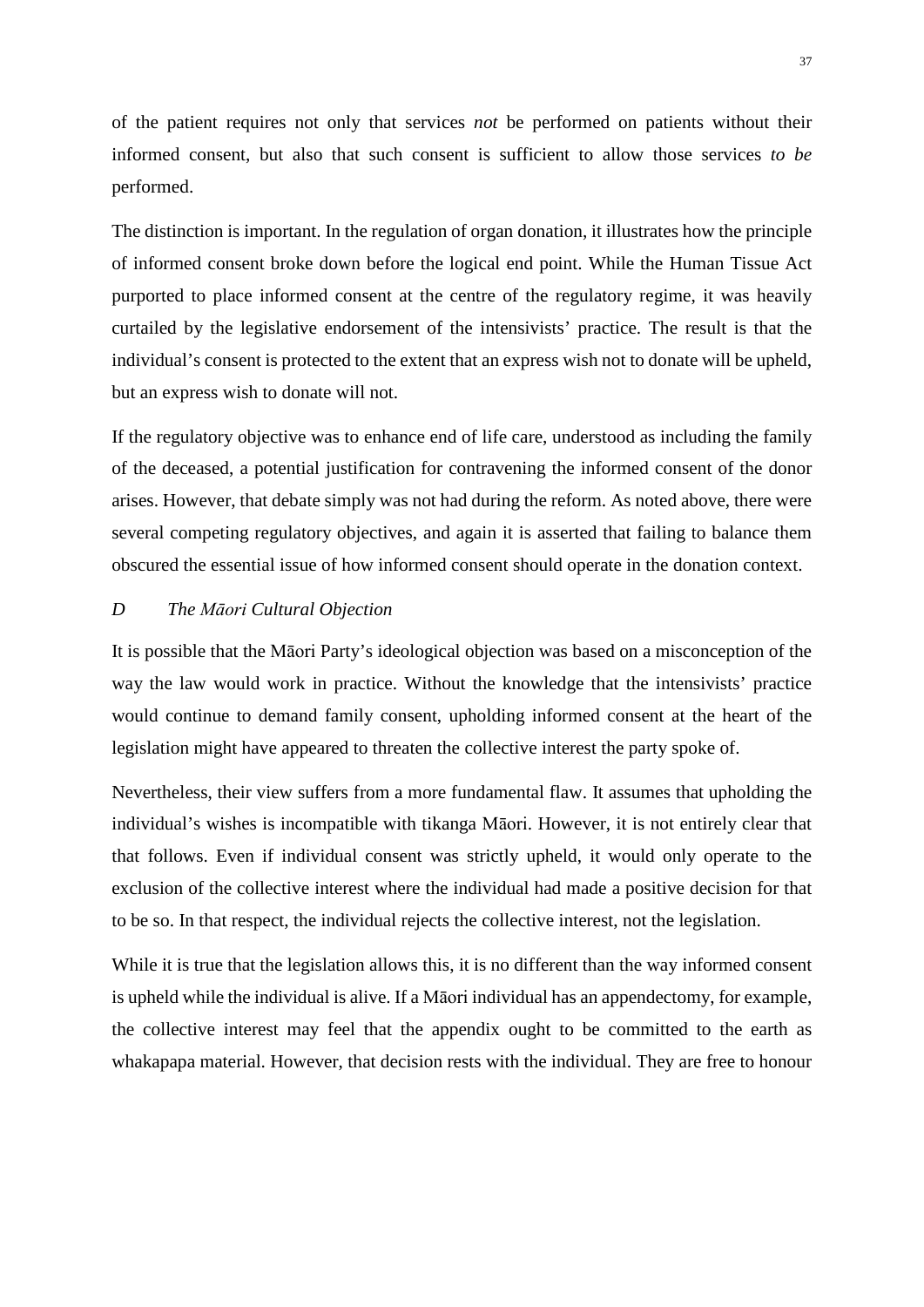of the patient requires not only that services *not* be performed on patients without their informed consent, but also that such consent is sufficient to allow those services *to be* performed.

The distinction is important. In the regulation of organ donation, it illustrates how the principle of informed consent broke down before the logical end point. While the Human Tissue Act purported to place informed consent at the centre of the regulatory regime, it was heavily curtailed by the legislative endorsement of the intensivists' practice. The result is that the individual's consent is protected to the extent that an express wish not to donate will be upheld, but an express wish to donate will not.

If the regulatory objective was to enhance end of life care, understood as including the family of the deceased, a potential justification for contravening the informed consent of the donor arises. However, that debate simply was not had during the reform. As noted above, there were several competing regulatory objectives, and again it is asserted that failing to balance them obscured the essential issue of how informed consent should operate in the donation context.

# <span id="page-37-0"></span>*D The Māori Cultural Objection*

It is possible that the Māori Party's ideological objection was based on a misconception of the way the law would work in practice. Without the knowledge that the intensivists' practice would continue to demand family consent, upholding informed consent at the heart of the legislation might have appeared to threaten the collective interest the party spoke of.

Nevertheless, their view suffers from a more fundamental flaw. It assumes that upholding the individual's wishes is incompatible with tikanga Māori. However, it is not entirely clear that that follows. Even if individual consent was strictly upheld, it would only operate to the exclusion of the collective interest where the individual had made a positive decision for that to be so. In that respect, the individual rejects the collective interest, not the legislation.

While it is true that the legislation allows this, it is no different than the way informed consent is upheld while the individual is alive. If a Māori individual has an appendectomy, for example, the collective interest may feel that the appendix ought to be committed to the earth as whakapapa material. However, that decision rests with the individual. They are free to honour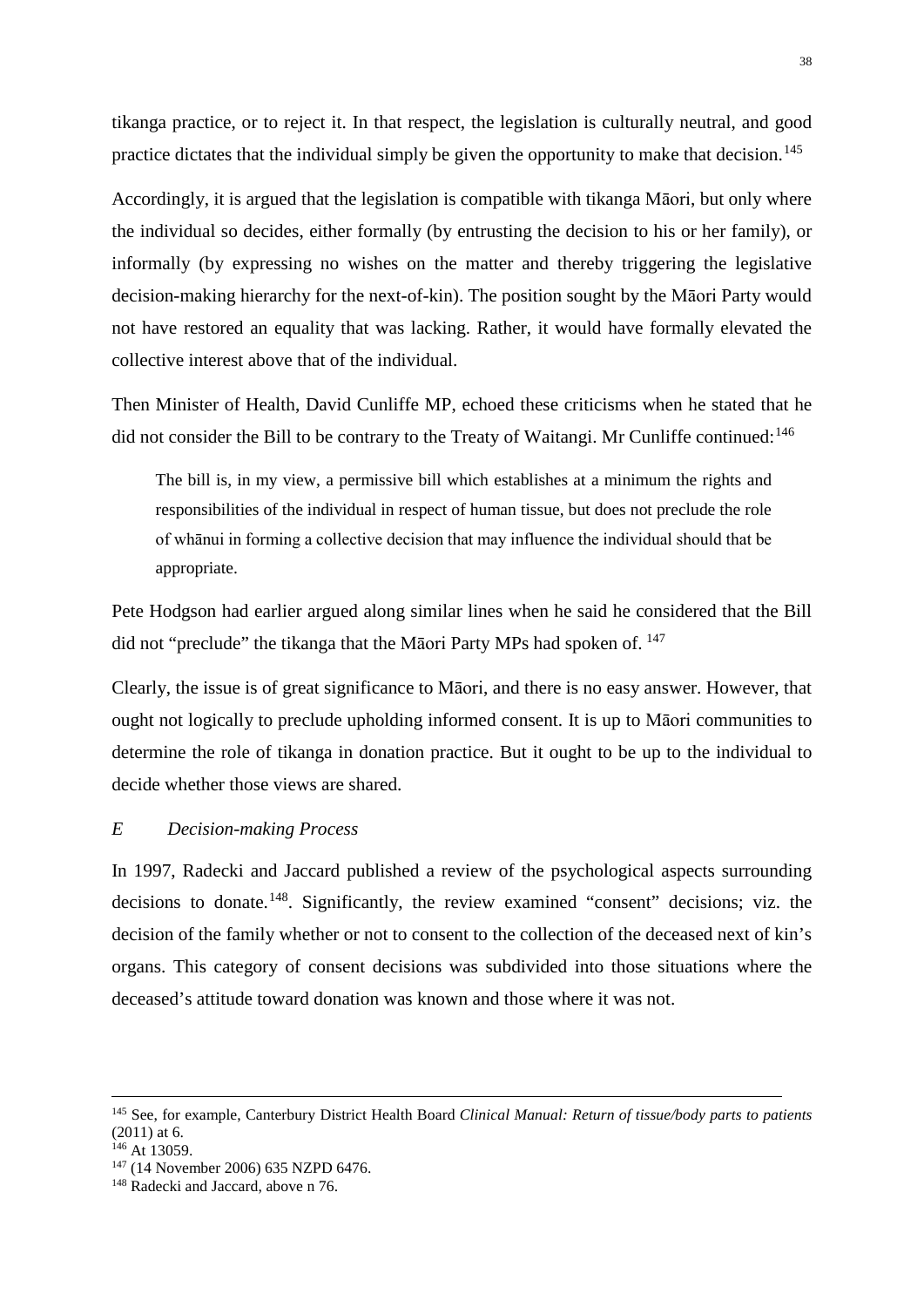tikanga practice, or to reject it. In that respect, the legislation is culturally neutral, and good practice dictates that the individual simply be given the opportunity to make that decision.<sup>[145](#page-38-1)</sup>

Accordingly, it is argued that the legislation is compatible with tikanga Māori, but only where the individual so decides, either formally (by entrusting the decision to his or her family), or informally (by expressing no wishes on the matter and thereby triggering the legislative decision-making hierarchy for the next-of-kin). The position sought by the Māori Party would not have restored an equality that was lacking. Rather, it would have formally elevated the collective interest above that of the individual.

Then Minister of Health, David Cunliffe MP, echoed these criticisms when he stated that he did not consider the Bill to be contrary to the Treaty of Waitangi. Mr Cunliffe continued:<sup>[146](#page-38-2)</sup>

The bill is, in my view, a permissive bill which establishes at a minimum the rights and responsibilities of the individual in respect of human tissue, but does not preclude the role of whānui in forming a collective decision that may influence the individual should that be appropriate.

Pete Hodgson had earlier argued along similar lines when he said he considered that the Bill did not "preclude" the tikanga that the Māori Party MPs had spoken of. <sup>[147](#page-38-3)</sup>

Clearly, the issue is of great significance to Māori, and there is no easy answer. However, that ought not logically to preclude upholding informed consent. It is up to Māori communities to determine the role of tikanga in donation practice. But it ought to be up to the individual to decide whether those views are shared.

#### <span id="page-38-0"></span>*E Decision-making Process*

In 1997, Radecki and Jaccard published a review of the psychological aspects surrounding decisions to donate.<sup>148</sup>. Significantly, the review examined "consent" decisions; viz. the decision of the family whether or not to consent to the collection of the deceased next of kin's organs. This category of consent decisions was subdivided into those situations where the deceased's attitude toward donation was known and those where it was not.

<span id="page-38-1"></span> <sup>145</sup> See, for example, Canterbury District Health Board *Clinical Manual: Return of tissue/body parts to patients*   $(2011)$  at 6.<br><sup>146</sup> At 13059.

<span id="page-38-2"></span>

<span id="page-38-3"></span><sup>&</sup>lt;sup>147</sup> (14 November 2006) 635 NZPD 6476.

<span id="page-38-4"></span><sup>&</sup>lt;sup>148</sup> Radecki and Jaccard, above n 76.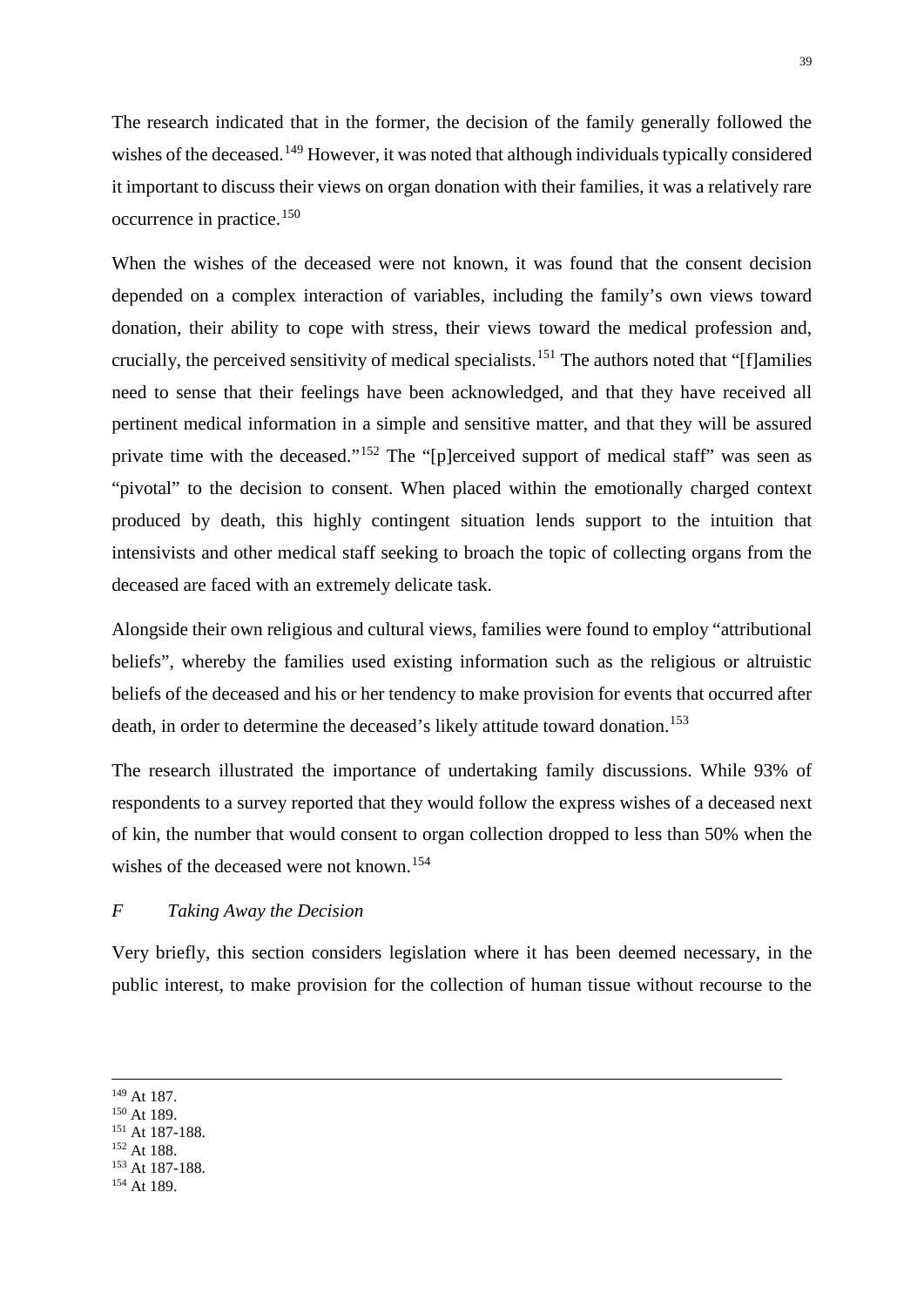The research indicated that in the former, the decision of the family generally followed the wishes of the deceased.<sup>[149](#page-39-1)</sup> However, it was noted that although individuals typically considered it important to discuss their views on organ donation with their families, it was a relatively rare occurrence in practice.[150](#page-39-2)

When the wishes of the deceased were not known, it was found that the consent decision depended on a complex interaction of variables, including the family's own views toward donation, their ability to cope with stress, their views toward the medical profession and, crucially, the perceived sensitivity of medical specialists.[151](#page-39-3) The authors noted that "[f]amilies need to sense that their feelings have been acknowledged, and that they have received all pertinent medical information in a simple and sensitive matter, and that they will be assured private time with the deceased."[152](#page-39-4) The "[p]erceived support of medical staff" was seen as "pivotal" to the decision to consent. When placed within the emotionally charged context produced by death, this highly contingent situation lends support to the intuition that intensivists and other medical staff seeking to broach the topic of collecting organs from the deceased are faced with an extremely delicate task.

Alongside their own religious and cultural views, families were found to employ "attributional beliefs", whereby the families used existing information such as the religious or altruistic beliefs of the deceased and his or her tendency to make provision for events that occurred after death, in order to determine the deceased's likely attitude toward donation.<sup>[153](#page-39-5)</sup>

The research illustrated the importance of undertaking family discussions. While 93% of respondents to a survey reported that they would follow the express wishes of a deceased next of kin, the number that would consent to organ collection dropped to less than 50% when the wishes of the deceased were not known.<sup>[154](#page-39-6)</sup>

# <span id="page-39-0"></span>*F Taking Away the Decision*

Very briefly, this section considers legislation where it has been deemed necessary, in the public interest, to make provision for the collection of human tissue without recourse to the

<span id="page-39-4"></span><span id="page-39-3"></span><sup>152</sup> At 188.

<span id="page-39-2"></span><span id="page-39-1"></span><sup>&</sup>lt;sup>149</sup> At 187.<br><sup>150</sup> At 189.<br><sup>151</sup> At 187-188.

<span id="page-39-6"></span><span id="page-39-5"></span><sup>&</sup>lt;sup>153</sup> At 187-188.<br><sup>154</sup> At 189.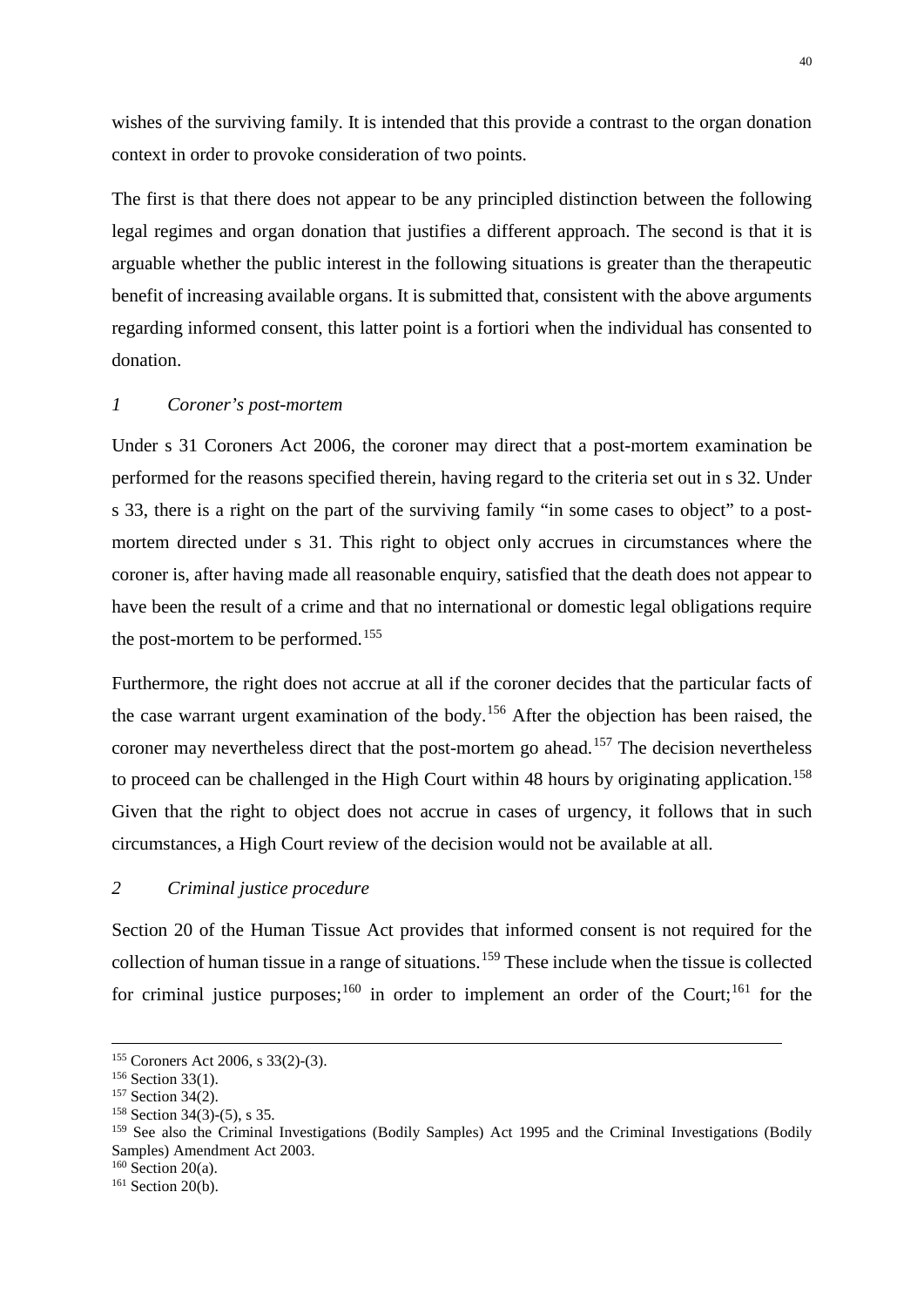wishes of the surviving family. It is intended that this provide a contrast to the organ donation context in order to provoke consideration of two points.

The first is that there does not appear to be any principled distinction between the following legal regimes and organ donation that justifies a different approach. The second is that it is arguable whether the public interest in the following situations is greater than the therapeutic benefit of increasing available organs. It is submitted that, consistent with the above arguments regarding informed consent, this latter point is a fortiori when the individual has consented to donation.

#### <span id="page-40-0"></span>*1 Coroner's post-mortem*

Under s 31 Coroners Act 2006, the coroner may direct that a post-mortem examination be performed for the reasons specified therein, having regard to the criteria set out in s 32. Under s 33, there is a right on the part of the surviving family "in some cases to object" to a postmortem directed under s 31. This right to object only accrues in circumstances where the coroner is, after having made all reasonable enquiry, satisfied that the death does not appear to have been the result of a crime and that no international or domestic legal obligations require the post-mortem to be performed.<sup>[155](#page-40-2)</sup>

Furthermore, the right does not accrue at all if the coroner decides that the particular facts of the case warrant urgent examination of the body.[156](#page-40-3) After the objection has been raised, the coroner may nevertheless direct that the post-mortem go ahead.<sup>[157](#page-40-4)</sup> The decision nevertheless to proceed can be challenged in the High Court within 48 hours by originating application.<sup>[158](#page-40-5)</sup> Given that the right to object does not accrue in cases of urgency, it follows that in such circumstances, a High Court review of the decision would not be available at all.

<span id="page-40-1"></span>*2 Criminal justice procedure*

Section 20 of the Human Tissue Act provides that informed consent is not required for the collection of human tissue in a range of situations.[159](#page-40-6) These include when the tissue is collected for criminal justice purposes;<sup>[160](#page-40-7)</sup> in order to implement an order of the Court;<sup>[161](#page-40-8)</sup> for the

<span id="page-40-3"></span><span id="page-40-2"></span><sup>&</sup>lt;sup>155</sup> Coroners Act 2006, s 33(2)-(3).<br><sup>156</sup> Section 33(1).<br><sup>157</sup> Section 34(2).<br><sup>158</sup> Section 34(3)-(5), s 35.

<span id="page-40-4"></span>

<span id="page-40-6"></span><span id="page-40-5"></span><sup>&</sup>lt;sup>159</sup> See also the Criminal Investigations (Bodily Samples) Act 1995 and the Criminal Investigations (Bodily Samples) Amendment Act 2003. 160 Section 20(a).

<span id="page-40-8"></span><span id="page-40-7"></span><sup>&</sup>lt;sup>161</sup> Section 20(b).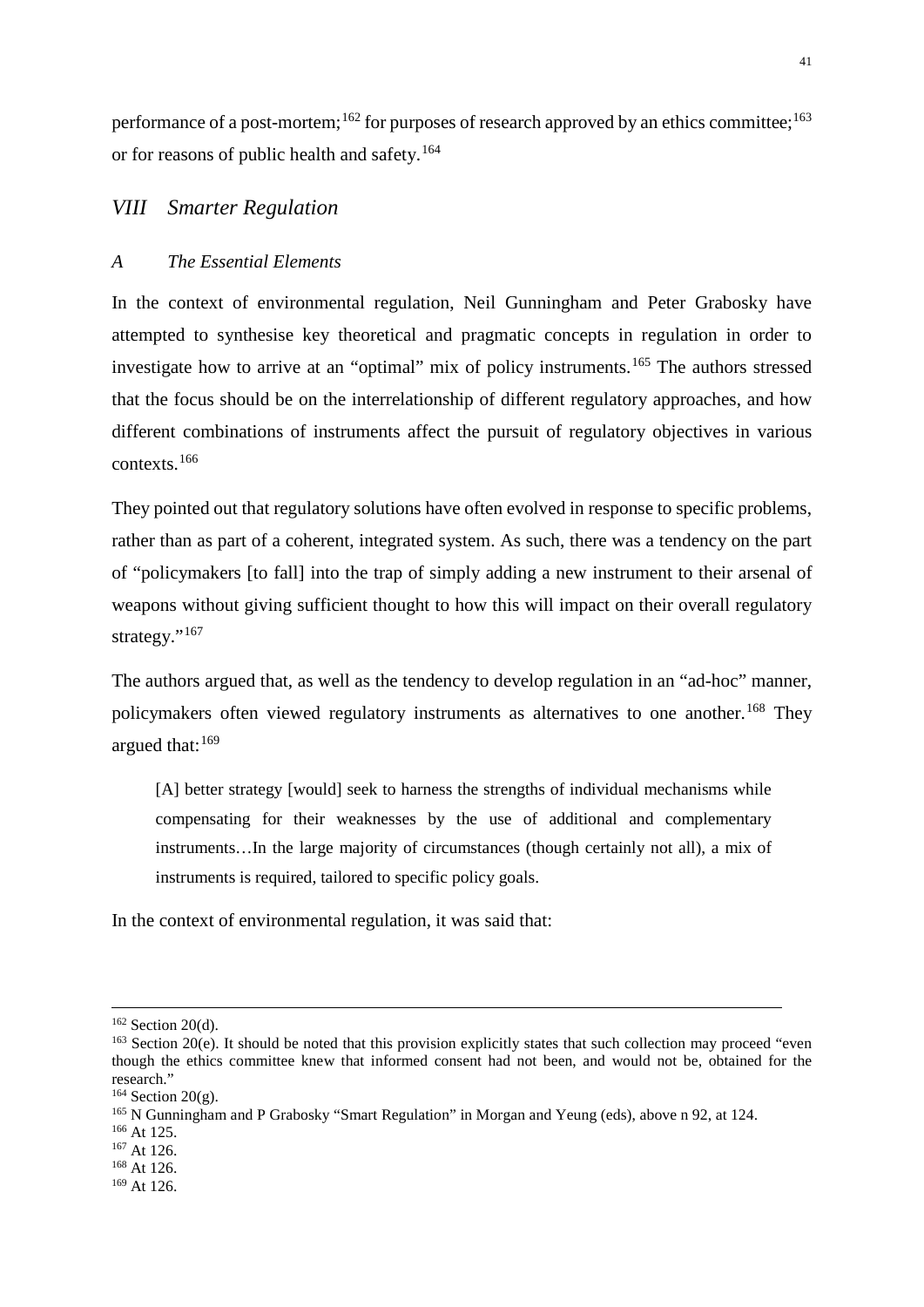performance of a post-mortem;<sup>[162](#page-41-2)</sup> for purposes of research approved by an ethics committee;<sup>[163](#page-41-3)</sup> or for reasons of public health and safety.[164](#page-41-4)

# <span id="page-41-0"></span>*VIII Smarter Regulation*

#### <span id="page-41-1"></span>*A The Essential Elements*

In the context of environmental regulation, Neil Gunningham and Peter Grabosky have attempted to synthesise key theoretical and pragmatic concepts in regulation in order to investigate how to arrive at an "optimal" mix of policy instruments.<sup>[165](#page-41-5)</sup> The authors stressed that the focus should be on the interrelationship of different regulatory approaches, and how different combinations of instruments affect the pursuit of regulatory objectives in various contexts.[166](#page-41-6)

They pointed out that regulatory solutions have often evolved in response to specific problems, rather than as part of a coherent, integrated system. As such, there was a tendency on the part of "policymakers [to fall] into the trap of simply adding a new instrument to their arsenal of weapons without giving sufficient thought to how this will impact on their overall regulatory strategy."<sup>[167](#page-41-7)</sup>

The authors argued that, as well as the tendency to develop regulation in an "ad-hoc" manner, policymakers often viewed regulatory instruments as alternatives to one another.<sup>[168](#page-41-8)</sup> They argued that: [169](#page-41-9)

[A] better strategy [would] seek to harness the strengths of individual mechanisms while compensating for their weaknesses by the use of additional and complementary instruments…In the large majority of circumstances (though certainly not all), a mix of instruments is required, tailored to specific policy goals.

In the context of environmental regulation, it was said that:

<span id="page-41-3"></span><span id="page-41-2"></span><sup>&</sup>lt;sup>162</sup> Section 20(d).<br><sup>163</sup> Section 20(e). It should be noted that this provision explicitly states that such collection may proceed "even though the ethics committee knew that informed consent had not been, and would not be, obtained for the research."<br> $164$  Section 20(g).

<span id="page-41-6"></span><span id="page-41-5"></span><span id="page-41-4"></span><sup>&</sup>lt;sup>165</sup> N Gunningham and P Grabosky "Smart Regulation" in Morgan and Yeung (eds), above n 92, at 124.<br><sup>166</sup> At 125.<br><sup>167</sup> At 126.

<span id="page-41-8"></span><span id="page-41-7"></span><sup>168</sup> At 126.

<span id="page-41-9"></span><sup>169</sup> At 126.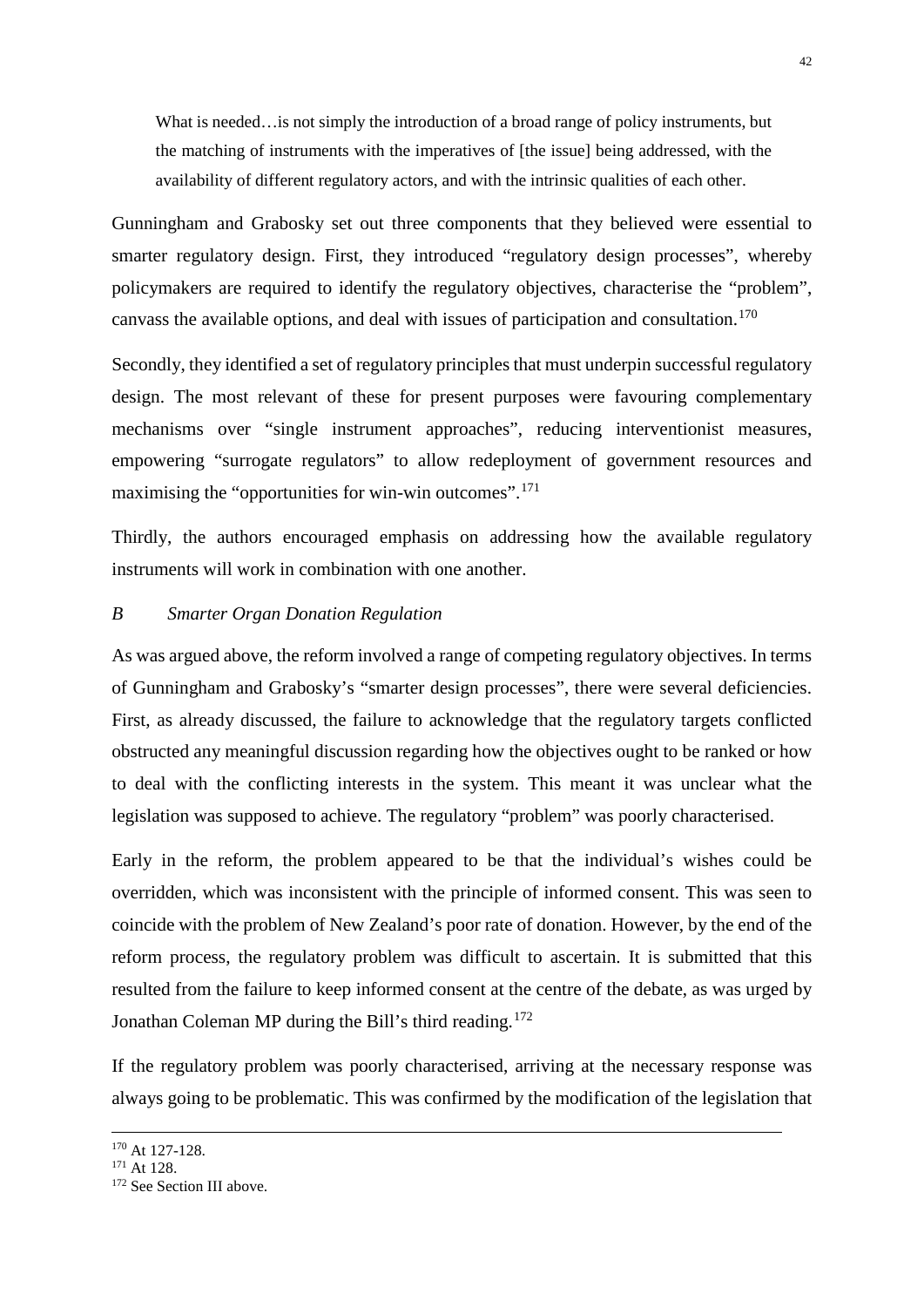What is needed…is not simply the introduction of a broad range of policy instruments, but the matching of instruments with the imperatives of [the issue] being addressed, with the availability of different regulatory actors, and with the intrinsic qualities of each other.

Gunningham and Grabosky set out three components that they believed were essential to smarter regulatory design. First, they introduced "regulatory design processes", whereby policymakers are required to identify the regulatory objectives, characterise the "problem", canvass the available options, and deal with issues of participation and consultation.<sup>[170](#page-42-1)</sup>

Secondly, they identified a set of regulatory principles that must underpin successful regulatory design. The most relevant of these for present purposes were favouring complementary mechanisms over "single instrument approaches", reducing interventionist measures, empowering "surrogate regulators" to allow redeployment of government resources and maximising the "opportunities for win-win outcomes".<sup>[171](#page-42-2)</sup>

Thirdly, the authors encouraged emphasis on addressing how the available regulatory instruments will work in combination with one another.

#### <span id="page-42-0"></span>*B Smarter Organ Donation Regulation*

As was argued above, the reform involved a range of competing regulatory objectives. In terms of Gunningham and Grabosky's "smarter design processes", there were several deficiencies. First, as already discussed, the failure to acknowledge that the regulatory targets conflicted obstructed any meaningful discussion regarding how the objectives ought to be ranked or how to deal with the conflicting interests in the system. This meant it was unclear what the legislation was supposed to achieve. The regulatory "problem" was poorly characterised.

Early in the reform, the problem appeared to be that the individual's wishes could be overridden, which was inconsistent with the principle of informed consent. This was seen to coincide with the problem of New Zealand's poor rate of donation. However, by the end of the reform process, the regulatory problem was difficult to ascertain. It is submitted that this resulted from the failure to keep informed consent at the centre of the debate, as was urged by Jonathan Coleman MP during the Bill's third reading.[172](#page-42-3)

If the regulatory problem was poorly characterised, arriving at the necessary response was always going to be problematic. This was confirmed by the modification of the legislation that

<span id="page-42-1"></span><sup>&</sup>lt;sup>170</sup> At 127-128.

<span id="page-42-2"></span> $171$  At 128.

<span id="page-42-3"></span><sup>&</sup>lt;sup>172</sup> See Section III above.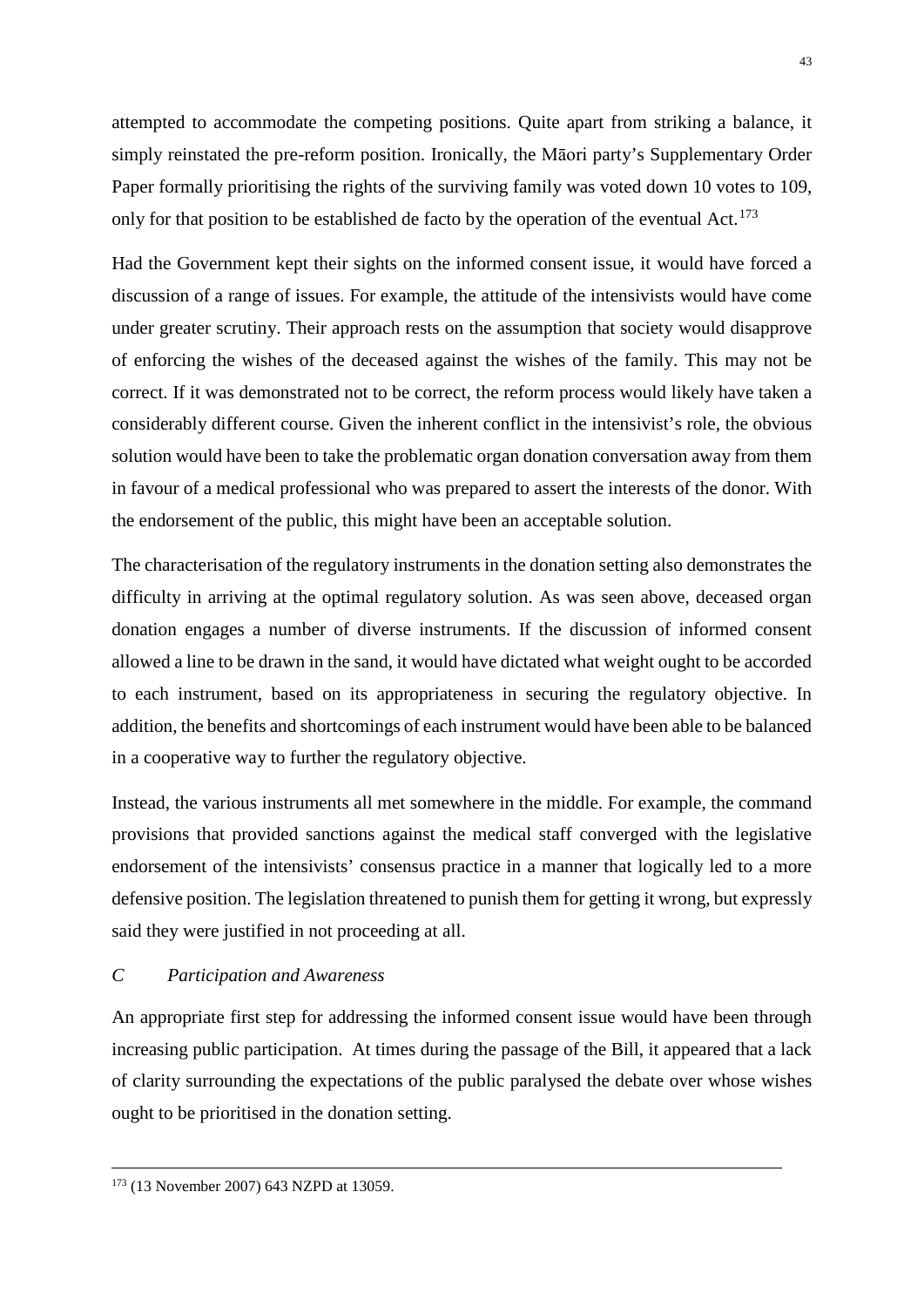attempted to accommodate the competing positions. Quite apart from striking a balance, it simply reinstated the pre-reform position. Ironically, the Māori party's Supplementary Order Paper formally prioritising the rights of the surviving family was voted down 10 votes to 109, only for that position to be established de facto by the operation of the eventual Act.<sup>[173](#page-43-1)</sup>

Had the Government kept their sights on the informed consent issue, it would have forced a discussion of a range of issues. For example, the attitude of the intensivists would have come under greater scrutiny. Their approach rests on the assumption that society would disapprove of enforcing the wishes of the deceased against the wishes of the family. This may not be correct. If it was demonstrated not to be correct, the reform process would likely have taken a considerably different course. Given the inherent conflict in the intensivist's role, the obvious solution would have been to take the problematic organ donation conversation away from them in favour of a medical professional who was prepared to assert the interests of the donor. With the endorsement of the public, this might have been an acceptable solution.

The characterisation of the regulatory instruments in the donation setting also demonstrates the difficulty in arriving at the optimal regulatory solution. As was seen above, deceased organ donation engages a number of diverse instruments. If the discussion of informed consent allowed a line to be drawn in the sand, it would have dictated what weight ought to be accorded to each instrument, based on its appropriateness in securing the regulatory objective. In addition, the benefits and shortcomings of each instrument would have been able to be balanced in a cooperative way to further the regulatory objective.

Instead, the various instruments all met somewhere in the middle. For example, the command provisions that provided sanctions against the medical staff converged with the legislative endorsement of the intensivists' consensus practice in a manner that logically led to a more defensive position. The legislation threatened to punish them for getting it wrong, but expressly said they were justified in not proceeding at all.

# <span id="page-43-0"></span>*C Participation and Awareness*

An appropriate first step for addressing the informed consent issue would have been through increasing public participation. At times during the passage of the Bill, it appeared that a lack of clarity surrounding the expectations of the public paralysed the debate over whose wishes ought to be prioritised in the donation setting.

<span id="page-43-1"></span> <sup>173</sup> (13 November 2007) 643 NZPD at 13059.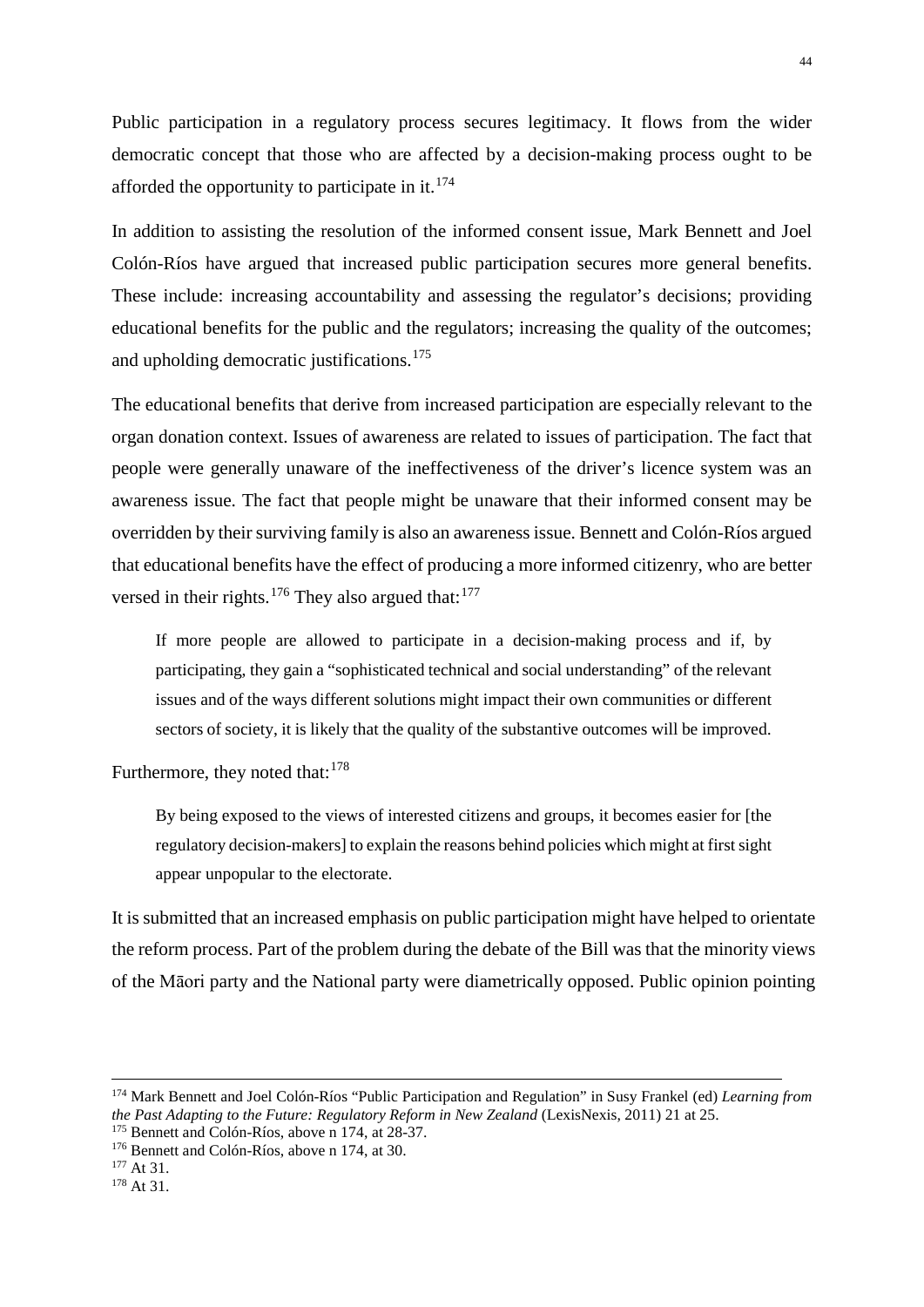Public participation in a regulatory process secures legitimacy. It flows from the wider democratic concept that those who are affected by a decision-making process ought to be afforded the opportunity to participate in it. $174$ 

In addition to assisting the resolution of the informed consent issue, Mark Bennett and Joel Colón-Ríos have argued that increased public participation secures more general benefits. These include: increasing accountability and assessing the regulator's decisions; providing educational benefits for the public and the regulators; increasing the quality of the outcomes; and upholding democratic justifications.[175](#page-44-1)

The educational benefits that derive from increased participation are especially relevant to the organ donation context. Issues of awareness are related to issues of participation. The fact that people were generally unaware of the ineffectiveness of the driver's licence system was an awareness issue. The fact that people might be unaware that their informed consent may be overridden by their surviving family is also an awareness issue. Bennett and Colón-Ríos argued that educational benefits have the effect of producing a more informed citizenry, who are better versed in their rights.<sup>[176](#page-44-2)</sup> They also argued that: $177$ 

If more people are allowed to participate in a decision-making process and if, by participating, they gain a "sophisticated technical and social understanding" of the relevant issues and of the ways different solutions might impact their own communities or different sectors of society, it is likely that the quality of the substantive outcomes will be improved.

Furthermore, they noted that:<sup>[178](#page-44-4)</sup>

By being exposed to the views of interested citizens and groups, it becomes easier for [the regulatory decision-makers] to explain the reasons behind policies which might at first sight appear unpopular to the electorate.

It is submitted that an increased emphasis on public participation might have helped to orientate the reform process. Part of the problem during the debate of the Bill was that the minority views of the Māori party and the National party were diametrically opposed. Public opinion pointing

<span id="page-44-0"></span> <sup>174</sup> Mark Bennett and Joel Colón-Ríos "Public Participation and Regulation" in Susy Frankel (ed) *Learning from the Past Adapting to the Future: Regulatory Reform in New Zealand* (LexisNexis, 2011) 21 at 25. <sup>175</sup> Bennett and Colón-Ríos, above n 174, at 30. <sup>177</sup> At 31.

<span id="page-44-2"></span><span id="page-44-1"></span>

<span id="page-44-4"></span><span id="page-44-3"></span><sup>178</sup> At 31.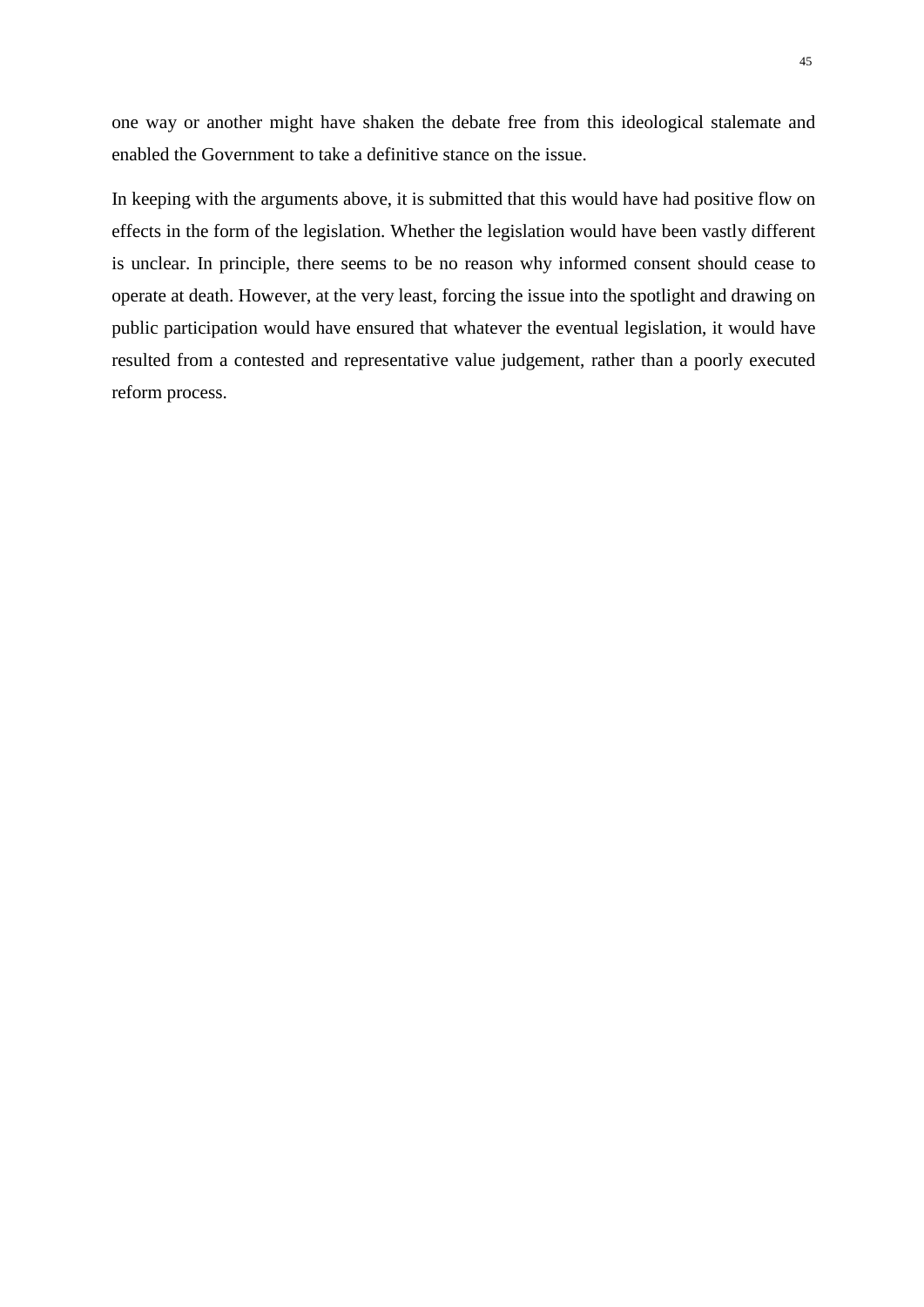one way or another might have shaken the debate free from this ideological stalemate and enabled the Government to take a definitive stance on the issue.

<span id="page-45-0"></span>In keeping with the arguments above, it is submitted that this would have had positive flow on effects in the form of the legislation. Whether the legislation would have been vastly different is unclear. In principle, there seems to be no reason why informed consent should cease to operate at death. However, at the very least, forcing the issue into the spotlight and drawing on public participation would have ensured that whatever the eventual legislation, it would have resulted from a contested and representative value judgement, rather than a poorly executed reform process.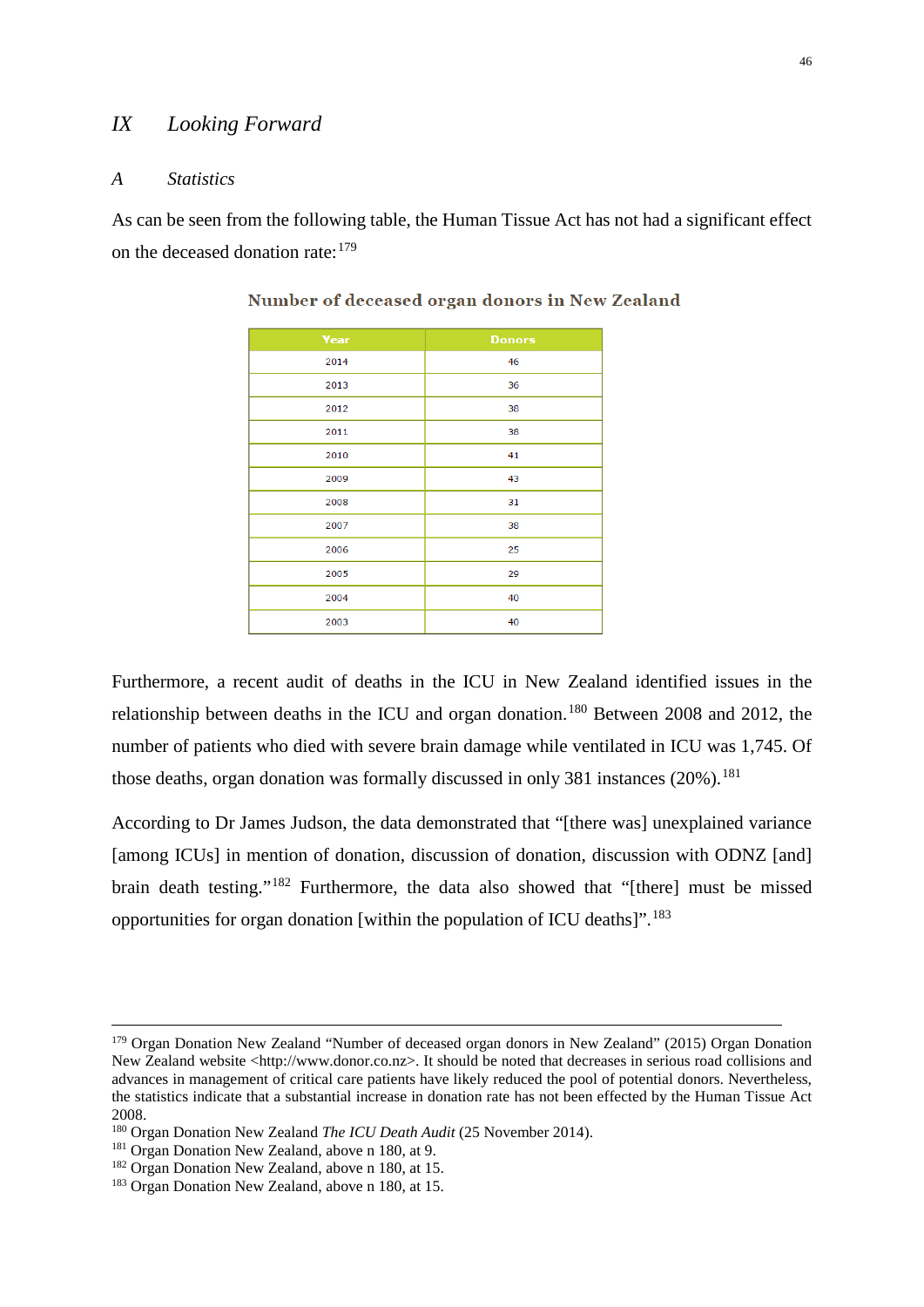# *IX Looking Forward*

#### <span id="page-46-0"></span>*A Statistics*

As can be seen from the following table, the Human Tissue Act has not had a significant effect on the deceased donation rate:[179](#page-46-1)

| Year | <b>Donors</b> |
|------|---------------|
| 2014 | 46            |
| 2013 | 36            |
| 2012 | 38            |
| 2011 | 38            |
| 2010 | 41            |
| 2009 | 43            |
| 2008 | 31            |
| 2007 | 38            |
| 2006 | 25            |
| 2005 | 29            |
| 2004 | 40            |
| 2003 | 40            |

Number of deceased organ donors in New Zealand

Furthermore, a recent audit of deaths in the ICU in New Zealand identified issues in the relationship between deaths in the ICU and organ donation.<sup>[180](#page-46-2)</sup> Between 2008 and 2012, the number of patients who died with severe brain damage while ventilated in ICU was 1,745. Of those deaths, organ donation was formally discussed in only 381 instances  $(20\%)$ .<sup>[181](#page-46-3)</sup>

According to Dr James Judson, the data demonstrated that "[there was] unexplained variance [among ICUs] in mention of donation, discussion of donation, discussion with ODNZ [and] brain death testing."[182](#page-46-4) Furthermore, the data also showed that "[there] must be missed opportunities for organ donation [within the population of ICU deaths]".[183](#page-46-5)

<span id="page-46-1"></span><sup>&</sup>lt;sup>179</sup> Organ Donation New Zealand "Number of deceased organ donors in New Zealand" (2015) Organ Donation New Zealand website <http://www.donor.co.nz>. It should be noted that decreases in serious road collisions and advances in management of critical care patients have likely reduced the pool of potential donors. Nevertheless, the statistics indicate that a substantial increase in donation rate has not been effected by the Human Tissue Act 2008.

<span id="page-46-3"></span><span id="page-46-2"></span><sup>&</sup>lt;sup>180</sup> Organ Donation New Zealand *The ICU Death Audit* (25 November 2014).<br><sup>181</sup> Organ Donation New Zealand, above n 180, at 9.<br><sup>182</sup> Organ Donation New Zealand, above n 180, at 15.

<span id="page-46-5"></span><span id="page-46-4"></span><sup>183</sup> Organ Donation New Zealand, above n 180, at 15.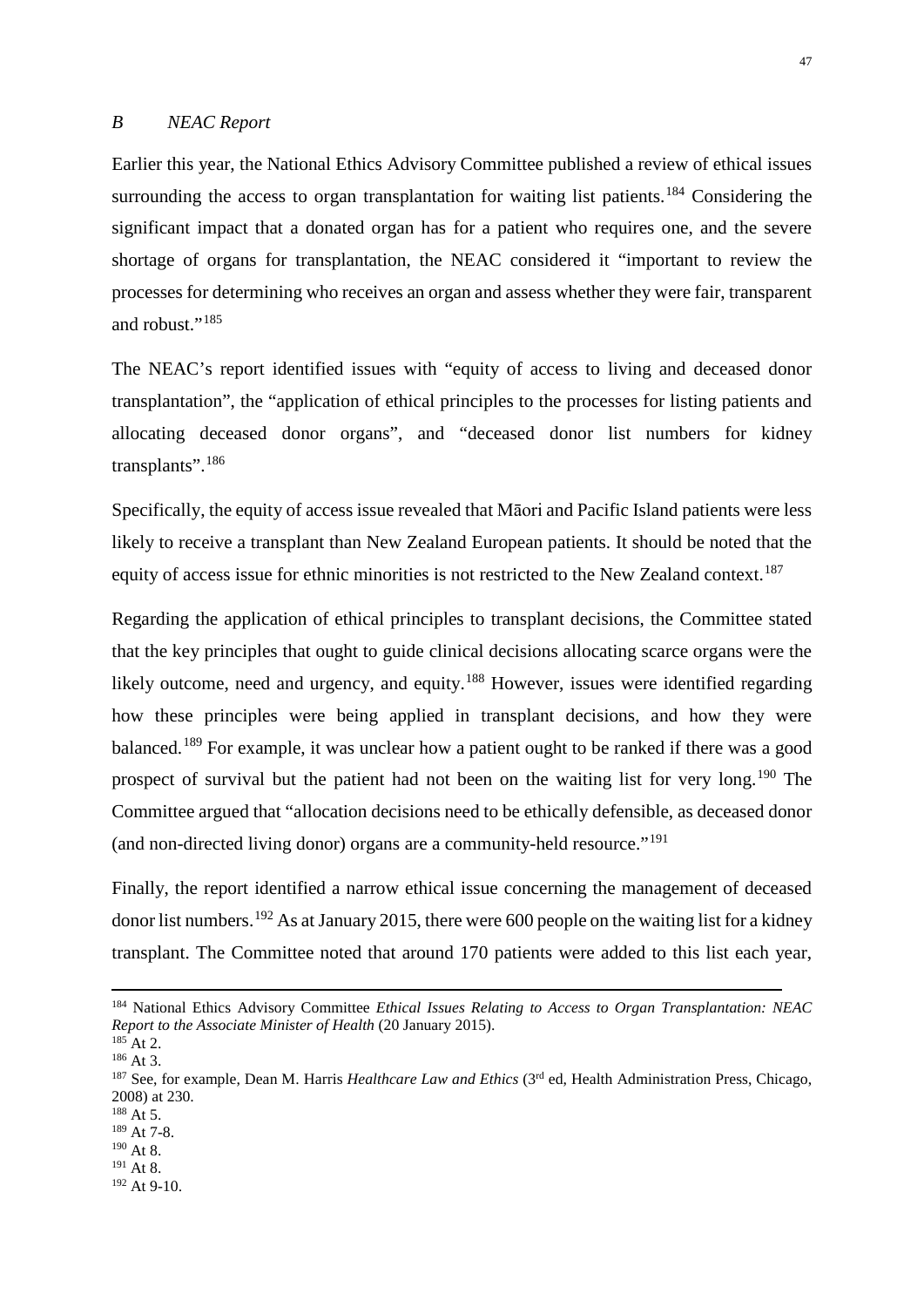#### <span id="page-47-0"></span>*B NEAC Report*

Earlier this year, the National Ethics Advisory Committee published a review of ethical issues surrounding the access to organ transplantation for waiting list patients.<sup>[184](#page-47-1)</sup> Considering the significant impact that a donated organ has for a patient who requires one, and the severe shortage of organs for transplantation, the NEAC considered it "important to review the processes for determining who receives an organ and assess whether they were fair, transparent and robust."<sup>[185](#page-47-2)</sup>

The NEAC's report identified issues with "equity of access to living and deceased donor transplantation", the "application of ethical principles to the processes for listing patients and allocating deceased donor organs", and "deceased donor list numbers for kidney transplants".<sup>[186](#page-47-3)</sup>

Specifically, the equity of access issue revealed that Māori and Pacific Island patients were less likely to receive a transplant than New Zealand European patients. It should be noted that the equity of access issue for ethnic minorities is not restricted to the New Zealand context.<sup>187</sup>

Regarding the application of ethical principles to transplant decisions, the Committee stated that the key principles that ought to guide clinical decisions allocating scarce organs were the likely outcome, need and urgency, and equity.<sup>[188](#page-47-5)</sup> However, issues were identified regarding how these principles were being applied in transplant decisions, and how they were balanced.<sup>[189](#page-47-6)</sup> For example, it was unclear how a patient ought to be ranked if there was a good prospect of survival but the patient had not been on the waiting list for very long.<sup>[190](#page-47-7)</sup> The Committee argued that "allocation decisions need to be ethically defensible, as deceased donor (and non-directed living donor) organs are a community-held resource."[191](#page-47-8)

Finally, the report identified a narrow ethical issue concerning the management of deceased donor list numbers.<sup>[192](#page-47-9)</sup> As at January 2015, there were 600 people on the waiting list for a kidney transplant. The Committee noted that around 170 patients were added to this list each year,

<span id="page-47-1"></span> <sup>184</sup> National Ethics Advisory Committee *Ethical Issues Relating to Access to Organ Transplantation: NEAC Report to the Associate Minister of Health* (20 January 2015).<br><sup>185</sup> At 2. <sup>186</sup> At 3.<br><sup>187</sup> See, for example, Dean M. Harris *Healthcare Law and Ethics* (3<sup>rd</sup> ed, Health Administration Press, Chicago,

<span id="page-47-3"></span><span id="page-47-2"></span>

<span id="page-47-4"></span><sup>2008)</sup> at 230.

<span id="page-47-5"></span><sup>188</sup> At 5.

<span id="page-47-6"></span><sup>189</sup> At 7-8.

<span id="page-47-7"></span> $190$  At 8.

<span id="page-47-9"></span><span id="page-47-8"></span><sup>191</sup> At 8.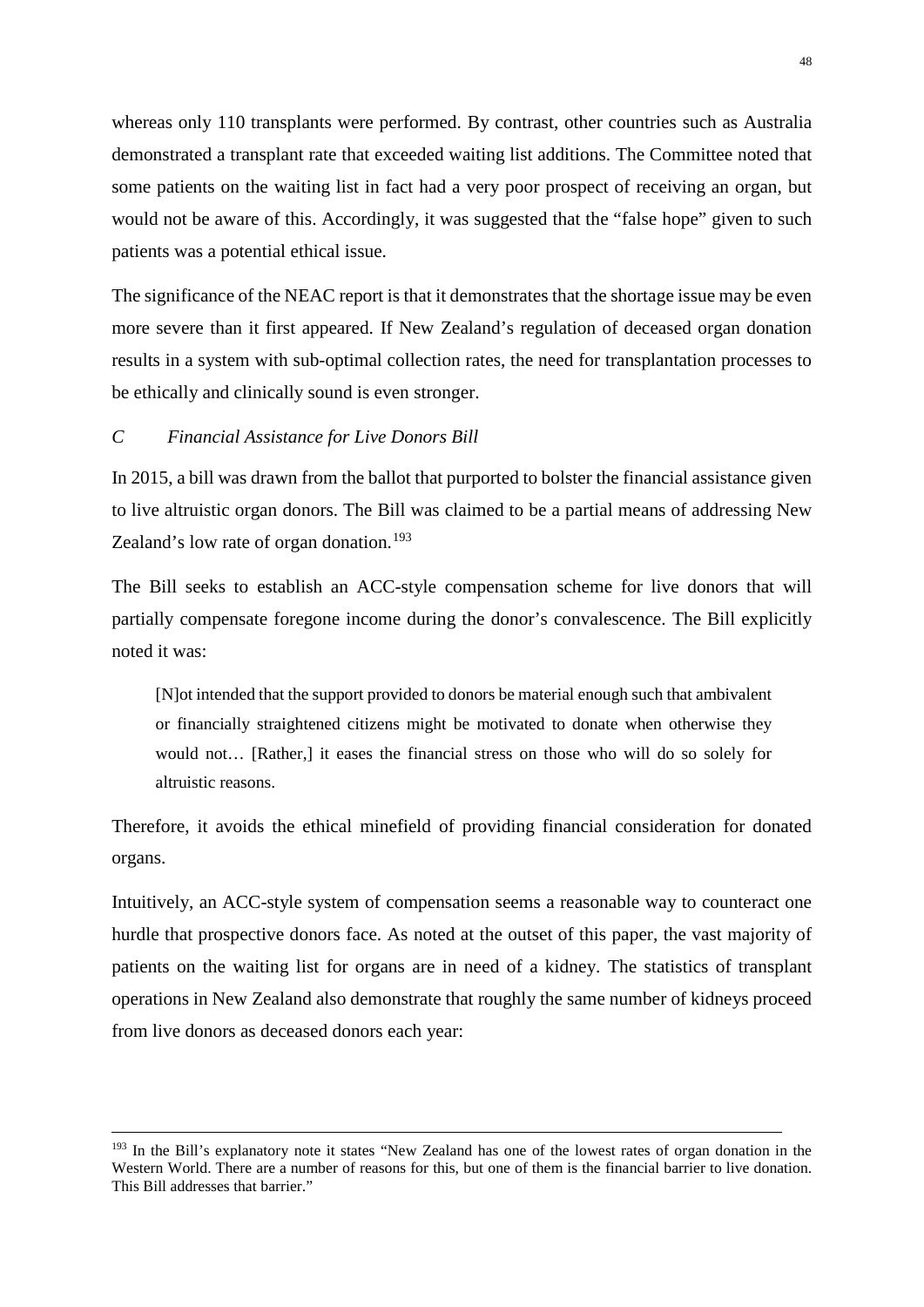whereas only 110 transplants were performed. By contrast, other countries such as Australia demonstrated a transplant rate that exceeded waiting list additions. The Committee noted that some patients on the waiting list in fact had a very poor prospect of receiving an organ, but would not be aware of this. Accordingly, it was suggested that the "false hope" given to such patients was a potential ethical issue.

The significance of the NEAC report is that it demonstrates that the shortage issue may be even more severe than it first appeared. If New Zealand's regulation of deceased organ donation results in a system with sub-optimal collection rates, the need for transplantation processes to be ethically and clinically sound is even stronger.

# <span id="page-48-0"></span>*C Financial Assistance for Live Donors Bill*

In 2015, a bill was drawn from the ballot that purported to bolster the financial assistance given to live altruistic organ donors. The Bill was claimed to be a partial means of addressing New Zealand's low rate of organ donation.<sup>[193](#page-48-1)</sup>

The Bill seeks to establish an ACC-style compensation scheme for live donors that will partially compensate foregone income during the donor's convalescence. The Bill explicitly noted it was:

[N]ot intended that the support provided to donors be material enough such that ambivalent or financially straightened citizens might be motivated to donate when otherwise they would not… [Rather,] it eases the financial stress on those who will do so solely for altruistic reasons.

Therefore, it avoids the ethical minefield of providing financial consideration for donated organs.

Intuitively, an ACC-style system of compensation seems a reasonable way to counteract one hurdle that prospective donors face. As noted at the outset of this paper, the vast majority of patients on the waiting list for organs are in need of a kidney. The statistics of transplant operations in New Zealand also demonstrate that roughly the same number of kidneys proceed from live donors as deceased donors each year:

<span id="page-48-1"></span><sup>&</sup>lt;sup>193</sup> In the Bill's explanatory note it states "New Zealand has one of the lowest rates of organ donation in the Western World. There are a number of reasons for this, but one of them is the financial barrier to live donation. This Bill addresses that barrier."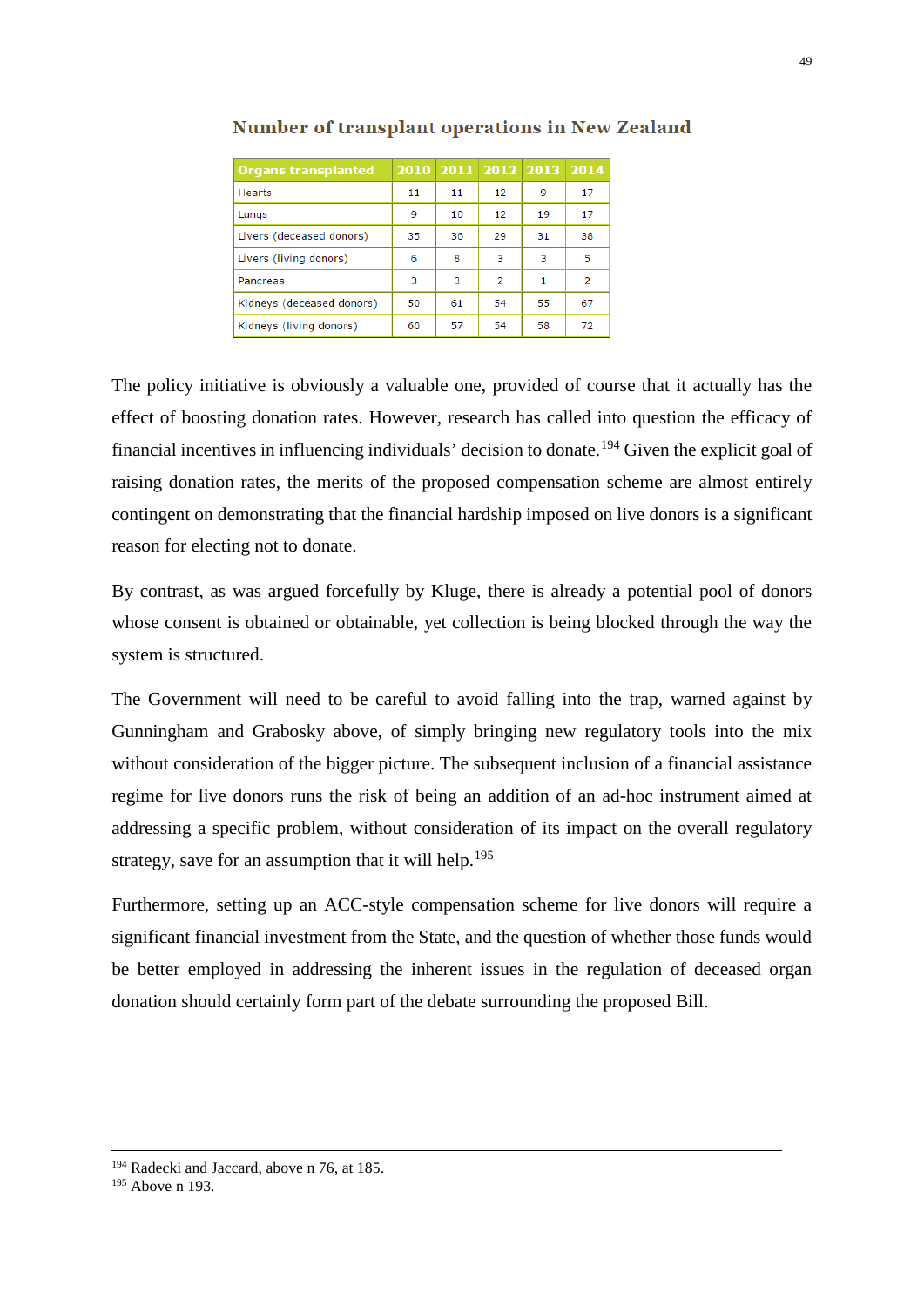| <b>Organs transplanted</b> |    |    |    | 2010 2011 2012 2013 2014 |                |
|----------------------------|----|----|----|--------------------------|----------------|
| Hearts                     | 11 | 11 | 12 | 9                        | 17             |
| Lungs                      | 9  | 10 | 12 | 19                       | 17             |
| Livers (deceased donors)   | 35 | 36 | 29 | 31                       | 38             |
| Livers (living donors)     | 6  | 8  | з  | 3                        | 5              |
| Pancreas                   | 3  | з  | 2  | 1                        | $\overline{2}$ |
| Kidneys (deceased donors)  | 50 | 61 | 54 | 55                       | 67             |
| Kidneys (living donors)    | 60 | 57 | 54 | 58                       | 72             |

#### **Number of transplant operations in New Zealand**

The policy initiative is obviously a valuable one, provided of course that it actually has the effect of boosting donation rates. However, research has called into question the efficacy of financial incentives in influencing individuals' decision to donate.[194](#page-49-0) Given the explicit goal of raising donation rates, the merits of the proposed compensation scheme are almost entirely contingent on demonstrating that the financial hardship imposed on live donors is a significant reason for electing not to donate.

By contrast, as was argued forcefully by Kluge, there is already a potential pool of donors whose consent is obtained or obtainable, yet collection is being blocked through the way the system is structured.

The Government will need to be careful to avoid falling into the trap, warned against by Gunningham and Grabosky above, of simply bringing new regulatory tools into the mix without consideration of the bigger picture. The subsequent inclusion of a financial assistance regime for live donors runs the risk of being an addition of an ad-hoc instrument aimed at addressing a specific problem, without consideration of its impact on the overall regulatory strategy, save for an assumption that it will help.<sup>[195](#page-49-1)</sup>

Furthermore, setting up an ACC-style compensation scheme for live donors will require a significant financial investment from the State, and the question of whether those funds would be better employed in addressing the inherent issues in the regulation of deceased organ donation should certainly form part of the debate surrounding the proposed Bill.

<span id="page-49-0"></span><sup>&</sup>lt;sup>194</sup> Radecki and Jaccard, above n 76, at 185.

<span id="page-49-1"></span><sup>195</sup> Above n 193.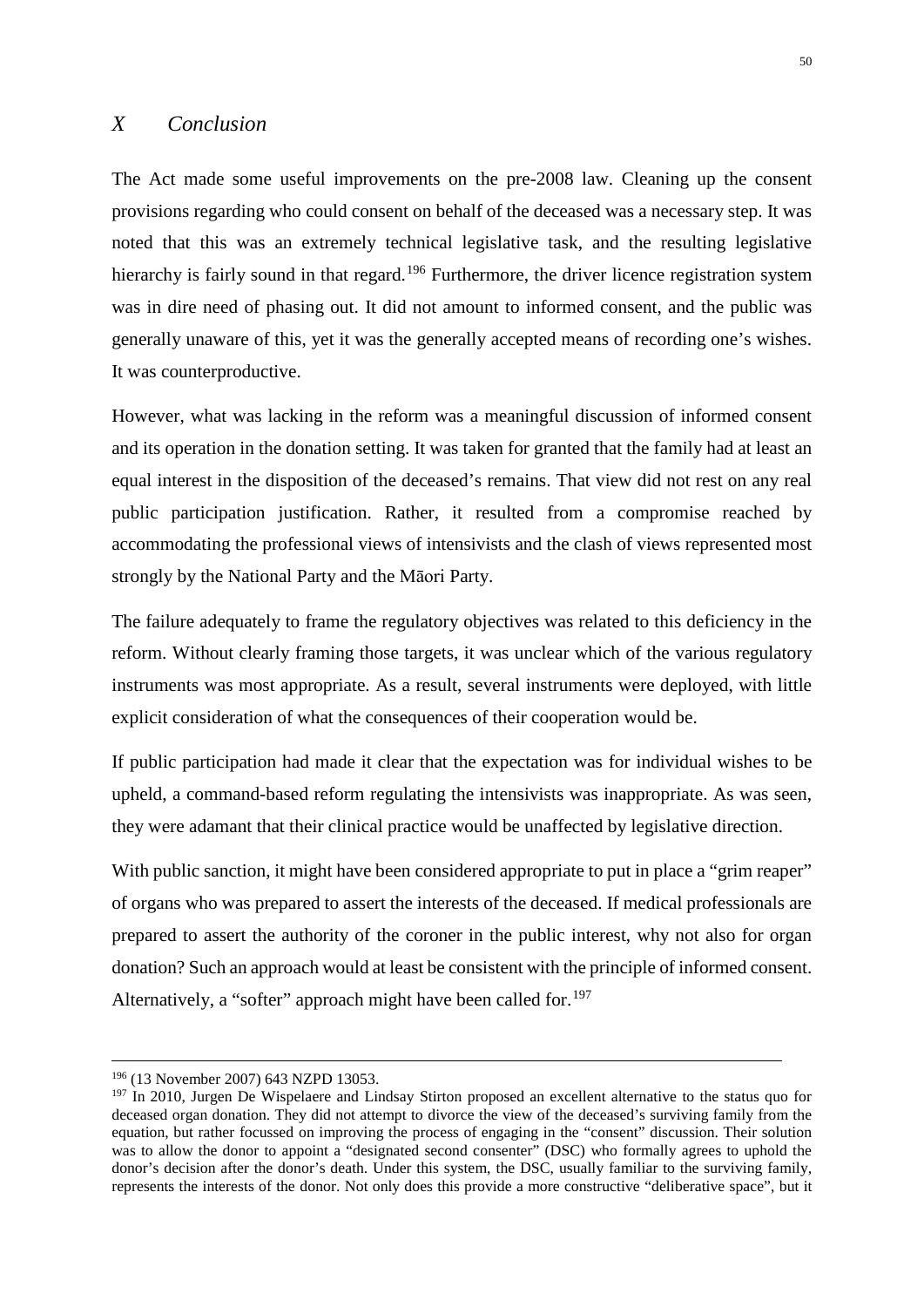# <span id="page-50-0"></span>*X Conclusion*

The Act made some useful improvements on the pre-2008 law. Cleaning up the consent provisions regarding who could consent on behalf of the deceased was a necessary step. It was noted that this was an extremely technical legislative task, and the resulting legislative hierarchy is fairly sound in that regard.<sup>[196](#page-50-1)</sup> Furthermore, the driver licence registration system was in dire need of phasing out. It did not amount to informed consent, and the public was generally unaware of this, yet it was the generally accepted means of recording one's wishes. It was counterproductive.

However, what was lacking in the reform was a meaningful discussion of informed consent and its operation in the donation setting. It was taken for granted that the family had at least an equal interest in the disposition of the deceased's remains. That view did not rest on any real public participation justification. Rather, it resulted from a compromise reached by accommodating the professional views of intensivists and the clash of views represented most strongly by the National Party and the Māori Party.

The failure adequately to frame the regulatory objectives was related to this deficiency in the reform. Without clearly framing those targets, it was unclear which of the various regulatory instruments was most appropriate. As a result, several instruments were deployed, with little explicit consideration of what the consequences of their cooperation would be.

If public participation had made it clear that the expectation was for individual wishes to be upheld, a command-based reform regulating the intensivists was inappropriate. As was seen, they were adamant that their clinical practice would be unaffected by legislative direction.

With public sanction, it might have been considered appropriate to put in place a "grim reaper" of organs who was prepared to assert the interests of the deceased. If medical professionals are prepared to assert the authority of the coroner in the public interest, why not also for organ donation? Such an approach would at least be consistent with the principle of informed consent. Alternatively, a "softer" approach might have been called for.<sup>[197](#page-50-2)</sup>

 <sup>196</sup> (13 November 2007) 643 NZPD 13053.

<span id="page-50-2"></span><span id="page-50-1"></span><sup>&</sup>lt;sup>197</sup> In 2010, Jurgen De Wispelaere and Lindsay Stirton proposed an excellent alternative to the status quo for deceased organ donation. They did not attempt to divorce the view of the deceased's surviving family from the equation, but rather focussed on improving the process of engaging in the "consent" discussion. Their solution was to allow the donor to appoint a "designated second consenter" (DSC) who formally agrees to uphold the donor's decision after the donor's death. Under this system, the DSC, usually familiar to the surviving family, represents the interests of the donor. Not only does this provide a more constructive "deliberative space", but it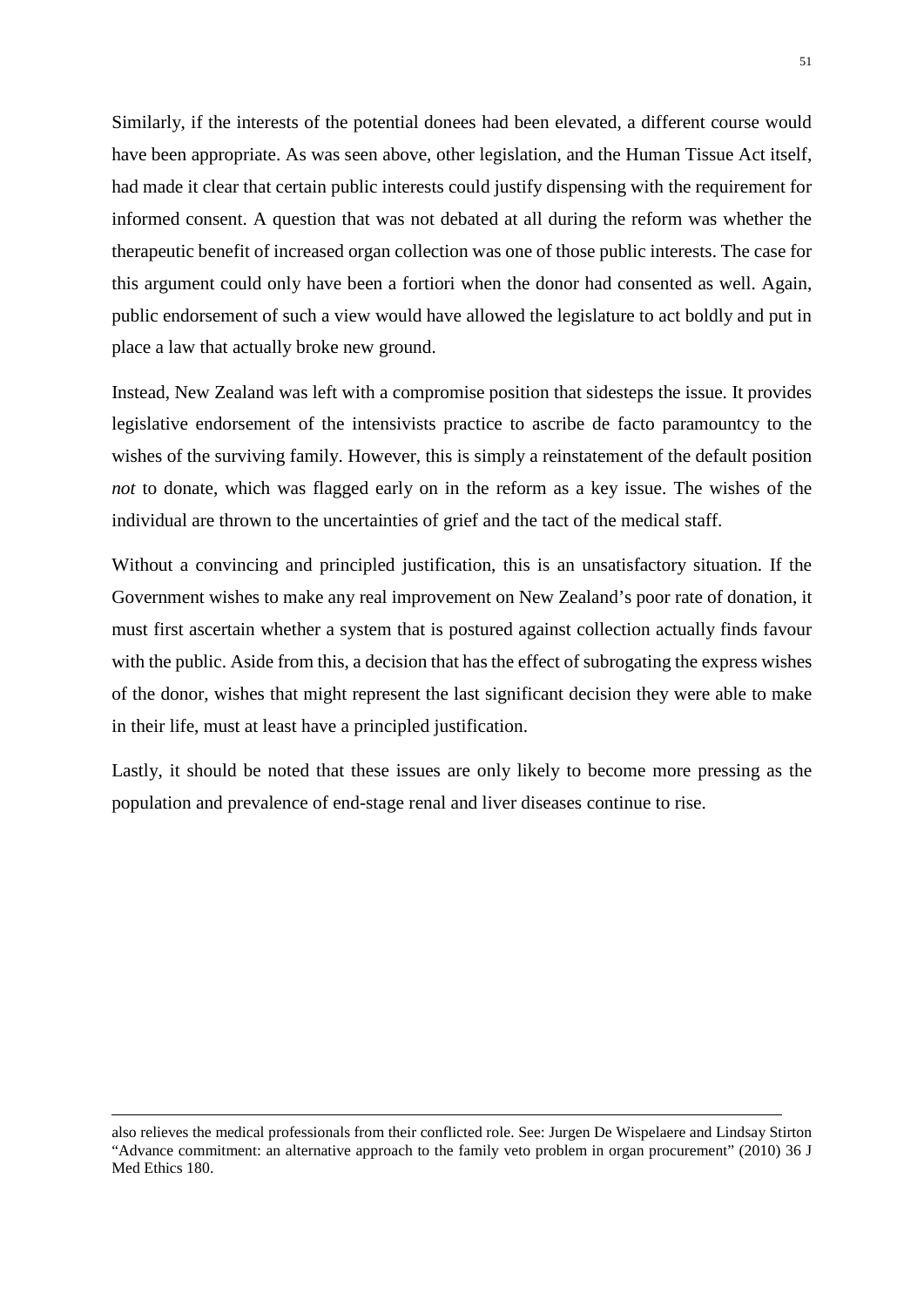Similarly, if the interests of the potential donees had been elevated, a different course would have been appropriate. As was seen above, other legislation, and the Human Tissue Act itself, had made it clear that certain public interests could justify dispensing with the requirement for informed consent. A question that was not debated at all during the reform was whether the therapeutic benefit of increased organ collection was one of those public interests. The case for this argument could only have been a fortiori when the donor had consented as well. Again, public endorsement of such a view would have allowed the legislature to act boldly and put in place a law that actually broke new ground.

Instead, New Zealand was left with a compromise position that sidesteps the issue. It provides legislative endorsement of the intensivists practice to ascribe de facto paramountcy to the wishes of the surviving family. However, this is simply a reinstatement of the default position *not* to donate, which was flagged early on in the reform as a key issue. The wishes of the individual are thrown to the uncertainties of grief and the tact of the medical staff.

Without a convincing and principled justification, this is an unsatisfactory situation. If the Government wishes to make any real improvement on New Zealand's poor rate of donation, it must first ascertain whether a system that is postured against collection actually finds favour with the public. Aside from this, a decision that has the effect of subrogating the express wishes of the donor, wishes that might represent the last significant decision they were able to make in their life, must at least have a principled justification.

Lastly, it should be noted that these issues are only likely to become more pressing as the population and prevalence of end-stage renal and liver diseases continue to rise.

<u>.</u>

also relieves the medical professionals from their conflicted role. See: Jurgen De Wispelaere and Lindsay Stirton "Advance commitment: an alternative approach to the family veto problem in organ procurement" (2010) 36 J Med Ethics 180.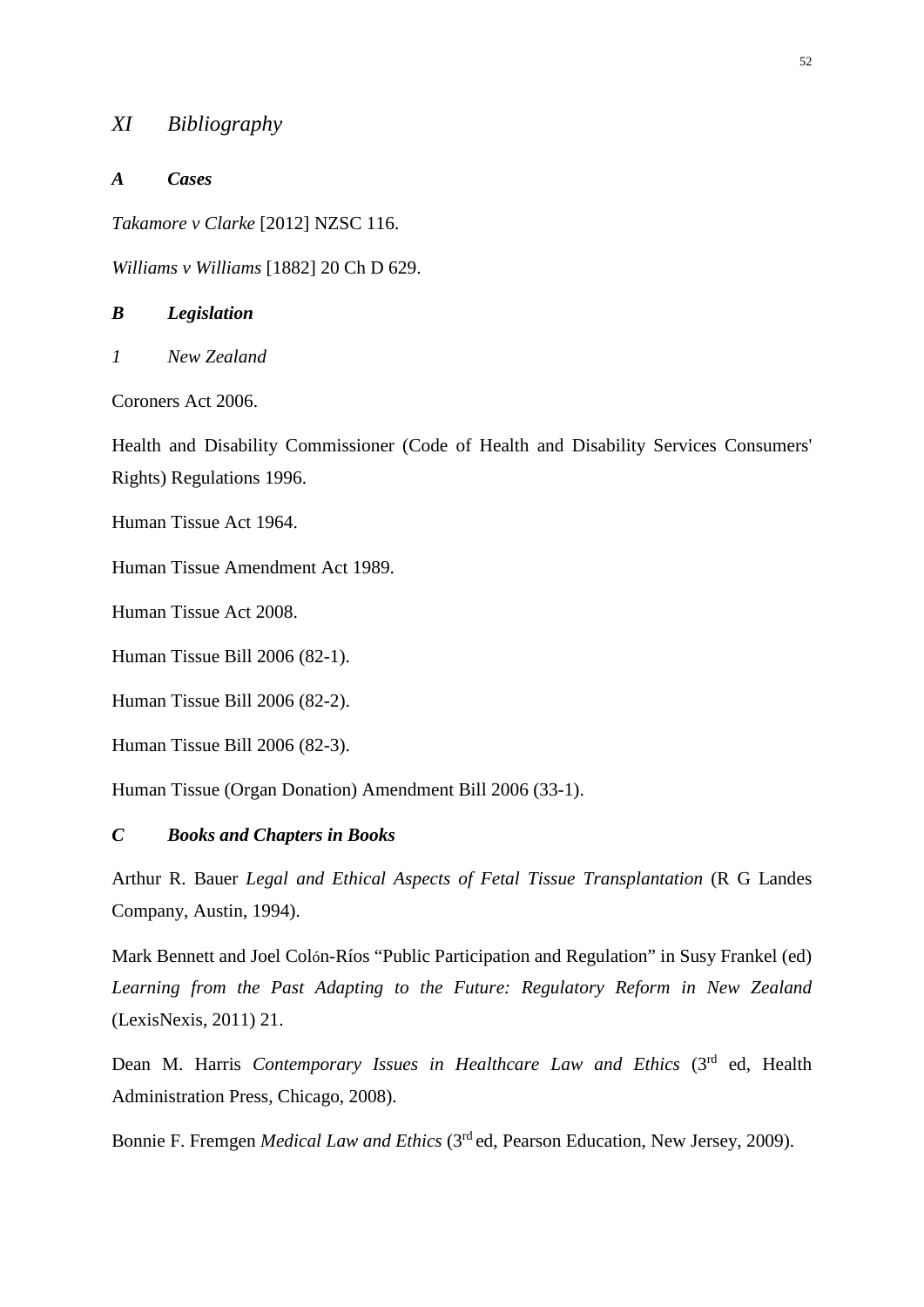# <span id="page-52-0"></span>*XI Bibliography*

#### *A Cases*

*Takamore v Clarke* [2012] NZSC 116.

*Williams v Williams* [1882] 20 Ch D 629.

#### *B Legislation*

*1 New Zealand*

Coroners Act 2006.

Health and Disability Commissioner (Code of Health and Disability Services Consumers' Rights) Regulations 1996.

Human Tissue Act 1964.

Human Tissue Amendment Act 1989.

Human Tissue Act 2008.

Human Tissue Bill 2006 (82-1).

Human Tissue Bill 2006 (82-2).

Human Tissue Bill 2006 (82-3).

Human Tissue (Organ Donation) Amendment Bill 2006 (33-1).

# *C Books and Chapters in Books*

Arthur R. Bauer *Legal and Ethical Aspects of Fetal Tissue Transplantation* (R G Landes Company, Austin, 1994).

Mark Bennett and Joel Colón-Ríos "Public Participation and Regulation" in Susy Frankel (ed) *Learning from the Past Adapting to the Future: Regulatory Reform in New Zealand* (LexisNexis, 2011) 21.

Dean M. Harris *Contemporary Issues in Healthcare Law and Ethics* (3rd ed, Health Administration Press, Chicago, 2008).

Bonnie F. Fremgen *Medical Law and Ethics* (3rd ed, Pearson Education, New Jersey, 2009).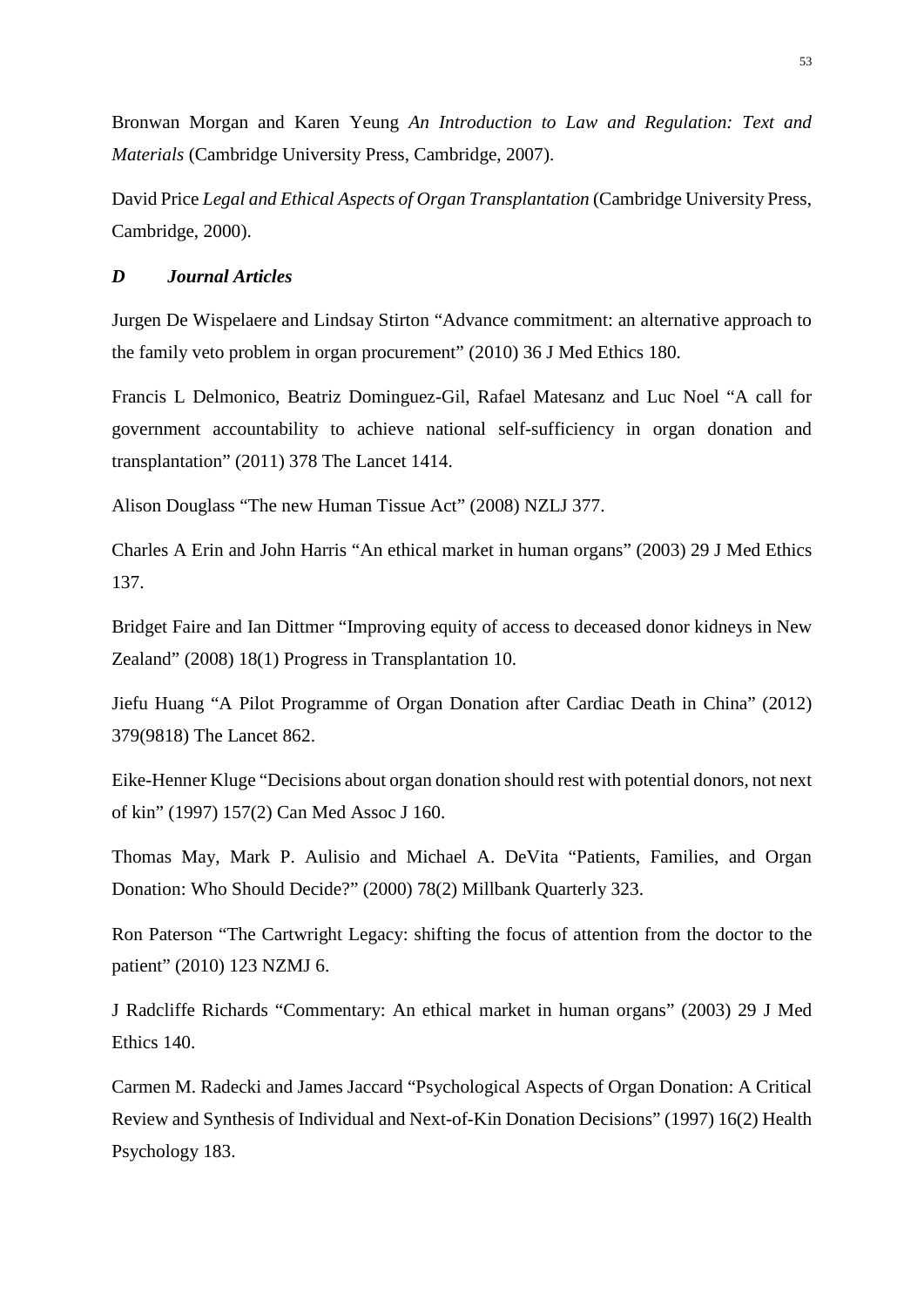Bronwan Morgan and Karen Yeung *An Introduction to Law and Regulation: Text and Materials* (Cambridge University Press, Cambridge, 2007).

David Price *Legal and Ethical Aspects of Organ Transplantation* (Cambridge University Press, Cambridge, 2000).

# *D Journal Articles*

Jurgen De Wispelaere and Lindsay Stirton "Advance commitment: an alternative approach to the family veto problem in organ procurement" (2010) 36 J Med Ethics 180.

Francis L Delmonico, Beatriz Dominguez-Gil, Rafael Matesanz and Luc Noel "A call for government accountability to achieve national self-sufficiency in organ donation and transplantation" (2011) 378 The Lancet 1414.

Alison Douglass "The new Human Tissue Act" (2008) NZLJ 377.

Charles A Erin and John Harris "An ethical market in human organs" (2003) 29 J Med Ethics 137.

Bridget Faire and Ian Dittmer "Improving equity of access to deceased donor kidneys in New Zealand" (2008) 18(1) Progress in Transplantation 10.

Jiefu Huang "A Pilot Programme of Organ Donation after Cardiac Death in China" (2012) 379(9818) The Lancet 862.

Eike-Henner Kluge "Decisions about organ donation should rest with potential donors, not next of kin" (1997) 157(2) Can Med Assoc J 160.

Thomas May, Mark P. Aulisio and Michael A. DeVita "Patients, Families, and Organ Donation: Who Should Decide?" (2000) 78(2) Millbank Quarterly 323.

Ron Paterson "The Cartwright Legacy: shifting the focus of attention from the doctor to the patient" (2010) 123 NZMJ 6.

J Radcliffe Richards "Commentary: An ethical market in human organs" (2003) 29 J Med Ethics 140.

Carmen M. Radecki and James Jaccard "Psychological Aspects of Organ Donation: A Critical Review and Synthesis of Individual and Next-of-Kin Donation Decisions" (1997) 16(2) Health Psychology 183.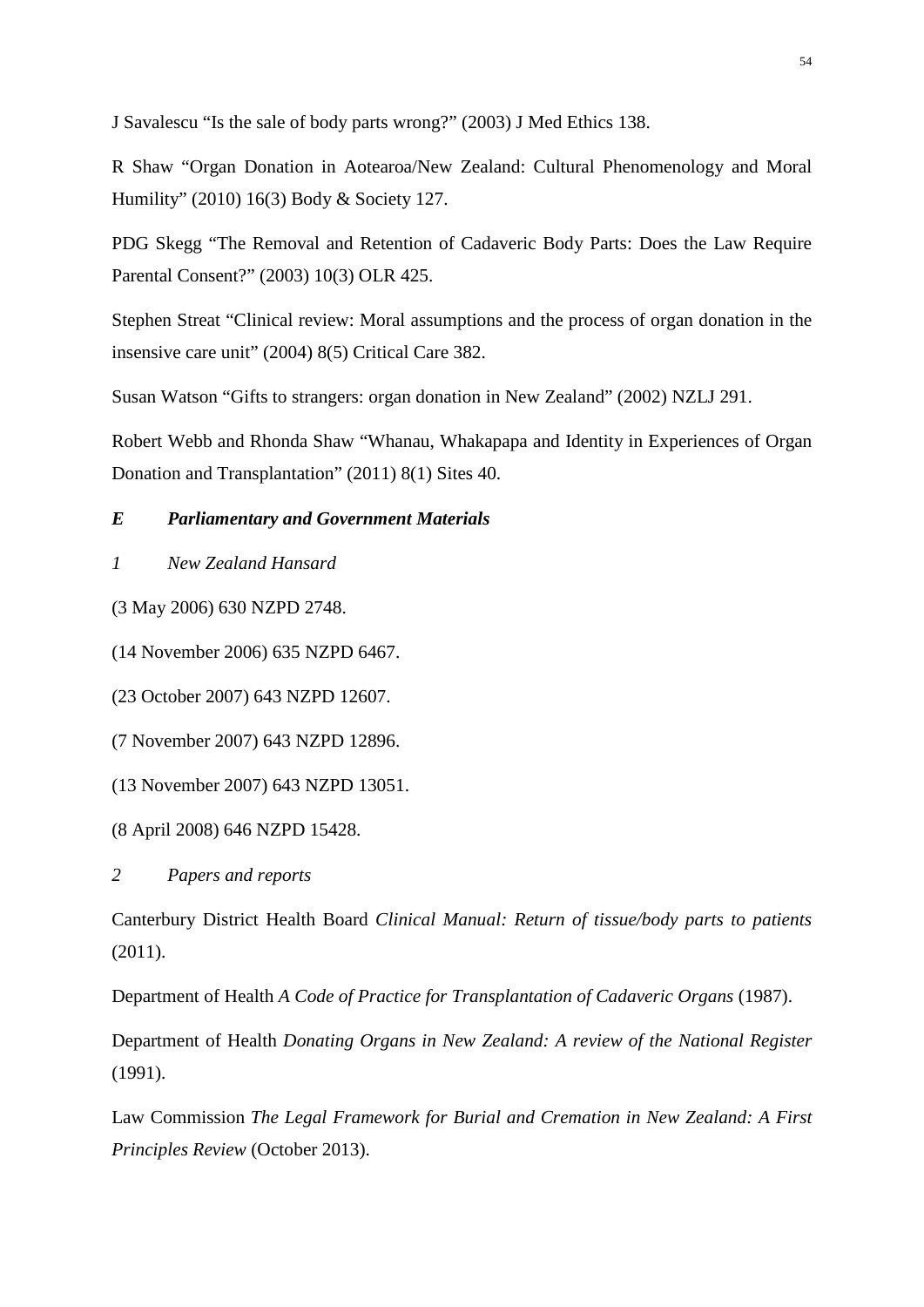J Savalescu "Is the sale of body parts wrong?" (2003) J Med Ethics 138.

R Shaw "Organ Donation in Aotearoa/New Zealand: Cultural Phenomenology and Moral Humility" (2010) 16(3) Body & Society 127.

PDG Skegg "The Removal and Retention of Cadaveric Body Parts: Does the Law Require Parental Consent?" (2003) 10(3) OLR 425.

Stephen Streat "Clinical review: Moral assumptions and the process of organ donation in the insensive care unit" (2004) 8(5) Critical Care 382.

Susan Watson "Gifts to strangers: organ donation in New Zealand" (2002) NZLJ 291.

Robert Webb and Rhonda Shaw "Whanau, Whakapapa and Identity in Experiences of Organ Donation and Transplantation" (2011) 8(1) Sites 40.

# *E Parliamentary and Government Materials*

# *1 New Zealand Hansard*

(3 May 2006) 630 NZPD 2748.

(14 November 2006) 635 NZPD 6467.

(23 October 2007) 643 NZPD 12607.

(7 November 2007) 643 NZPD 12896.

(13 November 2007) 643 NZPD 13051.

(8 April 2008) 646 NZPD 15428.

*2 Papers and reports*

Canterbury District Health Board *Clinical Manual: Return of tissue/body parts to patients*  (2011).

Department of Health *A Code of Practice for Transplantation of Cadaveric Organs* (1987).

Department of Health *Donating Organs in New Zealand: A review of the National Register*  (1991).

Law Commission *The Legal Framework for Burial and Cremation in New Zealand: A First Principles Review* (October 2013).